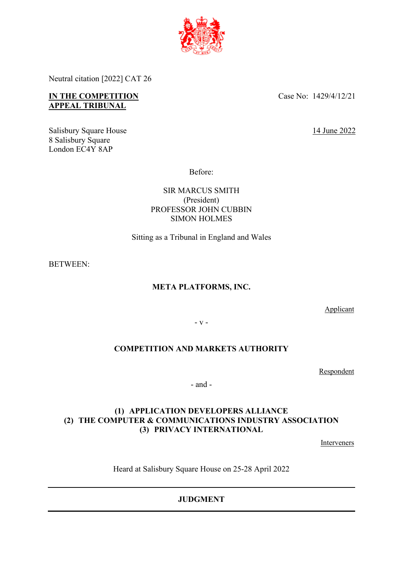

Neutral citation [2022] CAT 26

# **IN THE COMPETITION APPEAL TRIBUNAL**

Salisbury Square House 8 Salisbury Square London EC4Y 8AP

Case No: 1429/4/12/21

14 June 2022

Before:

SIR MARCUS SMITH (President) PROFESSOR JOHN CUBBIN SIMON HOLMES

Sitting as a Tribunal in England and Wales

BETWEEN:

# **META PLATFORMS, INC.**

Applicant

- v -

# **COMPETITION AND MARKETS AUTHORITY**

Respondent

- and -

# **(1) APPLICATION DEVELOPERS ALLIANCE (2) THE COMPUTER & COMMUNICATIONS INDUSTRY ASSOCIATION (3) PRIVACY INTERNATIONAL**

**Interveners** 

Heard at Salisbury Square House on 25-28 April 2022

**JUDGMENT**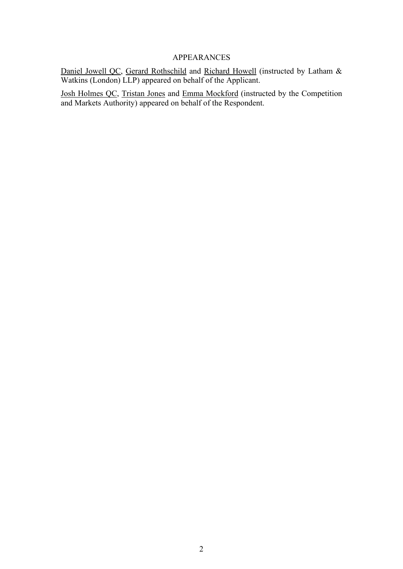# APPEARANCES

Daniel Jowell QC, Gerard Rothschild and Richard Howell (instructed by Latham & Watkins (London) LLP) appeared on behalf of the Applicant.

Josh Holmes QC, Tristan Jones and Emma Mockford (instructed by the Competition and Markets Authority) appeared on behalf of the Respondent.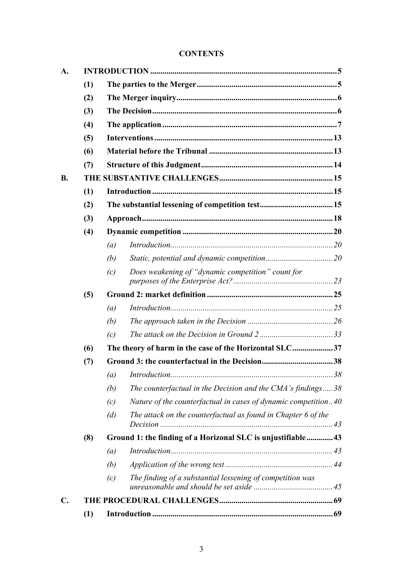# **CONTENTS**

| A.        |     |                                                             |                                                                |  |  |  |
|-----------|-----|-------------------------------------------------------------|----------------------------------------------------------------|--|--|--|
|           | (1) |                                                             |                                                                |  |  |  |
|           | (2) |                                                             |                                                                |  |  |  |
|           | (3) |                                                             |                                                                |  |  |  |
|           | (4) |                                                             |                                                                |  |  |  |
|           | (5) |                                                             |                                                                |  |  |  |
|           | (6) |                                                             |                                                                |  |  |  |
|           | (7) |                                                             |                                                                |  |  |  |
| <b>B.</b> |     |                                                             |                                                                |  |  |  |
|           | (1) |                                                             |                                                                |  |  |  |
|           | (2) |                                                             |                                                                |  |  |  |
|           | (3) |                                                             |                                                                |  |  |  |
|           | (4) |                                                             |                                                                |  |  |  |
|           |     | (a)                                                         |                                                                |  |  |  |
|           |     | (b)                                                         |                                                                |  |  |  |
|           |     | (c)                                                         | Does weakening of "dynamic competition" count for              |  |  |  |
|           | (5) |                                                             |                                                                |  |  |  |
|           |     | (a)                                                         |                                                                |  |  |  |
|           |     | (b)                                                         |                                                                |  |  |  |
|           |     | (c)                                                         |                                                                |  |  |  |
|           | (6) |                                                             | The theory of harm in the case of the Horizontal SLC37         |  |  |  |
|           | (7) |                                                             |                                                                |  |  |  |
|           |     | $\left(a\right)$                                            |                                                                |  |  |  |
|           |     | (b)                                                         | The counterfactual in the Decision and the CMA's findings $38$ |  |  |  |
|           |     | (c)                                                         | Nature of the counterfactual in cases of dynamic competition40 |  |  |  |
|           |     | (d)                                                         | The attack on the counterfactual as found in Chapter 6 of the  |  |  |  |
|           | (8) | Ground 1: the finding of a Horizonal SLC is unjustifiable43 |                                                                |  |  |  |
|           |     | (a)                                                         |                                                                |  |  |  |
|           |     | (b)                                                         |                                                                |  |  |  |
|           |     | (c)                                                         | The finding of a substantial lessening of competition was      |  |  |  |
| C.        |     |                                                             |                                                                |  |  |  |
|           | (1) |                                                             |                                                                |  |  |  |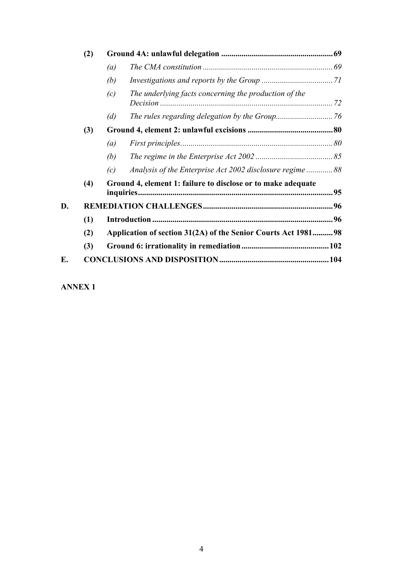|    | (2) |                                                               |                                                         |  |  |
|----|-----|---------------------------------------------------------------|---------------------------------------------------------|--|--|
|    |     | (a)                                                           |                                                         |  |  |
|    |     | (b)                                                           |                                                         |  |  |
|    |     | (c)                                                           | The underlying facts concerning the production of the   |  |  |
|    |     | (d)                                                           |                                                         |  |  |
|    | (3) |                                                               |                                                         |  |  |
|    |     | (a)                                                           |                                                         |  |  |
|    |     | (b)                                                           |                                                         |  |  |
|    |     | (c)                                                           | Analysis of the Enterprise Act 2002 disclosure regime88 |  |  |
|    | (4) | Ground 4, element 1: failure to disclose or to make adequate  |                                                         |  |  |
| D. |     |                                                               |                                                         |  |  |
|    | (1) |                                                               |                                                         |  |  |
|    | (2) | Application of section 31(2A) of the Senior Courts Act 198198 |                                                         |  |  |
|    | (3) |                                                               |                                                         |  |  |
| E. |     |                                                               |                                                         |  |  |

**ANNEX 1**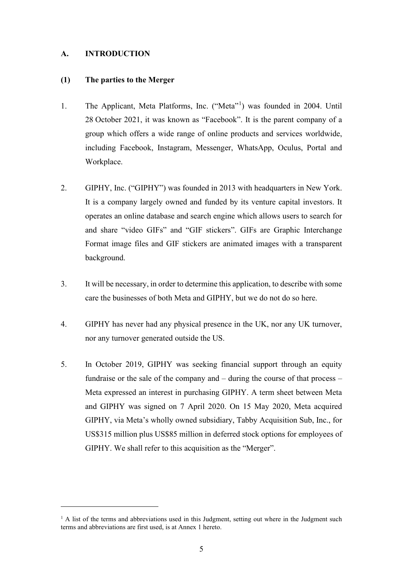#### **A. INTRODUCTION**

#### **(1) The parties to the Merger**

- 1. The Applicant, Meta Platforms, Inc. ("Meta"<sup>1</sup>) was founded in 2004. Until 28 October 2021, it was known as "Facebook". It is the parent company of a group which offers a wide range of online products and services worldwide, including Facebook, Instagram, Messenger, WhatsApp, Oculus, Portal and Workplace.
- 2. GIPHY, Inc. ("GIPHY") was founded in 2013 with headquarters in New York. It is a company largely owned and funded by its venture capital investors. It operates an online database and search engine which allows users to search for and share "video GIFs" and "GIF stickers". GIFs are Graphic Interchange Format image files and GIF stickers are animated images with a transparent background.
- 3. It will be necessary, in order to determine this application, to describe with some care the businesses of both Meta and GIPHY, but we do not do so here.
- 4. GIPHY has never had any physical presence in the UK, nor any UK turnover, nor any turnover generated outside the US.
- 5. In October 2019, GIPHY was seeking financial support through an equity fundraise or the sale of the company and – during the course of that process – Meta expressed an interest in purchasing GIPHY. A term sheet between Meta and GIPHY was signed on 7 April 2020. On 15 May 2020, Meta acquired GIPHY, via Meta's wholly owned subsidiary, Tabby Acquisition Sub, Inc., for US\$315 million plus US\$85 million in deferred stock options for employees of GIPHY. We shall refer to this acquisition as the "Merger".

<sup>&</sup>lt;sup>1</sup> A list of the terms and abbreviations used in this Judgment, setting out where in the Judgment such terms and abbreviations are first used, is at Annex 1 hereto.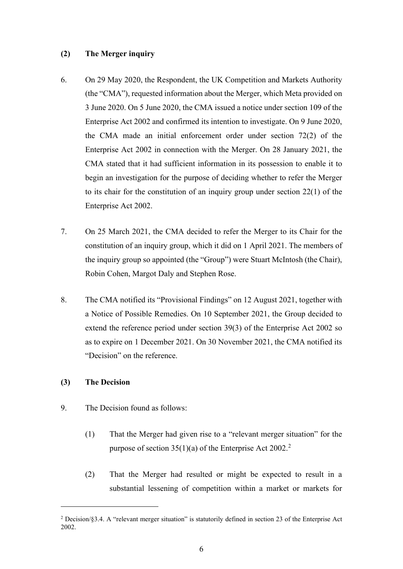#### **(2) The Merger inquiry**

- 6. On 29 May 2020, the Respondent, the UK Competition and Markets Authority (the "CMA"), requested information about the Merger, which Meta provided on 3 June 2020. On 5 June 2020, the CMA issued a notice under section 109 of the Enterprise Act 2002 and confirmed its intention to investigate. On 9 June 2020, the CMA made an initial enforcement order under section 72(2) of the Enterprise Act 2002 in connection with the Merger. On 28 January 2021, the CMA stated that it had sufficient information in its possession to enable it to begin an investigation for the purpose of deciding whether to refer the Merger to its chair for the constitution of an inquiry group under section 22(1) of the Enterprise Act 2002.
- 7. On 25 March 2021, the CMA decided to refer the Merger to its Chair for the constitution of an inquiry group, which it did on 1 April 2021. The members of the inquiry group so appointed (the "Group") were Stuart McIntosh (the Chair), Robin Cohen, Margot Daly and Stephen Rose.
- 8. The CMA notified its "Provisional Findings" on 12 August 2021, together with a Notice of Possible Remedies. On 10 September 2021, the Group decided to extend the reference period under section 39(3) of the Enterprise Act 2002 so as to expire on 1 December 2021. On 30 November 2021, the CMA notified its "Decision" on the reference.

# **(3) The Decision**

- 9. The Decision found as follows:
	- (1) That the Merger had given rise to a "relevant merger situation" for the purpose of section  $35(1)(a)$  of the Enterprise Act 2002.<sup>2</sup>
	- (2) That the Merger had resulted or might be expected to result in a substantial lessening of competition within a market or markets for

<sup>2</sup> Decision/§3.4. A "relevant merger situation" is statutorily defined in section 23 of the Enterprise Act 2002.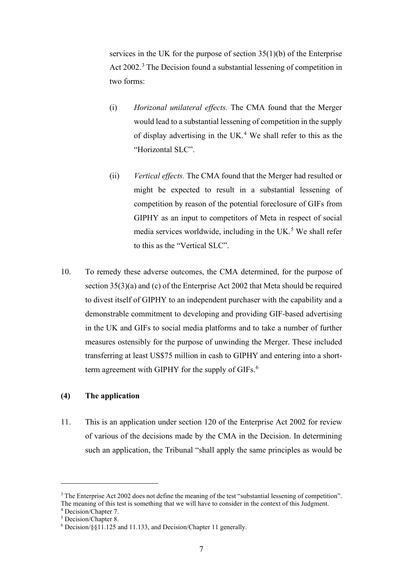services in the UK for the purpose of section  $35(1)(b)$  of the Enterprise Act 2002.<sup>3</sup> The Decision found a substantial lessening of competition in two forms:

- (i) *Horizonal unilateral effects.* The CMA found that the Merger would lead to a substantial lessening of competition in the supply of display advertising in the UK.<sup>4</sup> We shall refer to this as the "Horizontal SLC".
- (ii) *Vertical effects.* The CMA found that the Merger had resulted or might be expected to result in a substantial lessening of competition by reason of the potential foreclosure of GIFs from GIPHY as an input to competitors of Meta in respect of social media services worldwide, including in the UK. $5$  We shall refer to this as the "Vertical SLC".
- 10. To remedy these adverse outcomes, the CMA determined, for the purpose of section 35(3)(a) and (c) of the Enterprise Act 2002 that Meta should be required to divest itself of GIPHY to an independent purchaser with the capability and a demonstrable commitment to developing and providing GIF-based advertising in the UK and GIFs to social media platforms and to take a number of further measures ostensibly for the purpose of unwinding the Merger. These included transferring at least US\$75 million in cash to GIPHY and entering into a shortterm agreement with GIPHY for the supply of GIFs.<sup>6</sup>

#### **(4) The application**

11. This is an application under section 120 of the Enterprise Act 2002 for review of various of the decisions made by the CMA in the Decision. In determining such an application, the Tribunal "shall apply the same principles as would be

<sup>&</sup>lt;sup>3</sup> The Enterprise Act 2002 does not define the meaning of the test "substantial lessening of competition". The meaning of this test is something that we will have to consider in the context of this Judgment.

<sup>4</sup> Decision/Chapter 7.

<sup>5</sup> Decision/Chapter 8.

<sup>6</sup> Decision/§§11.125 and 11.133, and Decision/Chapter 11 generally.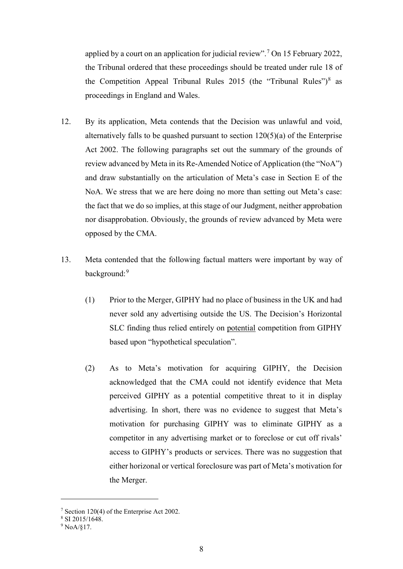applied by a court on an application for judicial review".<sup>7</sup> On 15 February 2022, the Tribunal ordered that these proceedings should be treated under rule 18 of the Competition Appeal Tribunal Rules 2015 (the "Tribunal Rules") $8$  as proceedings in England and Wales.

- 12. By its application, Meta contends that the Decision was unlawful and void, alternatively falls to be quashed pursuant to section 120(5)(a) of the Enterprise Act 2002. The following paragraphs set out the summary of the grounds of review advanced by Meta in its Re-Amended Notice of Application (the "NoA") and draw substantially on the articulation of Meta's case in Section E of the NoA. We stress that we are here doing no more than setting out Meta's case: the fact that we do so implies, at this stage of our Judgment, neither approbation nor disapprobation. Obviously, the grounds of review advanced by Meta were opposed by the CMA.
- 13. Meta contended that the following factual matters were important by way of background:<sup>9</sup>
	- (1) Prior to the Merger, GIPHY had no place of business in the UK and had never sold any advertising outside the US. The Decision's Horizontal SLC finding thus relied entirely on potential competition from GIPHY based upon "hypothetical speculation".
	- (2) As to Meta's motivation for acquiring GIPHY, the Decision acknowledged that the CMA could not identify evidence that Meta perceived GIPHY as a potential competitive threat to it in display advertising. In short, there was no evidence to suggest that Meta's motivation for purchasing GIPHY was to eliminate GIPHY as a competitor in any advertising market or to foreclose or cut off rivals' access to GIPHY's products or services. There was no suggestion that either horizonal or vertical foreclosure was part of Meta's motivation for the Merger.

<sup>7</sup> Section 120(4) of the Enterprise Act 2002.

 $8$  SI 2015/1648.

<sup>9</sup> NoA/§17.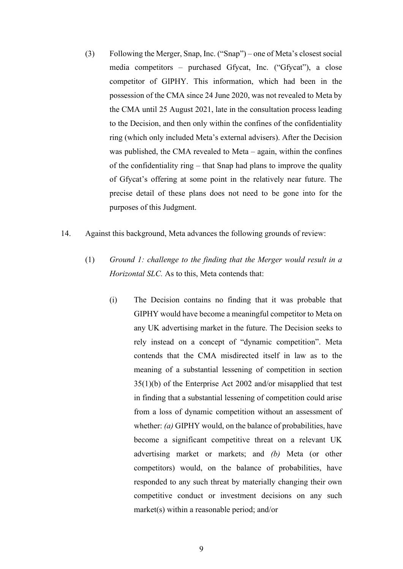- (3) Following the Merger, Snap, Inc. ("Snap") one of Meta's closest social media competitors – purchased Gfycat, Inc. ("Gfycat"), a close competitor of GIPHY. This information, which had been in the possession of the CMA since 24 June 2020, was not revealed to Meta by the CMA until 25 August 2021, late in the consultation process leading to the Decision, and then only within the confines of the confidentiality ring (which only included Meta's external advisers). After the Decision was published, the CMA revealed to Meta – again, within the confines of the confidentiality ring – that Snap had plans to improve the quality of Gfycat's offering at some point in the relatively near future. The precise detail of these plans does not need to be gone into for the purposes of this Judgment.
- 14. Against this background, Meta advances the following grounds of review:
	- (1) *Ground 1: challenge to the finding that the Merger would result in a Horizontal SLC.* As to this, Meta contends that:
		- (i) The Decision contains no finding that it was probable that GIPHY would have become a meaningful competitor to Meta on any UK advertising market in the future. The Decision seeks to rely instead on a concept of "dynamic competition". Meta contends that the CMA misdirected itself in law as to the meaning of a substantial lessening of competition in section 35(1)(b) of the Enterprise Act 2002 and/or misapplied that test in finding that a substantial lessening of competition could arise from a loss of dynamic competition without an assessment of whether: *(a)* GIPHY would, on the balance of probabilities, have become a significant competitive threat on a relevant UK advertising market or markets; and *(b)* Meta (or other competitors) would, on the balance of probabilities, have responded to any such threat by materially changing their own competitive conduct or investment decisions on any such market(s) within a reasonable period; and/or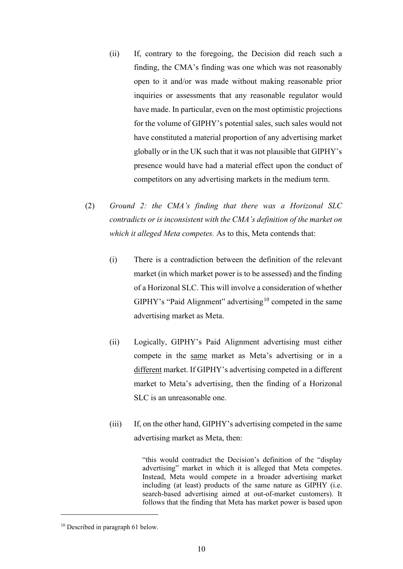- (ii) If, contrary to the foregoing, the Decision did reach such a finding, the CMA's finding was one which was not reasonably open to it and/or was made without making reasonable prior inquiries or assessments that any reasonable regulator would have made. In particular, even on the most optimistic projections for the volume of GIPHY's potential sales, such sales would not have constituted a material proportion of any advertising market globally or in the UK such that it was not plausible that GIPHY's presence would have had a material effect upon the conduct of competitors on any advertising markets in the medium term.
- (2) *Ground 2: the CMA's finding that there was a Horizonal SLC contradicts or is inconsistent with the CMA's definition of the market on which it alleged Meta competes.* As to this, Meta contends that:
	- (i) There is a contradiction between the definition of the relevant market (in which market power is to be assessed) and the finding of a Horizonal SLC. This will involve a consideration of whether GIPHY's "Paid Alignment" advertising<sup>10</sup> competed in the same advertising market as Meta.
	- (ii) Logically, GIPHY's Paid Alignment advertising must either compete in the same market as Meta's advertising or in a different market. If GIPHY's advertising competed in a different market to Meta's advertising, then the finding of a Horizonal SLC is an unreasonable one.
	- (iii) If, on the other hand, GIPHY's advertising competed in the same advertising market as Meta, then:

"this would contradict the Decision's definition of the "display advertising" market in which it is alleged that Meta competes. Instead, Meta would compete in a broader advertising market including (at least) products of the same nature as GIPHY (i.e. search-based advertising aimed at out-of-market customers). It follows that the finding that Meta has market power is based upon

<sup>&</sup>lt;sup>10</sup> Described in paragraph 61 below.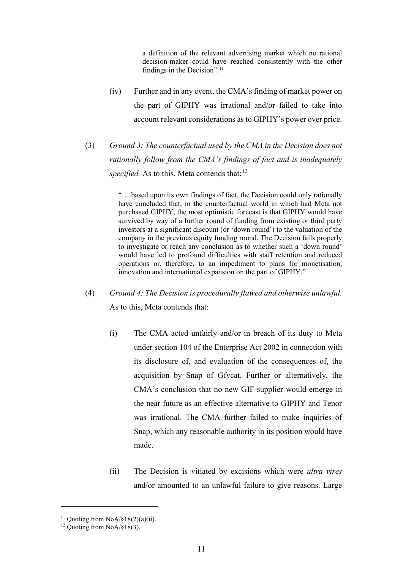a definition of the relevant advertising market which no rational decision-maker could have reached consistently with the other findings in the Decision".<sup>11</sup>

- (iv) Further and in any event, the CMA's finding of market power on the part of GIPHY was irrational and/or failed to take into account relevant considerations as to GIPHY's power over price.
- (3) *Ground 3: The counterfactual used by the CMA in the Decision does not rationally follow from the CMA's findings of fact and is inadequately specified.* As to this, Meta contends that:<sup>12</sup>

"… based upon its own findings of fact, the Decision could only rationally have concluded that, in the counterfactual world in which had Meta not purchased GIPHY, the most optimistic forecast is that GIPHY would have survived by way of a further round of funding from existing or third party investors at a significant discount (or 'down round') to the valuation of the company in the previous equity funding round. The Decision fails properly to investigate or reach any conclusion as to whether such a 'down round' would have led to profound difficulties with staff retention and reduced operations or, therefore, to an impediment to plans for monetisation, innovation and international expansion on the part of GIPHY."

- (4) *Ground 4: The Decision is procedurally flawed and otherwise unlawful.* As to this, Meta contends that:
	- (i) The CMA acted unfairly and/or in breach of its duty to Meta under section 104 of the Enterprise Act 2002 in connection with its disclosure of, and evaluation of the consequences of, the acquisition by Snap of Gfycat. Further or alternatively, the CMA's conclusion that no new GIF-supplier would emerge in the near future as an effective alternative to GIPHY and Tenor was irrational. The CMA further failed to make inquiries of Snap, which any reasonable authority in its position would have made.
	- (ii) The Decision is vitiated by excisions which were *ultra vires* and/or amounted to an unlawful failure to give reasons. Large

<sup>&</sup>lt;sup>11</sup> Quoting from NoA/§18(2)(a)(ii).

<sup>&</sup>lt;sup>12</sup> Quoting from  $NoA/\S18(3)$ .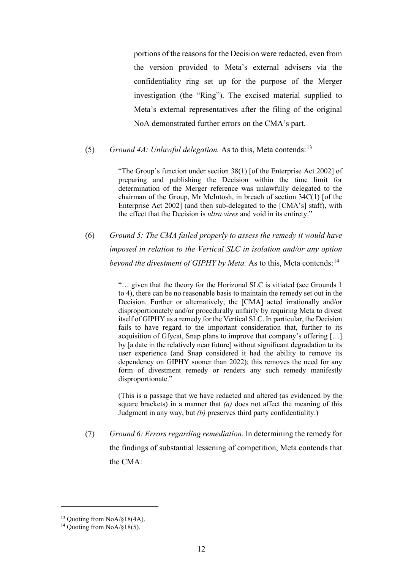portions of the reasons for the Decision were redacted, even from the version provided to Meta's external advisers via the confidentiality ring set up for the purpose of the Merger investigation (the "Ring"). The excised material supplied to Meta's external representatives after the filing of the original NoA demonstrated further errors on the CMA's part.

#### (5) *Ground 4A: Unlawful delegation.* As to this, Meta contends:  $13$

"The Group's function under section 38(1) [of the Enterprise Act 2002] of preparing and publishing the Decision within the time limit for determination of the Merger reference was unlawfully delegated to the chairman of the Group, Mr McIntosh, in breach of section 34C(1) [of the Enterprise Act 2002] (and then sub-delegated to the [CMA's] staff), with the effect that the Decision is *ultra vires* and void in its entirety."

(6) *Ground 5: The CMA failed properly to assess the remedy it would have imposed in relation to the Vertical SLC in isolation and/or any option beyond the divestment of GIPHY by Meta.* As to this, Meta contends:<sup>14</sup>

> "… given that the theory for the Horizonal SLC is vitiated (see Grounds 1 to 4), there can be no reasonable basis to maintain the remedy set out in the Decision. Further or alternatively, the [CMA] acted irrationally and/or disproportionately and/or procedurally unfairly by requiring Meta to divest itself of GIPHY as a remedy for the Vertical SLC. In particular, the Decision fails to have regard to the important consideration that, further to its acquisition of Gfycat, Snap plans to improve that company's offering […] by [a date in the relatively near future] without significant degradation to its user experience (and Snap considered it had the ability to remove its dependency on GIPHY sooner than 2022); this removes the need for any form of divestment remedy or renders any such remedy manifestly disproportionate."

> (This is a passage that we have redacted and altered (as evidenced by the square brackets) in a manner that *(a)* does not affect the meaning of this Judgment in any way, but *(b)* preserves third party confidentiality.)

(7) *Ground 6: Errors regarding remediation.* In determining the remedy for the findings of substantial lessening of competition, Meta contends that the CMA:

<sup>&</sup>lt;sup>13</sup> Quoting from NoA/§18(4A).

<sup>&</sup>lt;sup>14</sup> Ouoting from NoA/§18(5).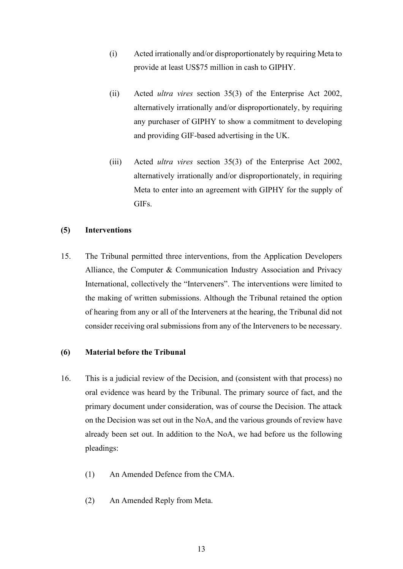- (i) Acted irrationally and/or disproportionately by requiring Meta to provide at least US\$75 million in cash to GIPHY.
- (ii) Acted *ultra vires* section 35(3) of the Enterprise Act 2002, alternatively irrationally and/or disproportionately, by requiring any purchaser of GIPHY to show a commitment to developing and providing GIF-based advertising in the UK.
- (iii) Acted *ultra vires* section 35(3) of the Enterprise Act 2002, alternatively irrationally and/or disproportionately, in requiring Meta to enter into an agreement with GIPHY for the supply of GIFs.

#### **(5) Interventions**

15. The Tribunal permitted three interventions, from the Application Developers Alliance, the Computer & Communication Industry Association and Privacy International, collectively the "Interveners". The interventions were limited to the making of written submissions. Although the Tribunal retained the option of hearing from any or all of the Interveners at the hearing, the Tribunal did not consider receiving oral submissions from any of the Interveners to be necessary.

#### **(6) Material before the Tribunal**

- 16. This is a judicial review of the Decision, and (consistent with that process) no oral evidence was heard by the Tribunal. The primary source of fact, and the primary document under consideration, was of course the Decision. The attack on the Decision was set out in the NoA, and the various grounds of review have already been set out. In addition to the NoA, we had before us the following pleadings:
	- (1) An Amended Defence from the CMA.
	- (2) An Amended Reply from Meta.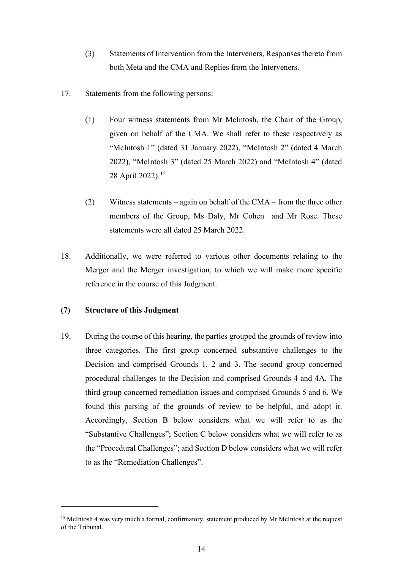- (3) Statements of Intervention from the Interveners, Responses thereto from both Meta and the CMA and Replies from the Interveners.
- 17. Statements from the following persons:
	- (1) Four witness statements from Mr McIntosh, the Chair of the Group, given on behalf of the CMA. We shall refer to these respectively as "McIntosh 1" (dated 31 January 2022), "McIntosh 2" (dated 4 March 2022), "McIntosh 3" (dated 25 March 2022) and "McIntosh 4" (dated 28 April 2022).<sup>15</sup>
	- (2) Witness statements again on behalf of the CMA from the three other members of the Group, Ms Daly, Mr Cohen and Mr Rose. These statements were all dated 25 March 2022.
- 18. Additionally, we were referred to various other documents relating to the Merger and the Merger investigation, to which we will make more specific reference in the course of this Judgment.

#### **(7) Structure of this Judgment**

19. During the course of this hearing, the parties grouped the grounds of review into three categories. The first group concerned substantive challenges to the Decision and comprised Grounds 1, 2 and 3. The second group concerned procedural challenges to the Decision and comprised Grounds 4 and 4A. The third group concerned remediation issues and comprised Grounds 5 and 6. We found this parsing of the grounds of review to be helpful, and adopt it. Accordingly, Section B below considers what we will refer to as the "Substantive Challenges"; Section C below considers what we will refer to as the "Procedural Challenges"; and Section D below considers what we will refer to as the "Remediation Challenges".

<sup>&</sup>lt;sup>15</sup> McIntosh 4 was very much a formal, confirmatory, statement produced by Mr McIntosh at the request of the Tribunal.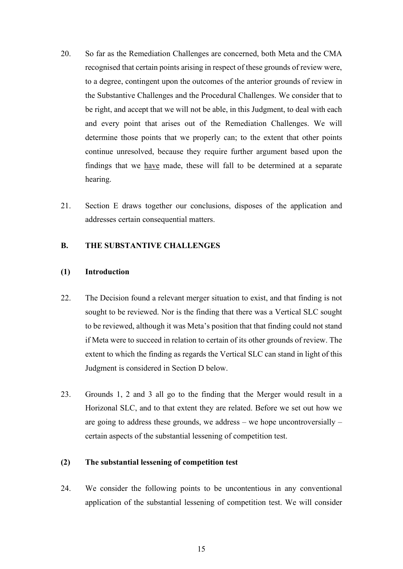- 20. So far as the Remediation Challenges are concerned, both Meta and the CMA recognised that certain points arising in respect of these grounds of review were, to a degree, contingent upon the outcomes of the anterior grounds of review in the Substantive Challenges and the Procedural Challenges. We consider that to be right, and accept that we will not be able, in this Judgment, to deal with each and every point that arises out of the Remediation Challenges. We will determine those points that we properly can; to the extent that other points continue unresolved, because they require further argument based upon the findings that we have made, these will fall to be determined at a separate hearing.
- 21. Section E draws together our conclusions, disposes of the application and addresses certain consequential matters.

#### **B. THE SUBSTANTIVE CHALLENGES**

# **(1) Introduction**

- 22. The Decision found a relevant merger situation to exist, and that finding is not sought to be reviewed. Nor is the finding that there was a Vertical SLC sought to be reviewed, although it was Meta's position that that finding could not stand if Meta were to succeed in relation to certain of its other grounds of review. The extent to which the finding as regards the Vertical SLC can stand in light of this Judgment is considered in Section D below.
- 23. Grounds 1, 2 and 3 all go to the finding that the Merger would result in a Horizonal SLC, and to that extent they are related. Before we set out how we are going to address these grounds, we address – we hope uncontroversially – certain aspects of the substantial lessening of competition test.

#### **(2) The substantial lessening of competition test**

24. We consider the following points to be uncontentious in any conventional application of the substantial lessening of competition test. We will consider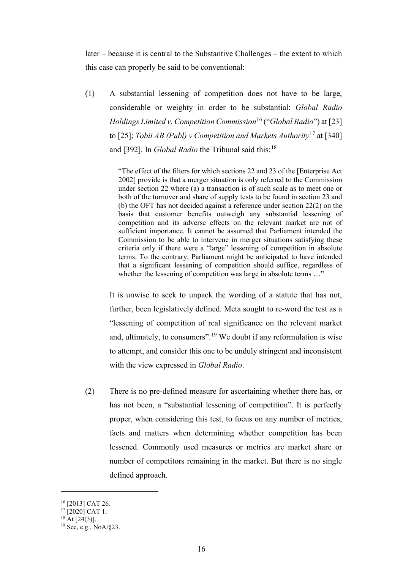later – because it is central to the Substantive Challenges – the extent to which this case can properly be said to be conventional:

(1) A substantial lessening of competition does not have to be large, considerable or weighty in order to be substantial: *Global Radio Holdings Limited v. Competition Commission*<sup>16</sup> ("*Global Radio*") at [23] to [25]; *Tobii AB (Publ) v Competition and Markets Authority*<sup>17</sup> at [340] and [392]. In *Global Radio* the Tribunal said this:<sup>18</sup>

> "The effect of the filters for which sections 22 and 23 of the [Enterprise Act 2002] provide is that a merger situation is only referred to the Commission under section 22 where (a) a transaction is of such scale as to meet one or both of the turnover and share of supply tests to be found in section 23 and (b) the OFT has not decided against a reference under section 22(2) on the basis that customer benefits outweigh any substantial lessening of competition and its adverse effects on the relevant market are not of sufficient importance. It cannot be assumed that Parliament intended the Commission to be able to intervene in merger situations satisfying these criteria only if there were a "large" lessening of competition in absolute terms. To the contrary, Parliament might be anticipated to have intended that a significant lessening of competition should suffice, regardless of whether the lessening of competition was large in absolute terms ..."

It is unwise to seek to unpack the wording of a statute that has not, further, been legislatively defined. Meta sought to re-word the test as a "lessening of competition of real significance on the relevant market and, ultimately, to consumers".<sup>19</sup> We doubt if any reformulation is wise to attempt, and consider this one to be unduly stringent and inconsistent with the view expressed in *Global Radio*.

(2) There is no pre-defined measure for ascertaining whether there has, or has not been, a "substantial lessening of competition". It is perfectly proper, when considering this test, to focus on any number of metrics, facts and matters when determining whether competition has been lessened. Commonly used measures or metrics are market share or number of competitors remaining in the market. But there is no single defined approach.

<sup>16</sup> [2013] CAT 26.

 $17$  [2020] CAT 1.

 $18$  At [24(3)].

<sup>19</sup> See, e.g., NoA/§23.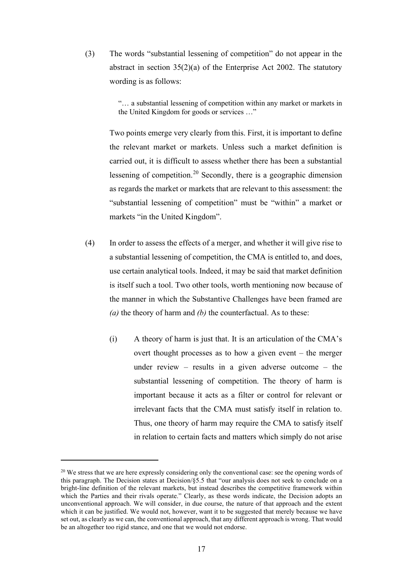(3) The words "substantial lessening of competition" do not appear in the abstract in section 35(2)(a) of the Enterprise Act 2002. The statutory wording is as follows:

> "… a substantial lessening of competition within any market or markets in the United Kingdom for goods or services …"

Two points emerge very clearly from this. First, it is important to define the relevant market or markets. Unless such a market definition is carried out, it is difficult to assess whether there has been a substantial lessening of competition.<sup>20</sup> Secondly, there is a geographic dimension as regards the market or markets that are relevant to this assessment: the "substantial lessening of competition" must be "within" a market or markets "in the United Kingdom".

- (4) In order to assess the effects of a merger, and whether it will give rise to a substantial lessening of competition, the CMA is entitled to, and does, use certain analytical tools. Indeed, it may be said that market definition is itself such a tool. Two other tools, worth mentioning now because of the manner in which the Substantive Challenges have been framed are *(a)* the theory of harm and *(b)* the counterfactual. As to these:
	- (i) A theory of harm is just that. It is an articulation of the CMA's overt thought processes as to how a given event – the merger under review – results in a given adverse outcome – the substantial lessening of competition. The theory of harm is important because it acts as a filter or control for relevant or irrelevant facts that the CMA must satisfy itself in relation to. Thus, one theory of harm may require the CMA to satisfy itself in relation to certain facts and matters which simply do not arise

<sup>&</sup>lt;sup>20</sup> We stress that we are here expressly considering only the conventional case: see the opening words of this paragraph. The Decision states at Decision/§5.5 that "our analysis does not seek to conclude on a bright-line definition of the relevant markets, but instead describes the competitive framework within which the Parties and their rivals operate." Clearly, as these words indicate, the Decision adopts an unconventional approach. We will consider, in due course, the nature of that approach and the extent which it can be justified. We would not, however, want it to be suggested that merely because we have set out, as clearly as we can, the conventional approach, that any different approach is wrong. That would be an altogether too rigid stance, and one that we would not endorse.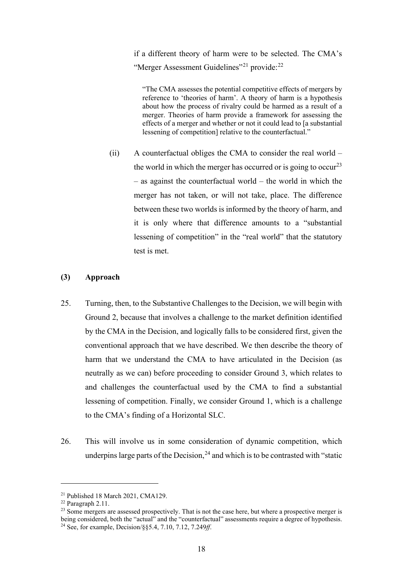if a different theory of harm were to be selected. The CMA's "Merger Assessment Guidelines"<sup>21</sup> provide:<sup>22</sup>

"The CMA assesses the potential competitive effects of mergers by reference to 'theories of harm'. A theory of harm is a hypothesis about how the process of rivalry could be harmed as a result of a merger. Theories of harm provide a framework for assessing the effects of a merger and whether or not it could lead to [a substantial lessening of competition] relative to the counterfactual."

(ii) A counterfactual obliges the CMA to consider the real world – the world in which the merger has occurred or is going to occur<sup>23</sup> – as against the counterfactual world – the world in which the merger has not taken, or will not take, place. The difference between these two worlds is informed by the theory of harm, and it is only where that difference amounts to a "substantial lessening of competition" in the "real world" that the statutory test is met.

#### **(3) Approach**

- 25. Turning, then, to the Substantive Challenges to the Decision, we will begin with Ground 2, because that involves a challenge to the market definition identified by the CMA in the Decision, and logically falls to be considered first, given the conventional approach that we have described. We then describe the theory of harm that we understand the CMA to have articulated in the Decision (as neutrally as we can) before proceeding to consider Ground 3, which relates to and challenges the counterfactual used by the CMA to find a substantial lessening of competition. Finally, we consider Ground 1, which is a challenge to the CMA's finding of a Horizontal SLC.
- 26. This will involve us in some consideration of dynamic competition, which underpins large parts of the Decision,  $24$  and which is to be contrasted with "static

<sup>21</sup> Published 18 March 2021, CMA129.

<sup>22</sup> Paragraph 2.11.

<sup>&</sup>lt;sup>23</sup> Some mergers are assessed prospectively. That is not the case here, but where a prospective merger is being considered, both the "actual" and the "counterfactual" assessments require a degree of hypothesis. <sup>24</sup> See, for example, Decision/§§5.4, 7.10, 7.12, 7.249*ff*.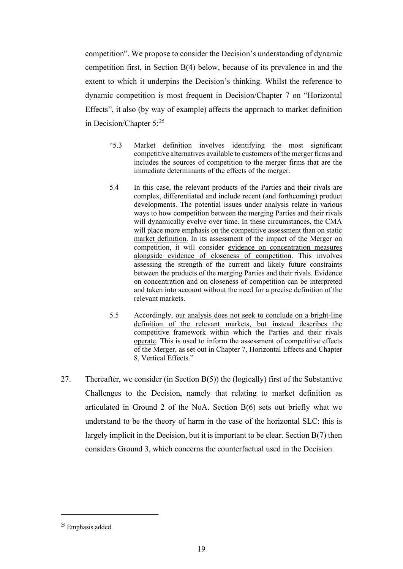competition". We propose to consider the Decision's understanding of dynamic competition first, in Section B(4) below, because of its prevalence in and the extent to which it underpins the Decision's thinking. Whilst the reference to dynamic competition is most frequent in Decision/Chapter 7 on "Horizontal Effects", it also (by way of example) affects the approach to market definition in Decision/Chapter  $5:^{25}$ 

- "5.3 Market definition involves identifying the most significant competitive alternatives available to customers of the merger firms and includes the sources of competition to the merger firms that are the immediate determinants of the effects of the merger.
- 5.4 In this case, the relevant products of the Parties and their rivals are complex, differentiated and include recent (and forthcoming) product developments. The potential issues under analysis relate in various ways to how competition between the merging Parties and their rivals will dynamically evolve over time. In these circumstances, the CMA will place more emphasis on the competitive assessment than on static market definition. In its assessment of the impact of the Merger on competition, it will consider evidence on concentration measures alongside evidence of closeness of competition. This involves assessing the strength of the current and likely future constraints between the products of the merging Parties and their rivals. Evidence on concentration and on closeness of competition can be interpreted and taken into account without the need for a precise definition of the relevant markets.
- 5.5 Accordingly, our analysis does not seek to conclude on a bright-line definition of the relevant markets, but instead describes the competitive framework within which the Parties and their rivals operate. This is used to inform the assessment of competitive effects of the Merger, as set out in Chapter 7, Horizontal Effects and Chapter 8, Vertical Effects."
- 27. Thereafter, we consider (in Section B(5)) the (logically) first of the Substantive Challenges to the Decision, namely that relating to market definition as articulated in Ground 2 of the NoA. Section B(6) sets out briefly what we understand to be the theory of harm in the case of the horizontal SLC: this is largely implicit in the Decision, but it is important to be clear. Section B(7) then considers Ground 3, which concerns the counterfactual used in the Decision.

<sup>25</sup> Emphasis added.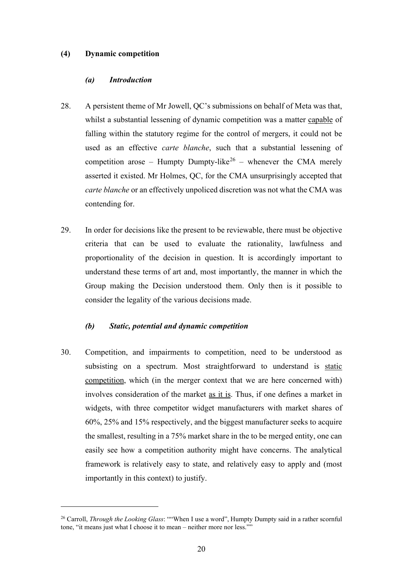#### **(4) Dynamic competition**

## *(a) Introduction*

- 28. A persistent theme of Mr Jowell, QC's submissions on behalf of Meta was that, whilst a substantial lessening of dynamic competition was a matter capable of falling within the statutory regime for the control of mergers, it could not be used as an effective *carte blanche*, such that a substantial lessening of competition arose – Humpty Dumpty-like<sup>26</sup> – whenever the CMA merely asserted it existed. Mr Holmes, QC, for the CMA unsurprisingly accepted that *carte blanche* or an effectively unpoliced discretion was not what the CMA was contending for.
- 29. In order for decisions like the present to be reviewable, there must be objective criteria that can be used to evaluate the rationality, lawfulness and proportionality of the decision in question. It is accordingly important to understand these terms of art and, most importantly, the manner in which the Group making the Decision understood them. Only then is it possible to consider the legality of the various decisions made.

#### *(b) Static, potential and dynamic competition*

30. Competition, and impairments to competition, need to be understood as subsisting on a spectrum. Most straightforward to understand is static competition, which (in the merger context that we are here concerned with) involves consideration of the market as it is. Thus, if one defines a market in widgets, with three competitor widget manufacturers with market shares of 60%, 25% and 15% respectively, and the biggest manufacturer seeks to acquire the smallest, resulting in a 75% market share in the to be merged entity, one can easily see how a competition authority might have concerns. The analytical framework is relatively easy to state, and relatively easy to apply and (most importantly in this context) to justify.

<sup>26</sup> Carroll, *Through the Looking Glass*: ""When I use a word", Humpty Dumpty said in a rather scornful tone, "it means just what I choose it to mean – neither more nor less.""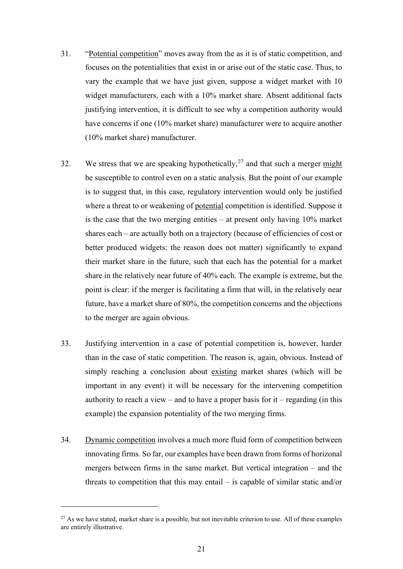- 31. "Potential competition" moves away from the as it is of static competition, and focuses on the potentialities that exist in or arise out of the static case. Thus, to vary the example that we have just given, suppose a widget market with 10 widget manufacturers, each with a 10% market share. Absent additional facts justifying intervention, it is difficult to see why a competition authority would have concerns if one (10% market share) manufacturer were to acquire another (10% market share) manufacturer.
- 32. We stress that we are speaking hypothetically,  $2^7$  and that such a merger might be susceptible to control even on a static analysis. But the point of our example is to suggest that, in this case, regulatory intervention would only be justified where a threat to or weakening of potential competition is identified. Suppose it is the case that the two merging entities – at present only having 10% market shares each – are actually both on a trajectory (because of efficiencies of cost or better produced widgets: the reason does not matter) significantly to expand their market share in the future, such that each has the potential for a market share in the relatively near future of 40% each. The example is extreme, but the point is clear: if the merger is facilitating a firm that will, in the relatively near future, have a market share of 80%, the competition concerns and the objections to the merger are again obvious.
- 33. Justifying intervention in a case of potential competition is, however, harder than in the case of static competition. The reason is, again, obvious. Instead of simply reaching a conclusion about existing market shares (which will be important in any event) it will be necessary for the intervening competition authority to reach a view – and to have a proper basis for it – regarding (in this example) the expansion potentiality of the two merging firms.
- 34. Dynamic competition involves a much more fluid form of competition between innovating firms. So far, our examples have been drawn from forms of horizonal mergers between firms in the same market. But vertical integration – and the threats to competition that this may entail – is capable of similar static and/or

<sup>&</sup>lt;sup>27</sup> As we have stated, market share is a possible, but not inevitable criterion to use. All of these examples are entirely illustrative.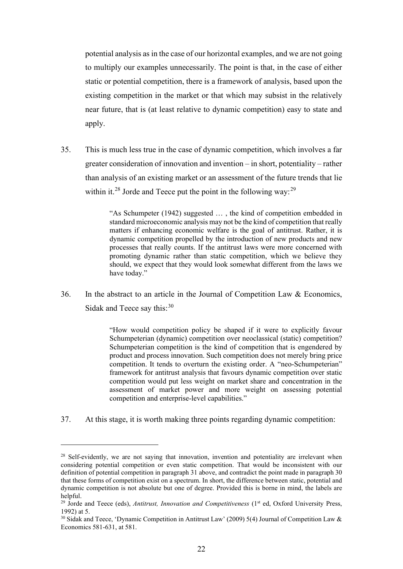potential analysis as in the case of our horizontal examples, and we are not going to multiply our examples unnecessarily. The point is that, in the case of either static or potential competition, there is a framework of analysis, based upon the existing competition in the market or that which may subsist in the relatively near future, that is (at least relative to dynamic competition) easy to state and apply.

35. This is much less true in the case of dynamic competition, which involves a far greater consideration of innovation and invention – in short, potentiality – rather than analysis of an existing market or an assessment of the future trends that lie within it.<sup>28</sup> Jorde and Teece put the point in the following way:<sup>29</sup>

> "As Schumpeter (1942) suggested … , the kind of competition embedded in standard microeconomic analysis may not be the kind of competition that really matters if enhancing economic welfare is the goal of antitrust. Rather, it is dynamic competition propelled by the introduction of new products and new processes that really counts. If the antitrust laws were more concerned with promoting dynamic rather than static competition, which we believe they should, we expect that they would look somewhat different from the laws we have today."

36. In the abstract to an article in the Journal of Competition Law & Economics, Sidak and Teece say this:<sup>30</sup>

> "How would competition policy be shaped if it were to explicitly favour Schumpeterian (dynamic) competition over neoclassical (static) competition? Schumpeterian competition is the kind of competition that is engendered by product and process innovation. Such competition does not merely bring price competition. It tends to overturn the existing order. A "neo-Schumpeterian" framework for antitrust analysis that favours dynamic competition over static competition would put less weight on market share and concentration in the assessment of market power and more weight on assessing potential competition and enterprise-level capabilities."

37. At this stage, it is worth making three points regarding dynamic competition:

<sup>&</sup>lt;sup>28</sup> Self-evidently, we are not saying that innovation, invention and potentiality are irrelevant when considering potential competition or even static competition. That would be inconsistent with our definition of potential competition in paragraph 31 above, and contradict the point made in paragraph 30 that these forms of competition exist on a spectrum. In short, the difference between static, potential and dynamic competition is not absolute but one of degree. Provided this is borne in mind, the labels are helpful.

<sup>&</sup>lt;sup>29</sup> Jorde and Teece (eds), *Antitrust, Innovation and Competitiveness* (1<sup>st</sup> ed, Oxford University Press, 1992) at 5.

<sup>&</sup>lt;sup>30</sup> Sidak and Teece, 'Dynamic Competition in Antitrust Law' (2009) 5(4) Journal of Competition Law & Economics 581-631, at 581.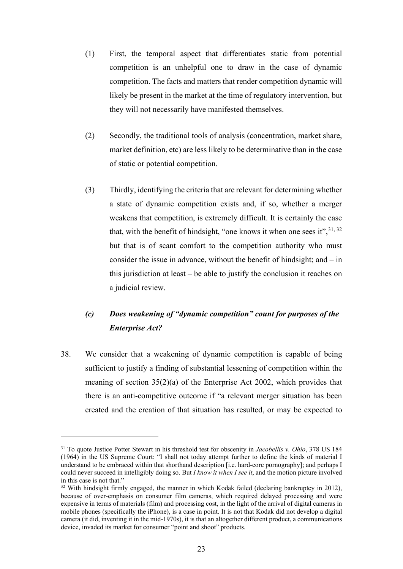- (1) First, the temporal aspect that differentiates static from potential competition is an unhelpful one to draw in the case of dynamic competition. The facts and matters that render competition dynamic will likely be present in the market at the time of regulatory intervention, but they will not necessarily have manifested themselves.
- (2) Secondly, the traditional tools of analysis (concentration, market share, market definition, etc) are less likely to be determinative than in the case of static or potential competition.
- (3) Thirdly, identifying the criteria that are relevant for determining whether a state of dynamic competition exists and, if so, whether a merger weakens that competition, is extremely difficult. It is certainly the case that, with the benefit of hindsight, "one knows it when one sees it",  $31, 32$ but that is of scant comfort to the competition authority who must consider the issue in advance, without the benefit of hindsight; and – in this jurisdiction at least – be able to justify the conclusion it reaches on a judicial review.

# *(c) Does weakening of "dynamic competition" count for purposes of the Enterprise Act?*

38. We consider that a weakening of dynamic competition is capable of being sufficient to justify a finding of substantial lessening of competition within the meaning of section 35(2)(a) of the Enterprise Act 2002, which provides that there is an anti-competitive outcome if "a relevant merger situation has been created and the creation of that situation has resulted, or may be expected to

<sup>31</sup> To quote Justice Potter Stewart in his threshold test for obscenity in *Jacobellis v. Ohio*, 378 US 184 (1964) in the US Supreme Court: "I shall not today attempt further to define the kinds of material I understand to be embraced within that shorthand description [i.e. hard-core pornography]; and perhaps I could never succeed in intelligibly doing so. But *I know it when I see it*, and the motion picture involved in this case is not that."

<sup>&</sup>lt;sup>32</sup> With hindsight firmly engaged, the manner in which Kodak failed (declaring bankruptcy in 2012), because of over-emphasis on consumer film cameras, which required delayed processing and were expensive in terms of materials (film) and processing cost, in the light of the arrival of digital cameras in mobile phones (specifically the iPhone), is a case in point. It is not that Kodak did not develop a digital camera (it did, inventing it in the mid-1970s), it is that an altogether different product, a communications device, invaded its market for consumer "point and shoot" products.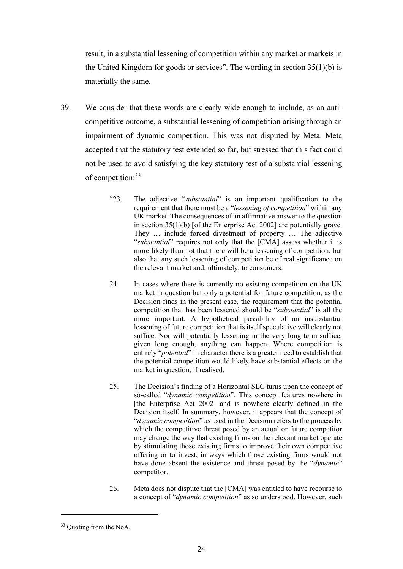result, in a substantial lessening of competition within any market or markets in the United Kingdom for goods or services". The wording in section 35(1)(b) is materially the same.

- 39. We consider that these words are clearly wide enough to include, as an anticompetitive outcome, a substantial lessening of competition arising through an impairment of dynamic competition. This was not disputed by Meta. Meta accepted that the statutory test extended so far, but stressed that this fact could not be used to avoid satisfying the key statutory test of a substantial lessening of competition:<sup>33</sup>
	- "23. The adjective "*substantial*" is an important qualification to the requirement that there must be a "*lessening of competition*" within any UK market. The consequences of an affirmative answer to the question in section 35(1)(b) [of the Enterprise Act 2002] are potentially grave. They … include forced divestment of property … The adjective "*substantial*" requires not only that the [CMA] assess whether it is more likely than not that there will be a lessening of competition, but also that any such lessening of competition be of real significance on the relevant market and, ultimately, to consumers.
	- 24. In cases where there is currently no existing competition on the UK market in question but only a potential for future competition, as the Decision finds in the present case, the requirement that the potential competition that has been lessened should be "*substantial*" is all the more important. A hypothetical possibility of an insubstantial lessening of future competition that is itself speculative will clearly not suffice. Nor will potentially lessening in the very long term suffice; given long enough, anything can happen. Where competition is entirely "*potential*" in character there is a greater need to establish that the potential competition would likely have substantial effects on the market in question, if realised.
	- 25. The Decision's finding of a Horizontal SLC turns upon the concept of so-called "*dynamic competition*". This concept features nowhere in [the Enterprise Act 2002] and is nowhere clearly defined in the Decision itself. In summary, however, it appears that the concept of "*dynamic competition*" as used in the Decision refers to the process by which the competitive threat posed by an actual or future competitor may change the way that existing firms on the relevant market operate by stimulating those existing firms to improve their own competitive offering or to invest, in ways which those existing firms would not have done absent the existence and threat posed by the "*dynamic*" competitor.
	- 26. Meta does not dispute that the [CMA] was entitled to have recourse to a concept of "*dynamic competition*" as so understood. However, such

<sup>&</sup>lt;sup>33</sup> Quoting from the NoA.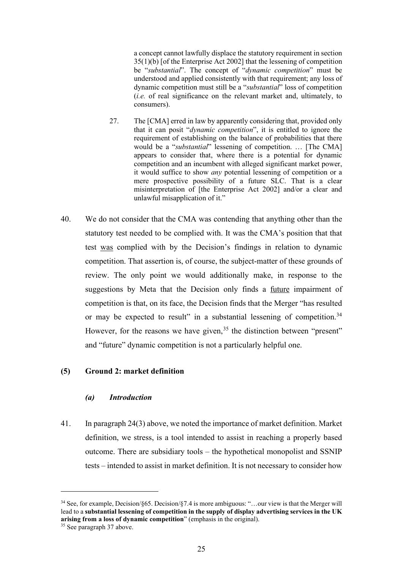a concept cannot lawfully displace the statutory requirement in section 35(1)(b) [of the Enterprise Act 2002] that the lessening of competition be "*substantial*". The concept of "*dynamic competition*" must be understood and applied consistently with that requirement; any loss of dynamic competition must still be a "*substantial*" loss of competition (*i.e.* of real significance on the relevant market and, ultimately, to consumers).

- 27. The [CMA] erred in law by apparently considering that, provided only that it can posit "*dynamic competition*", it is entitled to ignore the requirement of establishing on the balance of probabilities that there would be a "*substantial*" lessening of competition. … [The CMA] appears to consider that, where there is a potential for dynamic competition and an incumbent with alleged significant market power, it would suffice to show *any* potential lessening of competition or a mere prospective possibility of a future SLC. That is a clear misinterpretation of [the Enterprise Act 2002] and/or a clear and unlawful misapplication of it."
- 40. We do not consider that the CMA was contending that anything other than the statutory test needed to be complied with. It was the CMA's position that that test was complied with by the Decision's findings in relation to dynamic competition. That assertion is, of course, the subject-matter of these grounds of review. The only point we would additionally make, in response to the suggestions by Meta that the Decision only finds a future impairment of competition is that, on its face, the Decision finds that the Merger "has resulted or may be expected to result" in a substantial lessening of competition.<sup>34</sup> However, for the reasons we have given,  $35$  the distinction between "present" and "future" dynamic competition is not a particularly helpful one.

#### **(5) Ground 2: market definition**

#### *(a) Introduction*

41. In paragraph 24(3) above, we noted the importance of market definition. Market definition, we stress, is a tool intended to assist in reaching a properly based outcome. There are subsidiary tools – the hypothetical monopolist and SSNIP tests – intended to assist in market definition. It is not necessary to consider how

<sup>34</sup> See, for example, Decision/§65. Decision/§7.4 is more ambiguous: "…our view is that the Merger will lead to a **substantial lessening of competition in the supply of display advertising services in the UK arising from a loss of dynamic competition**" (emphasis in the original). 35 See paragraph 37 above.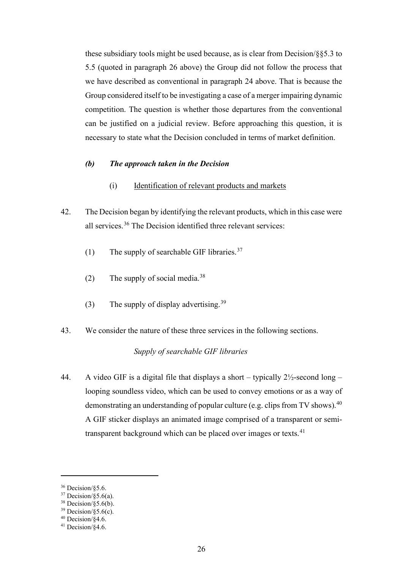these subsidiary tools might be used because, as is clear from Decision/§§5.3 to 5.5 (quoted in paragraph 26 above) the Group did not follow the process that we have described as conventional in paragraph 24 above. That is because the Group considered itself to be investigating a case of a merger impairing dynamic competition. The question is whether those departures from the conventional can be justified on a judicial review. Before approaching this question, it is necessary to state what the Decision concluded in terms of market definition.

#### *(b) The approach taken in the Decision*

- (i) Identification of relevant products and markets
- 42. The Decision began by identifying the relevant products, which in this case were all services.<sup>36</sup> The Decision identified three relevant services:
	- (1) The supply of searchable GIF libraries.<sup>37</sup>
	- (2) The supply of social media.<sup>38</sup>
	- (3) The supply of display advertising.<sup>39</sup>
- 43. We consider the nature of these three services in the following sections.

## *Supply of searchable GIF libraries*

44. A video GIF is a digital file that displays a short – typically  $2\frac{1}{2}$ -second long – looping soundless video, which can be used to convey emotions or as a way of demonstrating an understanding of popular culture (e.g. clips from TV shows).  $40$ A GIF sticker displays an animated image comprised of a transparent or semitransparent background which can be placed over images or texts.<sup>41</sup>

<sup>36</sup> Decision/§5.6.

 $37$  Decision/§5.6(a).

 $38$  Decision/§5.6(b).

 $39$  Decision/ $\sqrt{$}5.6(c)$ .

 $40$  Decision/ $§4.6$ .

<sup>41</sup> Decision/§4.6.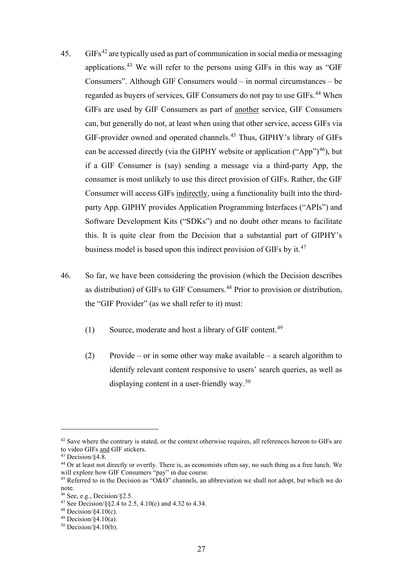- $45.$  GIFs<sup>42</sup> are typically used as part of communication in social media or messaging applications.<sup>43</sup> We will refer to the persons using GIFs in this way as "GIF Consumers". Although GIF Consumers would – in normal circumstances – be regarded as buyers of services, GIF Consumers do not pay to use GIFs.<sup>44</sup> When GIFs are used by GIF Consumers as part of another service, GIF Consumers can, but generally do not, at least when using that other service, access GIFs via GIF-provider owned and operated channels.<sup>45</sup> Thus, GIPHY's library of GIFs can be accessed directly (via the GIPHY website or application ("App")<sup>46</sup>), but if a GIF Consumer is (say) sending a message via a third-party App, the consumer is most unlikely to use this direct provision of GIFs. Rather, the GIF Consumer will access GIFs indirectly, using a functionality built into the thirdparty App. GIPHY provides Application Programming Interfaces ("APIs") and Software Development Kits ("SDKs") and no doubt other means to facilitate this. It is quite clear from the Decision that a substantial part of GIPHY's business model is based upon this indirect provision of GIFs by it.<sup>47</sup>
- 46. So far, we have been considering the provision (which the Decision describes as distribution) of GIFs to GIF Consumers.<sup>48</sup> Prior to provision or distribution, the "GIF Provider" (as we shall refer to it) must:
	- (1) Source, moderate and host a library of GIF content.<sup>49</sup>
	- (2) Provide or in some other way make available a search algorithm to identify relevant content responsive to users' search queries, as well as displaying content in a user-friendly way.<sup>50</sup>

 $42$  Save where the contrary is stated, or the context otherwise requires, all references hereon to GIFs are to video GIFs and GIF stickers.

 $43$  Decision/ $84.\overline{8}$ .

<sup>&</sup>lt;sup>44</sup> Or at least not directly or overtly. There is, as economists often say, no such thing as a free lunch. We will explore how GIF Consumers "pay" in due course.

<sup>&</sup>lt;sup>45</sup> Referred to in the Decision as "O&O" channels, an abbreviation we shall not adopt, but which we do note.<br><sup>46</sup> See, e.g., Decision/§2.5.

<sup>&</sup>lt;sup>47</sup> See Decision/§§2.4 to 2.5, 4.10(c) and 4.32 to 4.34.

 $48$  Decision/ $\sqrt{4.10(c)}$ .

 $49$  Decision/ $\overline{\$4.10(a)}$ .

 $50$  Decision/§4.10(b).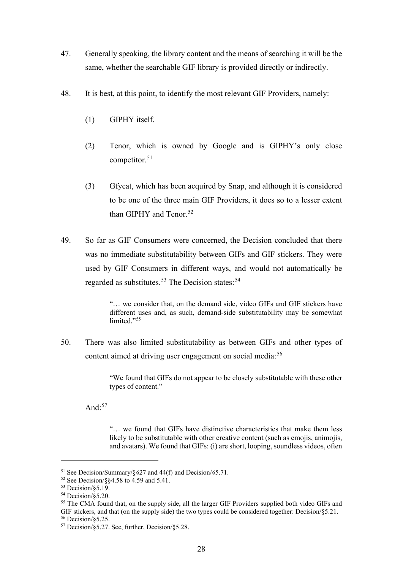- 47. Generally speaking, the library content and the means of searching it will be the same, whether the searchable GIF library is provided directly or indirectly.
- 48. It is best, at this point, to identify the most relevant GIF Providers, namely:
	- (1) GIPHY itself.
	- (2) Tenor, which is owned by Google and is GIPHY's only close competitor.<sup>51</sup>
	- (3) Gfycat, which has been acquired by Snap, and although it is considered to be one of the three main GIF Providers, it does so to a lesser extent than GIPHY and Tenor.<sup>52</sup>
- 49. So far as GIF Consumers were concerned, the Decision concluded that there was no immediate substitutability between GIFs and GIF stickers. They were used by GIF Consumers in different ways, and would not automatically be regarded as substitutes.<sup>53</sup> The Decision states:<sup>54</sup>

"… we consider that, on the demand side, video GIFs and GIF stickers have different uses and, as such, demand-side substitutability may be somewhat limited."<sup>55</sup>

50. There was also limited substitutability as between GIFs and other types of content aimed at driving user engagement on social media:<sup>56</sup>

> "We found that GIFs do not appear to be closely substitutable with these other types of content."

And $\cdot$ <sup>57</sup>

"… we found that GIFs have distinctive characteristics that make them less likely to be substitutable with other creative content (such as emojis, animojis, and avatars). We found that GIFs: (i) are short, looping, soundless videos, often

<sup>&</sup>lt;sup>51</sup> See Decision/Summary/ $\S$ §27 and 44(f) and Decision/ $\S$ 5.71.

<sup>52</sup> See Decision/§§4.58 to 4.59 and 5.41.<br>53 Decision/85.19.

<sup>54</sup> Decision/§5.20.

<sup>&</sup>lt;sup>55</sup> The CMA found that, on the supply side, all the larger GIF Providers supplied both video GIFs and GIF stickers, and that (on the supply side) the two types could be considered together: Decision/§5.21. <sup>56</sup> Decision/§5.25.

 $57$  Decision/ $\S$ 5.27. See, further, Decision/ $\S$ 5.28.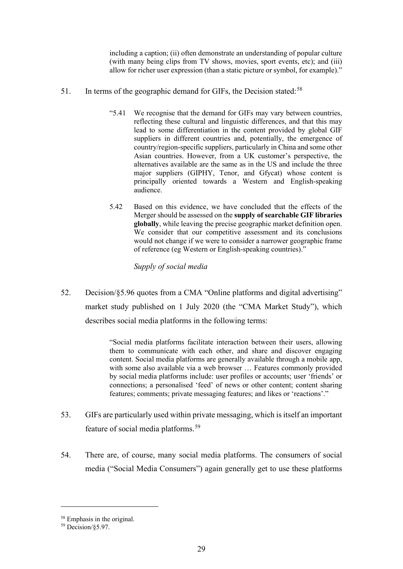including a caption; (ii) often demonstrate an understanding of popular culture (with many being clips from TV shows, movies, sport events, etc); and (iii) allow for richer user expression (than a static picture or symbol, for example)."

- 51. In terms of the geographic demand for GIFs, the Decision stated:<sup>58</sup>
	- "5.41 We recognise that the demand for GIFs may vary between countries, reflecting these cultural and linguistic differences, and that this may lead to some differentiation in the content provided by global GIF suppliers in different countries and, potentially, the emergence of country/region-specific suppliers, particularly in China and some other Asian countries. However, from a UK customer's perspective, the alternatives available are the same as in the US and include the three major suppliers (GIPHY, Tenor, and Gfycat) whose content is principally oriented towards a Western and English-speaking audience.
	- 5.42 Based on this evidence, we have concluded that the effects of the Merger should be assessed on the **supply of searchable GIF libraries globally**, while leaving the precise geographic market definition open. We consider that our competitive assessment and its conclusions would not change if we were to consider a narrower geographic frame of reference (eg Western or English-speaking countries)."

*Supply of social media* 

52. Decision/§5.96 quotes from a CMA "Online platforms and digital advertising" market study published on 1 July 2020 (the "CMA Market Study"), which describes social media platforms in the following terms:

> "Social media platforms facilitate interaction between their users, allowing them to communicate with each other, and share and discover engaging content. Social media platforms are generally available through a mobile app, with some also available via a web browser ... Features commonly provided by social media platforms include: user profiles or accounts; user 'friends' or connections; a personalised 'feed' of news or other content; content sharing features; comments; private messaging features; and likes or 'reactions'."

- 53. GIFs are particularly used within private messaging, which is itself an important feature of social media platforms.<sup>59</sup>
- 54. There are, of course, many social media platforms. The consumers of social media ("Social Media Consumers") again generally get to use these platforms

<sup>58</sup> Emphasis in the original.

<sup>59</sup> Decision/§5.97.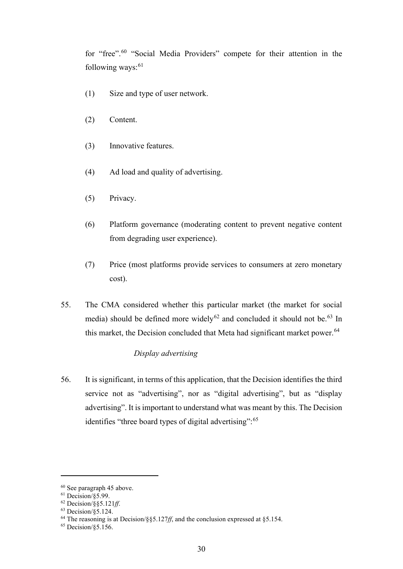for "free".<sup>60</sup> "Social Media Providers" compete for their attention in the following ways: $61$ 

- (1) Size and type of user network.
- (2) Content.
- (3) Innovative features.
- (4) Ad load and quality of advertising.
- (5) Privacy.
- (6) Platform governance (moderating content to prevent negative content from degrading user experience).
- (7) Price (most platforms provide services to consumers at zero monetary cost).
- 55. The CMA considered whether this particular market (the market for social media) should be defined more widely<sup>62</sup> and concluded it should not be.<sup>63</sup> In this market, the Decision concluded that Meta had significant market power.<sup>64</sup>

# *Display advertising*

56. It is significant, in terms of this application, that the Decision identifies the third service not as "advertising", nor as "digital advertising", but as "display advertising". It is important to understand what was meant by this. The Decision identifies "three board types of digital advertising": <sup>65</sup>

<sup>60</sup> See paragraph 45 above.

 $61$  Decision/ $\S$ 5.99.

<sup>62</sup> Decision/§§5.121*ff*.

 $63$  Decision/ $\overline{\$5.124.}$ 

<sup>64</sup> The reasoning is at Decision/§§5.127*ff*, and the conclusion expressed at §5.154.

<sup>65</sup> Decision/§5.156.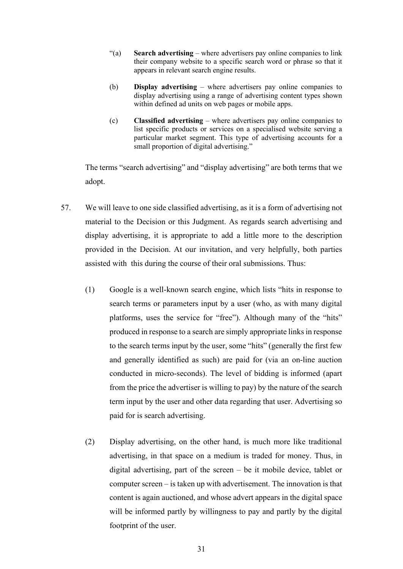- "(a) **Search advertising** where advertisers pay online companies to link their company website to a specific search word or phrase so that it appears in relevant search engine results.
- (b) **Display advertising** where advertisers pay online companies to display advertising using a range of advertising content types shown within defined ad units on web pages or mobile apps.
- (c) **Classified advertising** where advertisers pay online companies to list specific products or services on a specialised website serving a particular market segment. This type of advertising accounts for a small proportion of digital advertising."

The terms "search advertising" and "display advertising" are both terms that we adopt.

- 57. We will leave to one side classified advertising, as it is a form of advertising not material to the Decision or this Judgment. As regards search advertising and display advertising, it is appropriate to add a little more to the description provided in the Decision. At our invitation, and very helpfully, both parties assisted with this during the course of their oral submissions. Thus:
	- (1) Google is a well-known search engine, which lists "hits in response to search terms or parameters input by a user (who, as with many digital platforms, uses the service for "free"). Although many of the "hits" produced in response to a search are simply appropriate links in response to the search terms input by the user, some "hits" (generally the first few and generally identified as such) are paid for (via an on-line auction conducted in micro-seconds). The level of bidding is informed (apart from the price the advertiser is willing to pay) by the nature of the search term input by the user and other data regarding that user. Advertising so paid for is search advertising.
	- (2) Display advertising, on the other hand, is much more like traditional advertising, in that space on a medium is traded for money. Thus, in digital advertising, part of the screen – be it mobile device, tablet or computer screen – is taken up with advertisement. The innovation is that content is again auctioned, and whose advert appears in the digital space will be informed partly by willingness to pay and partly by the digital footprint of the user.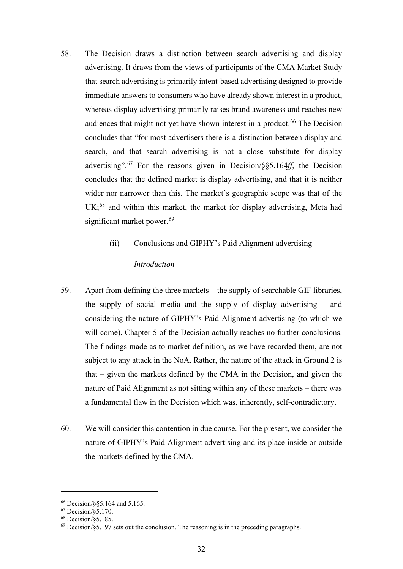58. The Decision draws a distinction between search advertising and display advertising. It draws from the views of participants of the CMA Market Study that search advertising is primarily intent-based advertising designed to provide immediate answers to consumers who have already shown interest in a product, whereas display advertising primarily raises brand awareness and reaches new audiences that might not yet have shown interest in a product.<sup>66</sup> The Decision concludes that "for most advertisers there is a distinction between display and search, and that search advertising is not a close substitute for display advertising".<sup>67</sup> For the reasons given in Decision/§§5.164*ff*, the Decision concludes that the defined market is display advertising, and that it is neither wider nor narrower than this. The market's geographic scope was that of the UK;<sup>68</sup> and within this market, the market for display advertising, Meta had significant market power.<sup>69</sup>

# (ii) Conclusions and GIPHY's Paid Alignment advertising

# *Introduction*

- 59. Apart from defining the three markets the supply of searchable GIF libraries, the supply of social media and the supply of display advertising – and considering the nature of GIPHY's Paid Alignment advertising (to which we will come), Chapter 5 of the Decision actually reaches no further conclusions. The findings made as to market definition, as we have recorded them, are not subject to any attack in the NoA. Rather, the nature of the attack in Ground 2 is that – given the markets defined by the CMA in the Decision, and given the nature of Paid Alignment as not sitting within any of these markets – there was a fundamental flaw in the Decision which was, inherently, self-contradictory.
- 60. We will consider this contention in due course. For the present, we consider the nature of GIPHY's Paid Alignment advertising and its place inside or outside the markets defined by the CMA.

<sup>66</sup> Decision/§§5.164 and 5.165.

 $67$  Decision/ $\overline{$}5.170$ .

 $68$  Decision/ $\check{\S}5.185$ .

 $^{69}$  Decision/ $\S$ 5.197 sets out the conclusion. The reasoning is in the preceding paragraphs.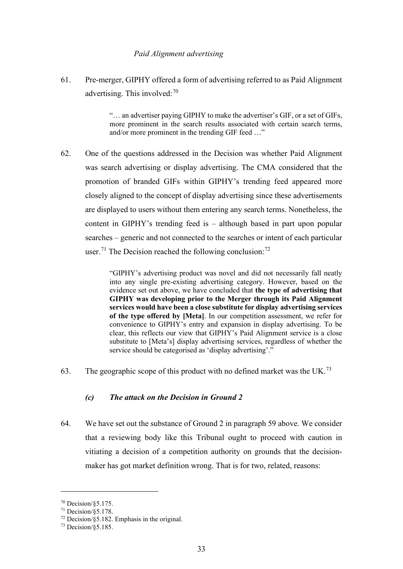#### *Paid Alignment advertising*

61. Pre-merger, GIPHY offered a form of advertising referred to as Paid Alignment advertising. This involved:<sup>70</sup>

> "… an advertiser paying GIPHY to make the advertiser's GIF, or a set of GIFs, more prominent in the search results associated with certain search terms, and/or more prominent in the trending GIF feed …"

62. One of the questions addressed in the Decision was whether Paid Alignment was search advertising or display advertising. The CMA considered that the promotion of branded GIFs within GIPHY's trending feed appeared more closely aligned to the concept of display advertising since these advertisements are displayed to users without them entering any search terms. Nonetheless, the content in GIPHY's trending feed is – although based in part upon popular searches – generic and not connected to the searches or intent of each particular user.<sup>71</sup> The Decision reached the following conclusion:<sup>72</sup>

> "GIPHY's advertising product was novel and did not necessarily fall neatly into any single pre-existing advertising category. However, based on the evidence set out above, we have concluded that **the type of advertising that GIPHY was developing prior to the Merger through its Paid Alignment services would have been a close substitute for display advertising services of the type offered by [Meta]**. In our competition assessment, we refer for convenience to GIPHY's entry and expansion in display advertising. To be clear, this reflects our view that GIPHY's Paid Alignment service is a close substitute to [Meta's] display advertising services, regardless of whether the service should be categorised as 'display advertising'."

63. The geographic scope of this product with no defined market was the UK.<sup>73</sup>

## *(c) The attack on the Decision in Ground 2*

64. We have set out the substance of Ground 2 in paragraph 59 above. We consider that a reviewing body like this Tribunal ought to proceed with caution in vitiating a decision of a competition authority on grounds that the decisionmaker has got market definition wrong. That is for two, related, reasons:

<sup>70</sup> Decision/§5.175.

 $71$  Decision/ $\overline{\$5.178$ .

 $72$  Decision/§5.182. Emphasis in the original.

<sup>73</sup> Decision/§5.185.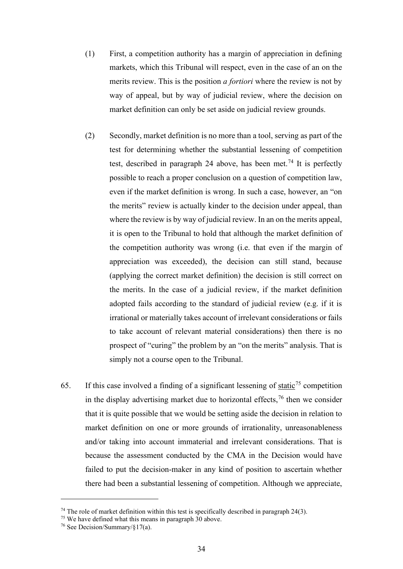- (1) First, a competition authority has a margin of appreciation in defining markets, which this Tribunal will respect, even in the case of an on the merits review. This is the position *a fortiori* where the review is not by way of appeal, but by way of judicial review, where the decision on market definition can only be set aside on judicial review grounds.
- (2) Secondly, market definition is no more than a tool, serving as part of the test for determining whether the substantial lessening of competition test, described in paragraph 24 above, has been met.<sup>74</sup> It is perfectly possible to reach a proper conclusion on a question of competition law, even if the market definition is wrong. In such a case, however, an "on the merits" review is actually kinder to the decision under appeal, than where the review is by way of judicial review. In an on the merits appeal, it is open to the Tribunal to hold that although the market definition of the competition authority was wrong (i.e. that even if the margin of appreciation was exceeded), the decision can still stand, because (applying the correct market definition) the decision is still correct on the merits. In the case of a judicial review, if the market definition adopted fails according to the standard of judicial review (e.g. if it is irrational or materially takes account of irrelevant considerations or fails to take account of relevant material considerations) then there is no prospect of "curing" the problem by an "on the merits" analysis. That is simply not a course open to the Tribunal.
- 65. If this case involved a finding of a significant lessening of static<sup>75</sup> competition in the display advertising market due to horizontal effects,  $76$  then we consider that it is quite possible that we would be setting aside the decision in relation to market definition on one or more grounds of irrationality, unreasonableness and/or taking into account immaterial and irrelevant considerations. That is because the assessment conducted by the CMA in the Decision would have failed to put the decision-maker in any kind of position to ascertain whether there had been a substantial lessening of competition. Although we appreciate,

<sup>&</sup>lt;sup>74</sup> The role of market definition within this test is specifically described in paragraph  $24(3)$ .<br><sup>75</sup> We have defined what this means in paragraph 30 above.

<sup>&</sup>lt;sup>76</sup> See Decision/Summary/ $§17(a)$ .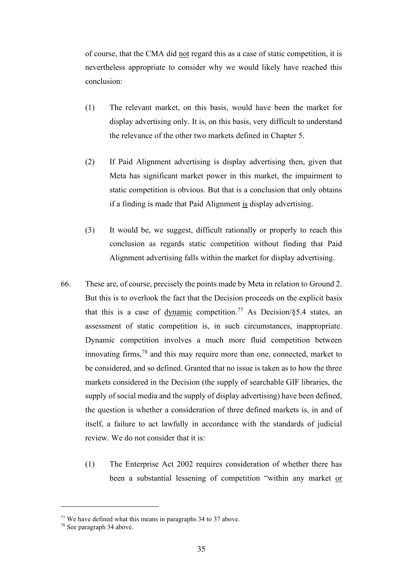of course, that the CMA did not regard this as a case of static competition, it is nevertheless appropriate to consider why we would likely have reached this conclusion:

- (1) The relevant market, on this basis, would have been the market for display advertising only. It is, on this basis, very difficult to understand the relevance of the other two markets defined in Chapter 5.
- (2) If Paid Alignment advertising is display advertising then, given that Meta has significant market power in this market, the impairment to static competition is obvious. But that is a conclusion that only obtains if a finding is made that Paid Alignment is display advertising.
- (3) It would be, we suggest, difficult rationally or properly to reach this conclusion as regards static competition without finding that Paid Alignment advertising falls within the market for display advertising.
- 66. These are, of course, precisely the points made by Meta in relation to Ground 2. But this is to overlook the fact that the Decision proceeds on the explicit basis that this is a case of dynamic competition.<sup>77</sup> As Decision/ $§5.4$  states, an assessment of static competition is, in such circumstances, inappropriate. Dynamic competition involves a much more fluid competition between innovating firms, $78$  and this may require more than one, connected, market to be considered, and so defined. Granted that no issue is taken as to how the three markets considered in the Decision (the supply of searchable GIF libraries, the supply of social media and the supply of display advertising) have been defined, the question is whether a consideration of three defined markets is, in and of itself, a failure to act lawfully in accordance with the standards of judicial review. We do not consider that it is:
	- (1) The Enterprise Act 2002 requires consideration of whether there has been a substantial lessening of competition "within any market or

<sup>77</sup> We have defined what this means in paragraphs 34 to 37 above.

<sup>78</sup> See paragraph 34 above.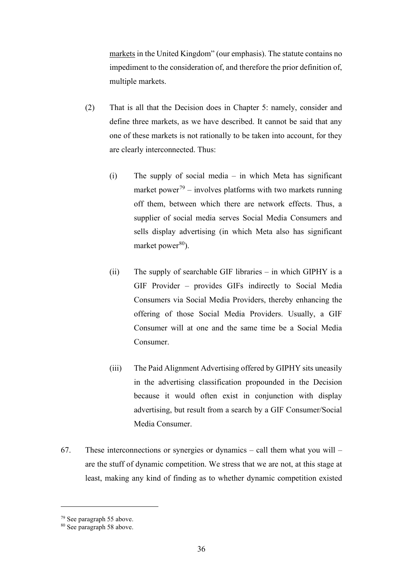markets in the United Kingdom" (our emphasis). The statute contains no impediment to the consideration of, and therefore the prior definition of, multiple markets.

- (2) That is all that the Decision does in Chapter 5: namely, consider and define three markets, as we have described. It cannot be said that any one of these markets is not rationally to be taken into account, for they are clearly interconnected. Thus:
	- (i) The supply of social media in which Meta has significant market power<sup>79</sup> – involves platforms with two markets running off them, between which there are network effects. Thus, a supplier of social media serves Social Media Consumers and sells display advertising (in which Meta also has significant market power $80$ ).
	- (ii) The supply of searchable GIF libraries in which GIPHY is a GIF Provider – provides GIFs indirectly to Social Media Consumers via Social Media Providers, thereby enhancing the offering of those Social Media Providers. Usually, a GIF Consumer will at one and the same time be a Social Media Consumer.
	- (iii) The Paid Alignment Advertising offered by GIPHY sits uneasily in the advertising classification propounded in the Decision because it would often exist in conjunction with display advertising, but result from a search by a GIF Consumer/Social Media Consumer.
- 67. These interconnections or synergies or dynamics call them what you will are the stuff of dynamic competition. We stress that we are not, at this stage at least, making any kind of finding as to whether dynamic competition existed

<sup>79</sup> See paragraph 55 above.

<sup>80</sup> See paragraph 58 above.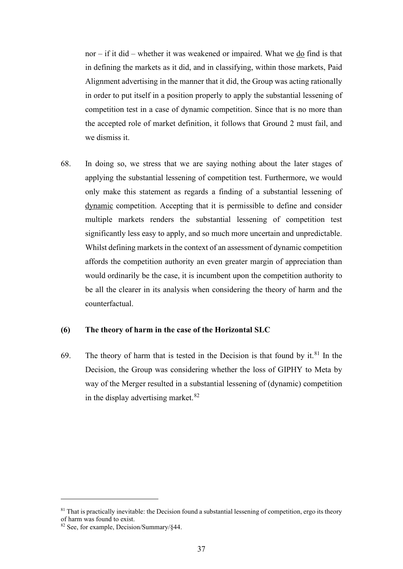nor – if it did – whether it was weakened or impaired. What we do find is that in defining the markets as it did, and in classifying, within those markets, Paid Alignment advertising in the manner that it did, the Group was acting rationally in order to put itself in a position properly to apply the substantial lessening of competition test in a case of dynamic competition. Since that is no more than the accepted role of market definition, it follows that Ground 2 must fail, and we dismiss it.

68. In doing so, we stress that we are saying nothing about the later stages of applying the substantial lessening of competition test. Furthermore, we would only make this statement as regards a finding of a substantial lessening of dynamic competition. Accepting that it is permissible to define and consider multiple markets renders the substantial lessening of competition test significantly less easy to apply, and so much more uncertain and unpredictable. Whilst defining markets in the context of an assessment of dynamic competition affords the competition authority an even greater margin of appreciation than would ordinarily be the case, it is incumbent upon the competition authority to be all the clearer in its analysis when considering the theory of harm and the counterfactual.

## **(6) The theory of harm in the case of the Horizontal SLC**

69. The theory of harm that is tested in the Decision is that found by it. $81$  In the Decision, the Group was considering whether the loss of GIPHY to Meta by way of the Merger resulted in a substantial lessening of (dynamic) competition in the display advertising market. $82$ 

 $81$  That is practically inevitable: the Decision found a substantial lessening of competition, ergo its theory of harm was found to exist.

<sup>82</sup> See, for example, Decision/Summary/§44.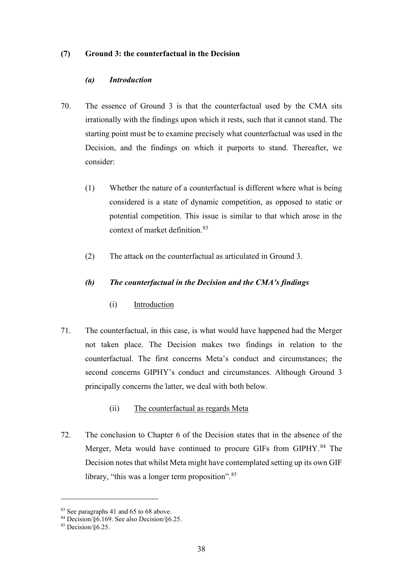## **(7) Ground 3: the counterfactual in the Decision**

## *(a) Introduction*

- 70. The essence of Ground 3 is that the counterfactual used by the CMA sits irrationally with the findings upon which it rests, such that it cannot stand. The starting point must be to examine precisely what counterfactual was used in the Decision, and the findings on which it purports to stand. Thereafter, we consider:
	- (1) Whether the nature of a counterfactual is different where what is being considered is a state of dynamic competition, as opposed to static or potential competition. This issue is similar to that which arose in the context of market definition.<sup>83</sup>
	- (2) The attack on the counterfactual as articulated in Ground 3.

## *(b) The counterfactual in the Decision and the CMA's findings*

- (i) Introduction
- 71. The counterfactual, in this case, is what would have happened had the Merger not taken place. The Decision makes two findings in relation to the counterfactual. The first concerns Meta's conduct and circumstances; the second concerns GIPHY's conduct and circumstances. Although Ground 3 principally concerns the latter, we deal with both below.
	- (ii) The counterfactual as regards Meta
- 72. The conclusion to Chapter 6 of the Decision states that in the absence of the Merger, Meta would have continued to procure GIFs from GIPHY.<sup>84</sup> The Decision notes that whilst Meta might have contemplated setting up its own GIF library, "this was a longer term proposition".<sup>85</sup>

<sup>&</sup>lt;sup>83</sup> See paragraphs 41 and 65 to 68 above.

 $84$  Decision/ $\delta$ 6.169. See also Decision/ $\delta$ 6.25.

<sup>85</sup> Decision/§6.25.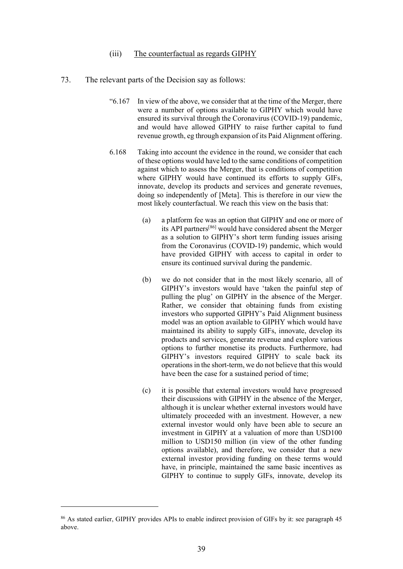#### (iii) The counterfactual as regards GIPHY

- 73. The relevant parts of the Decision say as follows:
	- "6.167 In view of the above, we consider that at the time of the Merger, there were a number of options available to GIPHY which would have ensured its survival through the Coronavirus (COVID-19) pandemic, and would have allowed GIPHY to raise further capital to fund revenue growth, eg through expansion of its Paid Alignment offering.
	- 6.168 Taking into account the evidence in the round, we consider that each of these options would have led to the same conditions of competition against which to assess the Merger, that is conditions of competition where GIPHY would have continued its efforts to supply GIFs, innovate, develop its products and services and generate revenues, doing so independently of [Meta]. This is therefore in our view the most likely counterfactual. We reach this view on the basis that:
		- (a) a platform fee was an option that GIPHY and one or more of its API partners[86] would have considered absent the Merger as a solution to GIPHY's short term funding issues arising from the Coronavirus (COVID-19) pandemic, which would have provided GIPHY with access to capital in order to ensure its continued survival during the pandemic.
		- (b) we do not consider that in the most likely scenario, all of GIPHY's investors would have 'taken the painful step of pulling the plug' on GIPHY in the absence of the Merger. Rather, we consider that obtaining funds from existing investors who supported GIPHY's Paid Alignment business model was an option available to GIPHY which would have maintained its ability to supply GIFs, innovate, develop its products and services, generate revenue and explore various options to further monetise its products. Furthermore, had GIPHY's investors required GIPHY to scale back its operations in the short-term, we do not believe that this would have been the case for a sustained period of time;
		- (c) it is possible that external investors would have progressed their discussions with GIPHY in the absence of the Merger, although it is unclear whether external investors would have ultimately proceeded with an investment. However, a new external investor would only have been able to secure an investment in GIPHY at a valuation of more than USD100 million to USD150 million (in view of the other funding options available), and therefore, we consider that a new external investor providing funding on these terms would have, in principle, maintained the same basic incentives as GIPHY to continue to supply GIFs, innovate, develop its

<sup>&</sup>lt;sup>86</sup> As stated earlier, GIPHY provides APIs to enable indirect provision of GIFs by it: see paragraph 45 above.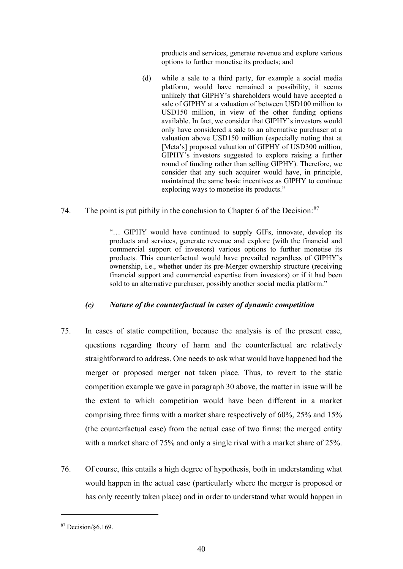products and services, generate revenue and explore various options to further monetise its products; and

- (d) while a sale to a third party, for example a social media platform, would have remained a possibility, it seems unlikely that GIPHY's shareholders would have accepted a sale of GIPHY at a valuation of between USD100 million to USD150 million, in view of the other funding options available. In fact, we consider that GIPHY's investors would only have considered a sale to an alternative purchaser at a valuation above USD150 million (especially noting that at [Meta's] proposed valuation of GIPHY of USD300 million, GIPHY's investors suggested to explore raising a further round of funding rather than selling GIPHY). Therefore, we consider that any such acquirer would have, in principle, maintained the same basic incentives as GIPHY to continue exploring ways to monetise its products."
- 74. The point is put pithily in the conclusion to Chapter 6 of the Decision:  $87$

"… GIPHY would have continued to supply GIFs, innovate, develop its products and services, generate revenue and explore (with the financial and commercial support of investors) various options to further monetise its products. This counterfactual would have prevailed regardless of GIPHY's ownership, i.e., whether under its pre-Merger ownership structure (receiving financial support and commercial expertise from investors) or if it had been sold to an alternative purchaser, possibly another social media platform."

## *(c) Nature of the counterfactual in cases of dynamic competition*

- 75. In cases of static competition, because the analysis is of the present case, questions regarding theory of harm and the counterfactual are relatively straightforward to address. One needs to ask what would have happened had the merger or proposed merger not taken place. Thus, to revert to the static competition example we gave in paragraph 30 above, the matter in issue will be the extent to which competition would have been different in a market comprising three firms with a market share respectively of 60%, 25% and 15% (the counterfactual case) from the actual case of two firms: the merged entity with a market share of 75% and only a single rival with a market share of 25%.
- 76. Of course, this entails a high degree of hypothesis, both in understanding what would happen in the actual case (particularly where the merger is proposed or has only recently taken place) and in order to understand what would happen in

<sup>87</sup> Decision/§6.169.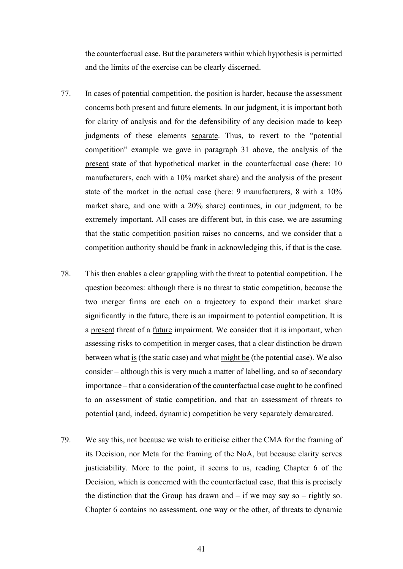the counterfactual case. But the parameters within which hypothesis is permitted and the limits of the exercise can be clearly discerned.

- 77. In cases of potential competition, the position is harder, because the assessment concerns both present and future elements. In our judgment, it is important both for clarity of analysis and for the defensibility of any decision made to keep judgments of these elements separate. Thus, to revert to the "potential competition" example we gave in paragraph 31 above, the analysis of the present state of that hypothetical market in the counterfactual case (here: 10 manufacturers, each with a 10% market share) and the analysis of the present state of the market in the actual case (here: 9 manufacturers, 8 with a 10% market share, and one with a 20% share) continues, in our judgment, to be extremely important. All cases are different but, in this case, we are assuming that the static competition position raises no concerns, and we consider that a competition authority should be frank in acknowledging this, if that is the case.
- 78. This then enables a clear grappling with the threat to potential competition. The question becomes: although there is no threat to static competition, because the two merger firms are each on a trajectory to expand their market share significantly in the future, there is an impairment to potential competition. It is a present threat of a future impairment. We consider that it is important, when assessing risks to competition in merger cases, that a clear distinction be drawn between what is (the static case) and what might be (the potential case). We also consider – although this is very much a matter of labelling, and so of secondary importance – that a consideration of the counterfactual case ought to be confined to an assessment of static competition, and that an assessment of threats to potential (and, indeed, dynamic) competition be very separately demarcated.
- 79. We say this, not because we wish to criticise either the CMA for the framing of its Decision, nor Meta for the framing of the NoA, but because clarity serves justiciability. More to the point, it seems to us, reading Chapter 6 of the Decision, which is concerned with the counterfactual case, that this is precisely the distinction that the Group has drawn and  $-$  if we may say so  $-$  rightly so. Chapter 6 contains no assessment, one way or the other, of threats to dynamic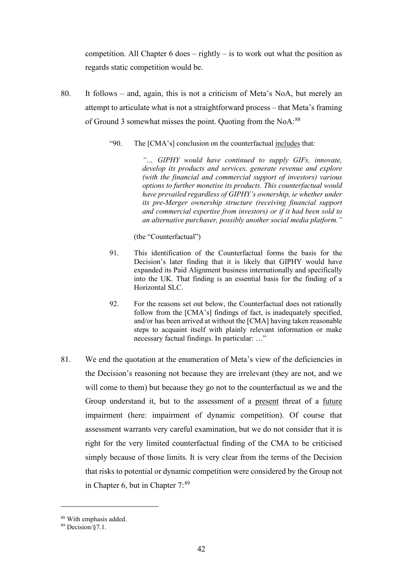competition. All Chapter 6 does – rightly – is to work out what the position as regards static competition would be.

- 80. It follows and, again, this is not a criticism of Meta's NoA, but merely an attempt to articulate what is not a straightforward process – that Meta's framing of Ground 3 somewhat misses the point. Quoting from the NoA:<sup>88</sup>
	- "90. The [CMA's] conclusion on the counterfactual includes that:

*"… GIPHY would have continued to supply GIFs, innovate, develop its products and services, generate revenue and explore (with the financial and commercial support of investors) various options to further monetise its products. This counterfactual would have prevailed regardless of GIPHY's ownership, ie whether under its pre-Merger ownership structure (receiving financial support and commercial expertise from investors) or if it had been sold to an alternative purchaser, possibly another social media platform."* 

(the "Counterfactual")

- 91. This identification of the Counterfactual forms the basis for the Decision's later finding that it is likely that GIPHY would have expanded its Paid Alignment business internationally and specifically into the UK. That finding is an essential basis for the finding of a Horizontal SLC.
- 92. For the reasons set out below, the Counterfactual does not rationally follow from the [CMA's] findings of fact, is inadequately specified, and/or has been arrived at without the [CMA] having taken reasonable steps to acquaint itself with plainly relevant information or make necessary factual findings. In particular: …"
- 81. We end the quotation at the enumeration of Meta's view of the deficiencies in the Decision's reasoning not because they are irrelevant (they are not, and we will come to them) but because they go not to the counterfactual as we and the Group understand it, but to the assessment of a present threat of a future impairment (here: impairment of dynamic competition). Of course that assessment warrants very careful examination, but we do not consider that it is right for the very limited counterfactual finding of the CMA to be criticised simply because of those limits. It is very clear from the terms of the Decision that risks to potential or dynamic competition were considered by the Group not in Chapter 6, but in Chapter  $7:89$

<sup>88</sup> With emphasis added.

<sup>89</sup> Decision/§7.1.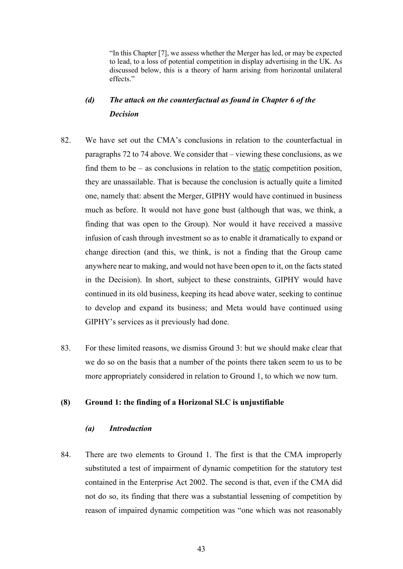"In this Chapter [7], we assess whether the Merger has led, or may be expected to lead, to a loss of potential competition in display advertising in the UK. As discussed below, this is a theory of harm arising from horizontal unilateral effects."

# *(d) The attack on the counterfactual as found in Chapter 6 of the Decision*

- 82. We have set out the CMA's conclusions in relation to the counterfactual in paragraphs 72 to 74 above. We consider that – viewing these conclusions, as we find them to be  $-$  as conclusions in relation to the static competition position, they are unassailable. That is because the conclusion is actually quite a limited one, namely that: absent the Merger, GIPHY would have continued in business much as before. It would not have gone bust (although that was, we think, a finding that was open to the Group). Nor would it have received a massive infusion of cash through investment so as to enable it dramatically to expand or change direction (and this, we think, is not a finding that the Group came anywhere near to making, and would not have been open to it, on the facts stated in the Decision). In short, subject to these constraints, GIPHY would have continued in its old business, keeping its head above water, seeking to continue to develop and expand its business; and Meta would have continued using GIPHY's services as it previously had done.
- 83. For these limited reasons, we dismiss Ground 3: but we should make clear that we do so on the basis that a number of the points there taken seem to us to be more appropriately considered in relation to Ground 1, to which we now turn.

#### **(8) Ground 1: the finding of a Horizonal SLC is unjustifiable**

#### *(a) Introduction*

84. There are two elements to Ground 1. The first is that the CMA improperly substituted a test of impairment of dynamic competition for the statutory test contained in the Enterprise Act 2002. The second is that, even if the CMA did not do so, its finding that there was a substantial lessening of competition by reason of impaired dynamic competition was "one which was not reasonably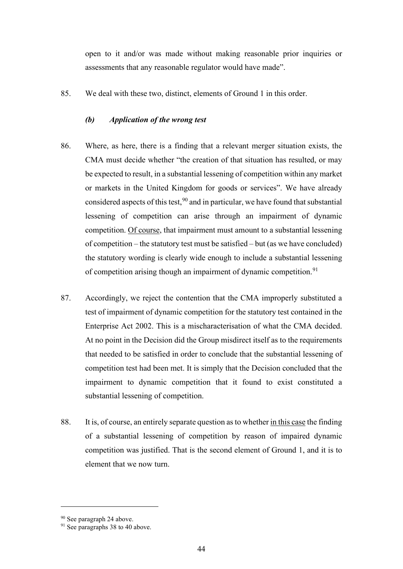open to it and/or was made without making reasonable prior inquiries or assessments that any reasonable regulator would have made".

85. We deal with these two, distinct, elements of Ground 1 in this order.

### *(b) Application of the wrong test*

- 86. Where, as here, there is a finding that a relevant merger situation exists, the CMA must decide whether "the creation of that situation has resulted, or may be expected to result, in a substantial lessening of competition within any market or markets in the United Kingdom for goods or services". We have already considered aspects of this test,  $90$  and in particular, we have found that substantial lessening of competition can arise through an impairment of dynamic competition. Of course, that impairment must amount to a substantial lessening of competition – the statutory test must be satisfied – but (as we have concluded) the statutory wording is clearly wide enough to include a substantial lessening of competition arising though an impairment of dynamic competition.<sup>91</sup>
- 87. Accordingly, we reject the contention that the CMA improperly substituted a test of impairment of dynamic competition for the statutory test contained in the Enterprise Act 2002. This is a mischaracterisation of what the CMA decided. At no point in the Decision did the Group misdirect itself as to the requirements that needed to be satisfied in order to conclude that the substantial lessening of competition test had been met. It is simply that the Decision concluded that the impairment to dynamic competition that it found to exist constituted a substantial lessening of competition.
- 88. It is, of course, an entirely separate question as to whether in this case the finding of a substantial lessening of competition by reason of impaired dynamic competition was justified. That is the second element of Ground 1, and it is to element that we now turn.

<sup>&</sup>lt;sup>90</sup> See paragraph 24 above.

<sup>&</sup>lt;sup>91</sup> See paragraphs 38 to 40 above.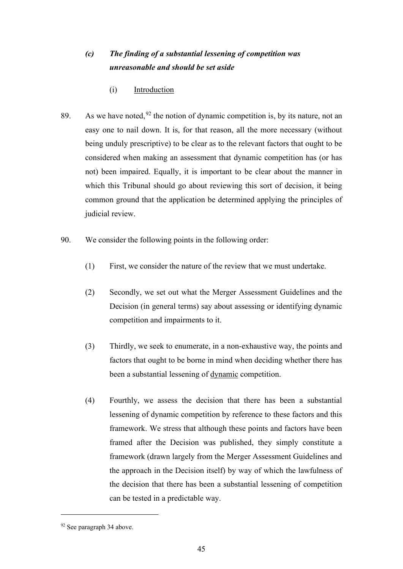# *(c) The finding of a substantial lessening of competition was unreasonable and should be set aside*

- (i) Introduction
- 89. As we have noted,  $92$  the notion of dynamic competition is, by its nature, not an easy one to nail down. It is, for that reason, all the more necessary (without being unduly prescriptive) to be clear as to the relevant factors that ought to be considered when making an assessment that dynamic competition has (or has not) been impaired. Equally, it is important to be clear about the manner in which this Tribunal should go about reviewing this sort of decision, it being common ground that the application be determined applying the principles of judicial review.
- 90. We consider the following points in the following order:
	- (1) First, we consider the nature of the review that we must undertake.
	- (2) Secondly, we set out what the Merger Assessment Guidelines and the Decision (in general terms) say about assessing or identifying dynamic competition and impairments to it.
	- (3) Thirdly, we seek to enumerate, in a non-exhaustive way, the points and factors that ought to be borne in mind when deciding whether there has been a substantial lessening of dynamic competition.
	- (4) Fourthly, we assess the decision that there has been a substantial lessening of dynamic competition by reference to these factors and this framework. We stress that although these points and factors have been framed after the Decision was published, they simply constitute a framework (drawn largely from the Merger Assessment Guidelines and the approach in the Decision itself) by way of which the lawfulness of the decision that there has been a substantial lessening of competition can be tested in a predictable way.

<sup>92</sup> See paragraph 34 above.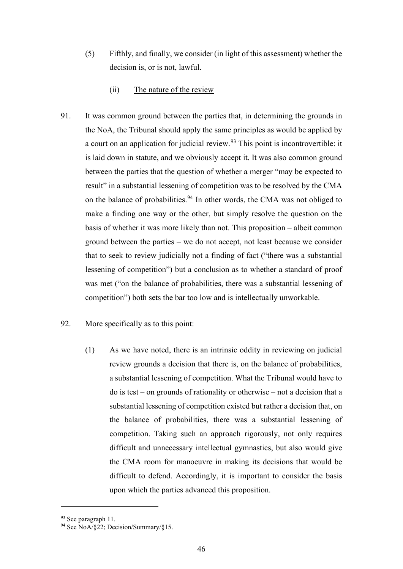- (5) Fifthly, and finally, we consider (in light of this assessment) whether the decision is, or is not, lawful.
	- (ii) The nature of the review
- 91. It was common ground between the parties that, in determining the grounds in the NoA, the Tribunal should apply the same principles as would be applied by a court on an application for judicial review.<sup>93</sup> This point is incontrovertible: it is laid down in statute, and we obviously accept it. It was also common ground between the parties that the question of whether a merger "may be expected to result" in a substantial lessening of competition was to be resolved by the CMA on the balance of probabilities.<sup>94</sup> In other words, the CMA was not obliged to make a finding one way or the other, but simply resolve the question on the basis of whether it was more likely than not. This proposition – albeit common ground between the parties – we do not accept, not least because we consider that to seek to review judicially not a finding of fact ("there was a substantial lessening of competition") but a conclusion as to whether a standard of proof was met ("on the balance of probabilities, there was a substantial lessening of competition") both sets the bar too low and is intellectually unworkable.
- 92. More specifically as to this point:
	- (1) As we have noted, there is an intrinsic oddity in reviewing on judicial review grounds a decision that there is, on the balance of probabilities, a substantial lessening of competition. What the Tribunal would have to do is test – on grounds of rationality or otherwise – not a decision that a substantial lessening of competition existed but rather a decision that, on the balance of probabilities, there was a substantial lessening of competition. Taking such an approach rigorously, not only requires difficult and unnecessary intellectual gymnastics, but also would give the CMA room for manoeuvre in making its decisions that would be difficult to defend. Accordingly, it is important to consider the basis upon which the parties advanced this proposition.

<sup>&</sup>lt;sup>93</sup> See paragraph 11.<br><sup>94</sup> See NoA/§22; Decision/Summary/§15.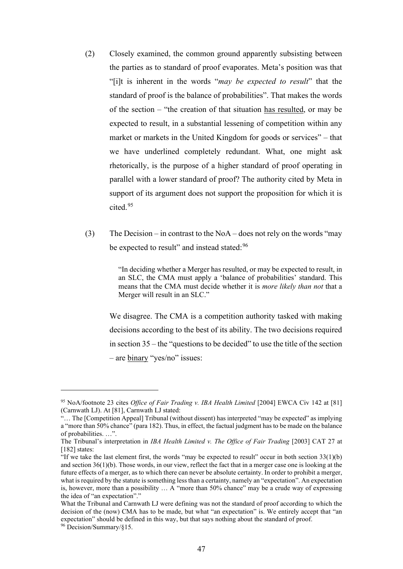- (2) Closely examined, the common ground apparently subsisting between the parties as to standard of proof evaporates. Meta's position was that "[i]t is inherent in the words "*may be expected to result*" that the standard of proof is the balance of probabilities". That makes the words of the section – "the creation of that situation has resulted, or may be expected to result, in a substantial lessening of competition within any market or markets in the United Kingdom for goods or services" – that we have underlined completely redundant. What, one might ask rhetorically, is the purpose of a higher standard of proof operating in parallel with a lower standard of proof? The authority cited by Meta in support of its argument does not support the proposition for which it is cited.<sup>95</sup>
- (3) The Decision in contrast to the NoA does not rely on the words "may" be expected to result" and instead stated: <sup>96</sup>

"In deciding whether a Merger has resulted, or may be expected to result, in an SLC, the CMA must apply a 'balance of probabilities' standard. This means that the CMA must decide whether it is *more likely than not* that a Merger will result in an SLC."

We disagree. The CMA is a competition authority tasked with making decisions according to the best of its ability. The two decisions required in section 35 – the "questions to be decided" to use the title of the section – are binary "yes/no" issues:

<sup>95</sup> NoA/footnote 23 cites *Office of Fair Trading v. IBA Health Limited* [2004] EWCA Civ 142 at [81] (Carnwath LJ). At [81], Carnwath LJ stated:

<sup>&</sup>quot;… The [Competition Appeal] Tribunal (without dissent) has interpreted "may be expected" as implying a "more than 50% chance" (para 182). Thus, in effect, the factual judgment has to be made on the balance of probabilities. …".

The Tribunal's interpretation in *IBA Health Limited v. The Office of Fair Trading* [2003] CAT 27 at [182] states:

<sup>&</sup>quot;If we take the last element first, the words "may be expected to result" occur in both section 33(1)(b) and section 36(1)(b). Those words, in our view, reflect the fact that in a merger case one is looking at the future effects of a merger, as to which there can never be absolute certainty. In order to prohibit a merger, what is required by the statute is something less than a certainty, namely an "expectation". An expectation is, however, more than a possibility … A "more than 50% chance" may be a crude way of expressing the idea of "an expectation"."

What the Tribunal and Carnwath LJ were defining was not the standard of proof according to which the decision of the (now) CMA has to be made, but what "an expectation" is. We entirely accept that "an expectation" should be defined in this way, but that says nothing about the standard of proof.

<sup>96</sup> Decision/Summary/§15.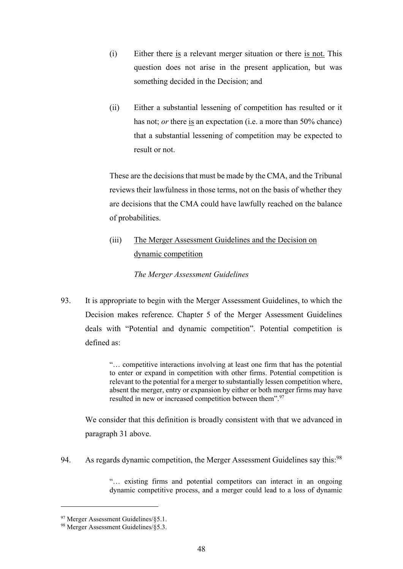- (i) Either there is a relevant merger situation or there is not. This question does not arise in the present application, but was something decided in the Decision; and
- (ii) Either a substantial lessening of competition has resulted or it has not; *or* there is an expectation (i.e. a more than 50% chance) that a substantial lessening of competition may be expected to result or not.

These are the decisions that must be made by the CMA, and the Tribunal reviews their lawfulness in those terms, not on the basis of whether they are decisions that the CMA could have lawfully reached on the balance of probabilities.

(iii) The Merger Assessment Guidelines and the Decision on dynamic competition

*The Merger Assessment Guidelines* 

93. It is appropriate to begin with the Merger Assessment Guidelines, to which the Decision makes reference. Chapter 5 of the Merger Assessment Guidelines deals with "Potential and dynamic competition". Potential competition is defined as:

> "… competitive interactions involving at least one firm that has the potential to enter or expand in competition with other firms. Potential competition is relevant to the potential for a merger to substantially lessen competition where, absent the merger, entry or expansion by either or both merger firms may have resulted in new or increased competition between them".97

We consider that this definition is broadly consistent with that we advanced in paragraph 31 above.

94. As regards dynamic competition, the Merger Assessment Guidelines say this:<sup>98</sup>

"… existing firms and potential competitors can interact in an ongoing dynamic competitive process, and a merger could lead to a loss of dynamic

<sup>97</sup> Merger Assessment Guidelines/§5.1.

<sup>98</sup> Merger Assessment Guidelines/§5.3.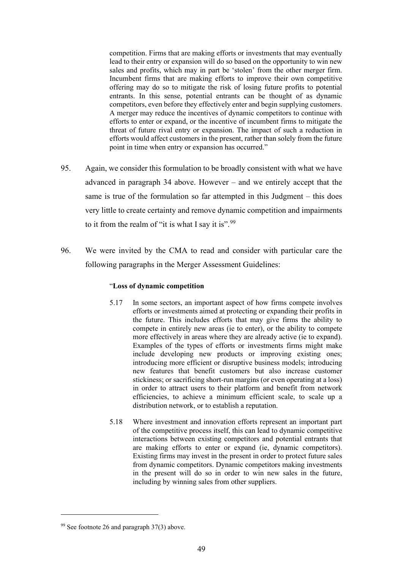competition. Firms that are making efforts or investments that may eventually lead to their entry or expansion will do so based on the opportunity to win new sales and profits, which may in part be 'stolen' from the other merger firm. Incumbent firms that are making efforts to improve their own competitive offering may do so to mitigate the risk of losing future profits to potential entrants. In this sense, potential entrants can be thought of as dynamic competitors, even before they effectively enter and begin supplying customers. A merger may reduce the incentives of dynamic competitors to continue with efforts to enter or expand, or the incentive of incumbent firms to mitigate the threat of future rival entry or expansion. The impact of such a reduction in efforts would affect customers in the present, rather than solely from the future point in time when entry or expansion has occurred."

- 95. Again, we consider this formulation to be broadly consistent with what we have advanced in paragraph 34 above. However – and we entirely accept that the same is true of the formulation so far attempted in this Judgment – this does very little to create certainty and remove dynamic competition and impairments to it from the realm of "it is what I say it is".<sup>99</sup>
- 96. We were invited by the CMA to read and consider with particular care the following paragraphs in the Merger Assessment Guidelines:

#### "**Loss of dynamic competition**

- 5.17 In some sectors, an important aspect of how firms compete involves efforts or investments aimed at protecting or expanding their profits in the future. This includes efforts that may give firms the ability to compete in entirely new areas (ie to enter), or the ability to compete more effectively in areas where they are already active (ie to expand). Examples of the types of efforts or investments firms might make include developing new products or improving existing ones; introducing more efficient or disruptive business models; introducing new features that benefit customers but also increase customer stickiness; or sacrificing short-run margins (or even operating at a loss) in order to attract users to their platform and benefit from network efficiencies, to achieve a minimum efficient scale, to scale up a distribution network, or to establish a reputation.
- 5.18 Where investment and innovation efforts represent an important part of the competitive process itself, this can lead to dynamic competitive interactions between existing competitors and potential entrants that are making efforts to enter or expand (ie, dynamic competitors). Existing firms may invest in the present in order to protect future sales from dynamic competitors. Dynamic competitors making investments in the present will do so in order to win new sales in the future, including by winning sales from other suppliers.

 $99$  See footnote 26 and paragraph 37(3) above.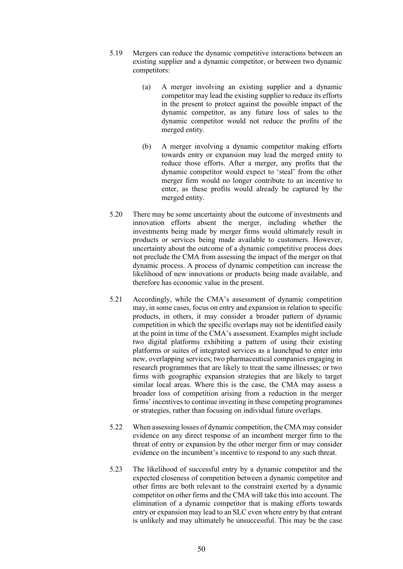- 5.19 Mergers can reduce the dynamic competitive interactions between an existing supplier and a dynamic competitor, or between two dynamic competitors:
	- (a) A merger involving an existing supplier and a dynamic competitor may lead the existing supplier to reduce its efforts in the present to protect against the possible impact of the dynamic competitor, as any future loss of sales to the dynamic competitor would not reduce the profits of the merged entity.
	- (b) A merger involving a dynamic competitor making efforts towards entry or expansion may lead the merged entity to reduce those efforts. After a merger, any profits that the dynamic competitor would expect to 'steal' from the other merger firm would no longer contribute to an incentive to enter, as these profits would already be captured by the merged entity.
- 5.20 There may be some uncertainty about the outcome of investments and innovation efforts absent the merger, including whether the investments being made by merger firms would ultimately result in products or services being made available to customers. However, uncertainty about the outcome of a dynamic competitive process does not preclude the CMA from assessing the impact of the merger on that dynamic process. A process of dynamic competition can increase the likelihood of new innovations or products being made available, and therefore has economic value in the present.
- 5.21 Accordingly, while the CMA's assessment of dynamic competition may, in some cases, focus on entry and expansion in relation to specific products, in others, it may consider a broader pattern of dynamic competition in which the specific overlaps may not be identified easily at the point in time of the CMA's assessment. Examples might include two digital platforms exhibiting a pattern of using their existing platforms or suites of integrated services as a launchpad to enter into new, overlapping services; two pharmaceutical companies engaging in research programmes that are likely to treat the same illnesses; or two firms with geographic expansion strategies that are likely to target similar local areas. Where this is the case, the CMA may assess a broader loss of competition arising from a reduction in the merger firms' incentives to continue investing in these competing programmes or strategies, rather than focusing on individual future overlaps.
- 5.22 When assessing losses of dynamic competition, the CMA may consider evidence on any direct response of an incumbent merger firm to the threat of entry or expansion by the other merger firm or may consider evidence on the incumbent's incentive to respond to any such threat.
- 5.23 The likelihood of successful entry by a dynamic competitor and the expected closeness of competition between a dynamic competitor and other firms are both relevant to the constraint exerted by a dynamic competitor on other firms and the CMA will take this into account. The elimination of a dynamic competitor that is making efforts towards entry or expansion may lead to an SLC even where entry by that entrant is unlikely and may ultimately be unsuccessful. This may be the case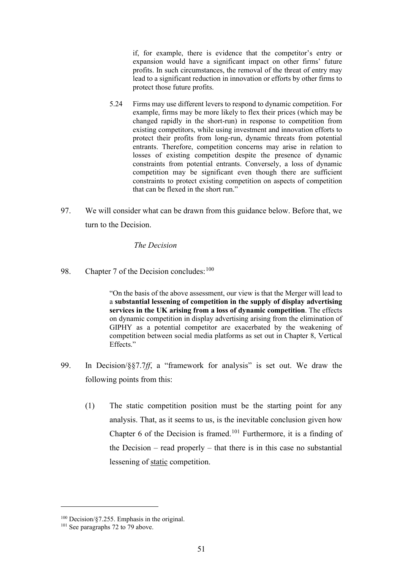if, for example, there is evidence that the competitor's entry or expansion would have a significant impact on other firms' future profits. In such circumstances, the removal of the threat of entry may lead to a significant reduction in innovation or efforts by other firms to protect those future profits.

- 5.24 Firms may use different levers to respond to dynamic competition. For example, firms may be more likely to flex their prices (which may be changed rapidly in the short-run) in response to competition from existing competitors, while using investment and innovation efforts to protect their profits from long-run, dynamic threats from potential entrants. Therefore, competition concerns may arise in relation to losses of existing competition despite the presence of dynamic constraints from potential entrants. Conversely, a loss of dynamic competition may be significant even though there are sufficient constraints to protect existing competition on aspects of competition that can be flexed in the short run."
- 97. We will consider what can be drawn from this guidance below. Before that, we turn to the Decision.

### *The Decision*

98. Chapter 7 of the Decision concludes:  $100$ 

"On the basis of the above assessment, our view is that the Merger will lead to a **substantial lessening of competition in the supply of display advertising services in the UK arising from a loss of dynamic competition**. The effects on dynamic competition in display advertising arising from the elimination of GIPHY as a potential competitor are exacerbated by the weakening of competition between social media platforms as set out in Chapter 8, Vertical Effects."

- 99. In Decision/§§7.7*ff*, a "framework for analysis" is set out. We draw the following points from this:
	- (1) The static competition position must be the starting point for any analysis. That, as it seems to us, is the inevitable conclusion given how Chapter 6 of the Decision is framed.<sup>101</sup> Furthermore, it is a finding of the Decision – read properly – that there is in this case no substantial lessening of static competition.

<sup>100</sup> Decision/§7.255. Emphasis in the original.

<sup>&</sup>lt;sup>101</sup> See paragraphs 72 to 79 above.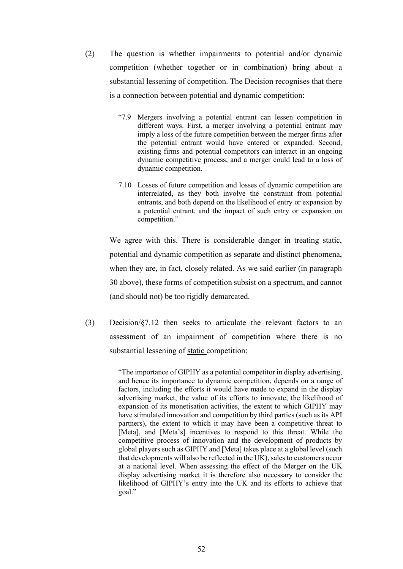- (2) The question is whether impairments to potential and/or dynamic competition (whether together or in combination) bring about a substantial lessening of competition. The Decision recognises that there is a connection between potential and dynamic competition:
	- "7.9 Mergers involving a potential entrant can lessen competition in different ways. First, a merger involving a potential entrant may imply a loss of the future competition between the merger firms after the potential entrant would have entered or expanded. Second, existing firms and potential competitors can interact in an ongoing dynamic competitive process, and a merger could lead to a loss of dynamic competition.
	- 7.10 Losses of future competition and losses of dynamic competition are interrelated, as they both involve the constraint from potential entrants, and both depend on the likelihood of entry or expansion by a potential entrant, and the impact of such entry or expansion on competition."

We agree with this. There is considerable danger in treating static, potential and dynamic competition as separate and distinct phenomena, when they are, in fact, closely related. As we said earlier (in paragraph 30 above), these forms of competition subsist on a spectrum, and cannot (and should not) be too rigidly demarcated.

(3) Decision/§7.12 then seeks to articulate the relevant factors to an assessment of an impairment of competition where there is no substantial lessening of static competition:

> "The importance of GIPHY as a potential competitor in display advertising, and hence its importance to dynamic competition, depends on a range of factors, including the efforts it would have made to expand in the display advertising market, the value of its efforts to innovate, the likelihood of expansion of its monetisation activities, the extent to which GIPHY may have stimulated innovation and competition by third parties (such as its API partners), the extent to which it may have been a competitive threat to [Meta], and [Meta's] incentives to respond to this threat. While the competitive process of innovation and the development of products by global players such as GIPHY and [Meta] takes place at a global level (such that developments will also be reflected in the UK), sales to customers occur at a national level. When assessing the effect of the Merger on the UK display advertising market it is therefore also necessary to consider the likelihood of GIPHY's entry into the UK and its efforts to achieve that goal."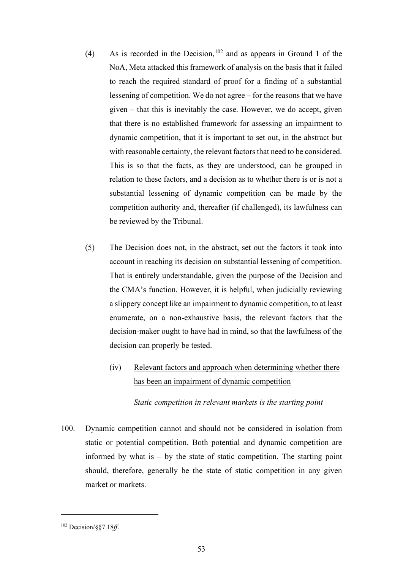- (4) As is recorded in the Decision,  $102$  and as appears in Ground 1 of the NoA, Meta attacked this framework of analysis on the basis that it failed to reach the required standard of proof for a finding of a substantial lessening of competition. We do not agree – for the reasons that we have given – that this is inevitably the case. However, we do accept, given that there is no established framework for assessing an impairment to dynamic competition, that it is important to set out, in the abstract but with reasonable certainty, the relevant factors that need to be considered. This is so that the facts, as they are understood, can be grouped in relation to these factors, and a decision as to whether there is or is not a substantial lessening of dynamic competition can be made by the competition authority and, thereafter (if challenged), its lawfulness can be reviewed by the Tribunal.
- (5) The Decision does not, in the abstract, set out the factors it took into account in reaching its decision on substantial lessening of competition. That is entirely understandable, given the purpose of the Decision and the CMA's function. However, it is helpful, when judicially reviewing a slippery concept like an impairment to dynamic competition, to at least enumerate, on a non-exhaustive basis, the relevant factors that the decision-maker ought to have had in mind, so that the lawfulness of the decision can properly be tested.
	- (iv) Relevant factors and approach when determining whether there has been an impairment of dynamic competition

## *Static competition in relevant markets is the starting point*

100. Dynamic competition cannot and should not be considered in isolation from static or potential competition. Both potential and dynamic competition are informed by what is  $-$  by the state of static competition. The starting point should, therefore, generally be the state of static competition in any given market or markets.

<sup>102</sup> Decision/§§7.18*ff*.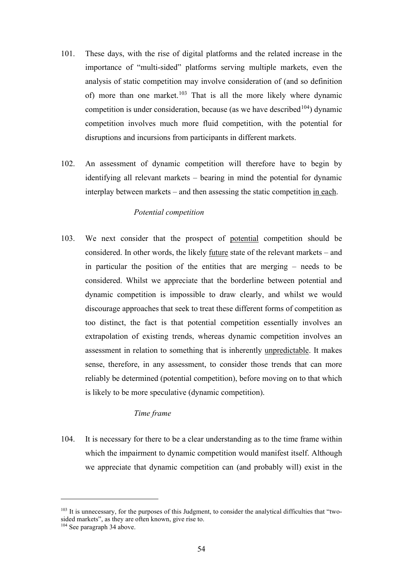- 101. These days, with the rise of digital platforms and the related increase in the importance of "multi-sided" platforms serving multiple markets, even the analysis of static competition may involve consideration of (and so definition of) more than one market.<sup>103</sup> That is all the more likely where dynamic competition is under consideration, because (as we have described  $104$ ) dynamic competition involves much more fluid competition, with the potential for disruptions and incursions from participants in different markets.
- 102. An assessment of dynamic competition will therefore have to begin by identifying all relevant markets – bearing in mind the potential for dynamic interplay between markets – and then assessing the static competition in each.

## *Potential competition*

103. We next consider that the prospect of potential competition should be considered. In other words, the likely future state of the relevant markets – and in particular the position of the entities that are merging – needs to be considered. Whilst we appreciate that the borderline between potential and dynamic competition is impossible to draw clearly, and whilst we would discourage approaches that seek to treat these different forms of competition as too distinct, the fact is that potential competition essentially involves an extrapolation of existing trends, whereas dynamic competition involves an assessment in relation to something that is inherently unpredictable. It makes sense, therefore, in any assessment, to consider those trends that can more reliably be determined (potential competition), before moving on to that which is likely to be more speculative (dynamic competition).

#### *Time frame*

104. It is necessary for there to be a clear understanding as to the time frame within which the impairment to dynamic competition would manifest itself. Although we appreciate that dynamic competition can (and probably will) exist in the

<sup>&</sup>lt;sup>103</sup> It is unnecessary, for the purposes of this Judgment, to consider the analytical difficulties that "twosided markets", as they are often known, give rise to.

<sup>&</sup>lt;sup>104</sup> See paragraph 34 above.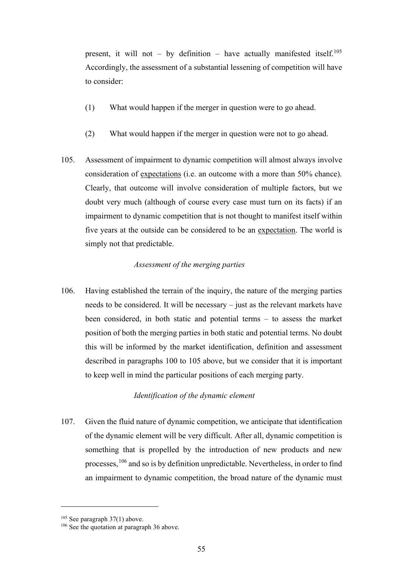present, it will not – by definition – have actually manifested itself.<sup>105</sup> Accordingly, the assessment of a substantial lessening of competition will have to consider:

- (1) What would happen if the merger in question were to go ahead.
- (2) What would happen if the merger in question were not to go ahead.
- 105. Assessment of impairment to dynamic competition will almost always involve consideration of expectations (i.e. an outcome with a more than 50% chance). Clearly, that outcome will involve consideration of multiple factors, but we doubt very much (although of course every case must turn on its facts) if an impairment to dynamic competition that is not thought to manifest itself within five years at the outside can be considered to be an expectation. The world is simply not that predictable.

## *Assessment of the merging parties*

106. Having established the terrain of the inquiry, the nature of the merging parties needs to be considered. It will be necessary – just as the relevant markets have been considered, in both static and potential terms – to assess the market position of both the merging parties in both static and potential terms. No doubt this will be informed by the market identification, definition and assessment described in paragraphs 100 to 105 above, but we consider that it is important to keep well in mind the particular positions of each merging party.

## *Identification of the dynamic element*

107. Given the fluid nature of dynamic competition, we anticipate that identification of the dynamic element will be very difficult. After all, dynamic competition is something that is propelled by the introduction of new products and new processes,<sup>106</sup> and so is by definition unpredictable. Nevertheless, in order to find an impairment to dynamic competition, the broad nature of the dynamic must

<sup>105</sup> See paragraph 37(1) above.

<sup>&</sup>lt;sup>106</sup> See the quotation at paragraph 36 above.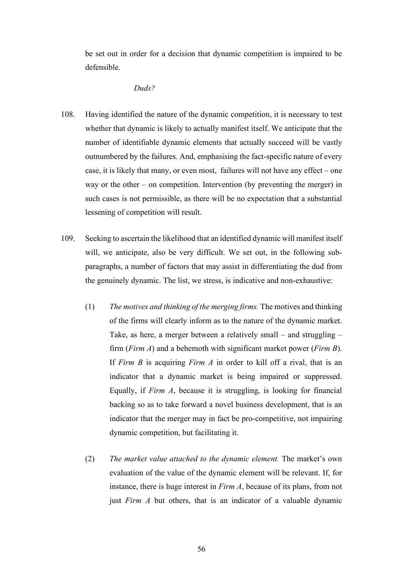be set out in order for a decision that dynamic competition is impaired to be defensible.

#### *Duds?*

- 108. Having identified the nature of the dynamic competition, it is necessary to test whether that dynamic is likely to actually manifest itself. We anticipate that the number of identifiable dynamic elements that actually succeed will be vastly outnumbered by the failures. And, emphasising the fact-specific nature of every case, it is likely that many, or even most, failures will not have any effect – one way or the other – on competition. Intervention (by preventing the merger) in such cases is not permissible, as there will be no expectation that a substantial lessening of competition will result.
- 109. Seeking to ascertain the likelihood that an identified dynamic will manifest itself will, we anticipate, also be very difficult. We set out, in the following subparagraphs, a number of factors that may assist in differentiating the dud from the genuinely dynamic. The list, we stress, is indicative and non-exhaustive:
	- (1) *The motives and thinking of the merging firms.* The motives and thinking of the firms will clearly inform as to the nature of the dynamic market. Take, as here, a merger between a relatively small – and struggling – firm (*Firm A*) and a behemoth with significant market power (*Firm B*). If *Firm B* is acquiring *Firm A* in order to kill off a rival, that is an indicator that a dynamic market is being impaired or suppressed. Equally, if *Firm A*, because it is struggling, is looking for financial backing so as to take forward a novel business development, that is an indicator that the merger may in fact be pro-competitive, not impairing dynamic competition, but facilitating it.
	- (2) *The market value attached to the dynamic element.* The market's own evaluation of the value of the dynamic element will be relevant. If, for instance, there is huge interest in *Firm A*, because of its plans, from not just *Firm A* but others, that is an indicator of a valuable dynamic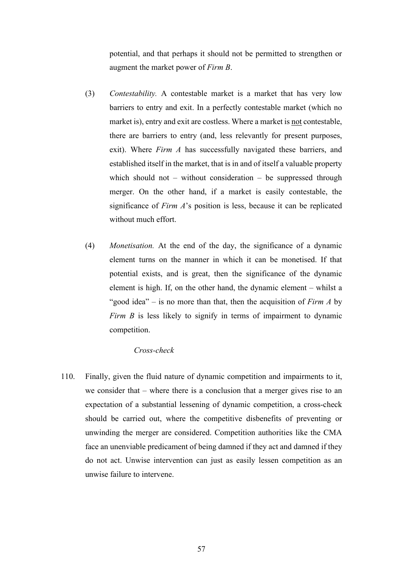potential, and that perhaps it should not be permitted to strengthen or augment the market power of *Firm B*.

- (3) *Contestability.* A contestable market is a market that has very low barriers to entry and exit. In a perfectly contestable market (which no market is), entry and exit are costless. Where a market is not contestable, there are barriers to entry (and, less relevantly for present purposes, exit). Where *Firm A* has successfully navigated these barriers, and established itself in the market, that is in and of itself a valuable property which should not – without consideration – be suppressed through merger. On the other hand, if a market is easily contestable, the significance of *Firm A*'s position is less, because it can be replicated without much effort.
- (4) *Monetisation.* At the end of the day, the significance of a dynamic element turns on the manner in which it can be monetised. If that potential exists, and is great, then the significance of the dynamic element is high. If, on the other hand, the dynamic element – whilst a "good idea" – is no more than that, then the acquisition of *Firm A* by *Firm B* is less likely to signify in terms of impairment to dynamic competition.

#### *Cross-check*

110. Finally, given the fluid nature of dynamic competition and impairments to it, we consider that – where there is a conclusion that a merger gives rise to an expectation of a substantial lessening of dynamic competition, a cross-check should be carried out, where the competitive disbenefits of preventing or unwinding the merger are considered. Competition authorities like the CMA face an unenviable predicament of being damned if they act and damned if they do not act. Unwise intervention can just as easily lessen competition as an unwise failure to intervene.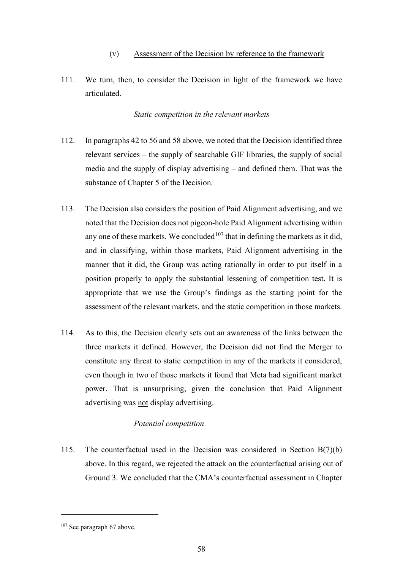## (v) Assessment of the Decision by reference to the framework

111. We turn, then, to consider the Decision in light of the framework we have articulated.

## *Static competition in the relevant markets*

- 112. In paragraphs 42 to 56 and 58 above, we noted that the Decision identified three relevant services – the supply of searchable GIF libraries, the supply of social media and the supply of display advertising – and defined them. That was the substance of Chapter 5 of the Decision.
- 113. The Decision also considers the position of Paid Alignment advertising, and we noted that the Decision does not pigeon-hole Paid Alignment advertising within any one of these markets. We concluded  $107$  that in defining the markets as it did, and in classifying, within those markets, Paid Alignment advertising in the manner that it did, the Group was acting rationally in order to put itself in a position properly to apply the substantial lessening of competition test. It is appropriate that we use the Group's findings as the starting point for the assessment of the relevant markets, and the static competition in those markets.
- 114. As to this, the Decision clearly sets out an awareness of the links between the three markets it defined. However, the Decision did not find the Merger to constitute any threat to static competition in any of the markets it considered, even though in two of those markets it found that Meta had significant market power. That is unsurprising, given the conclusion that Paid Alignment advertising was not display advertising.

# *Potential competition*

115. The counterfactual used in the Decision was considered in Section B(7)(b) above. In this regard, we rejected the attack on the counterfactual arising out of Ground 3. We concluded that the CMA's counterfactual assessment in Chapter

<sup>107</sup> See paragraph 67 above.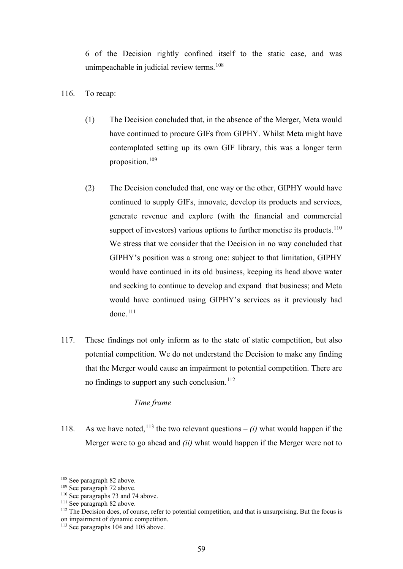6 of the Decision rightly confined itself to the static case, and was unimpeachable in judicial review terms.<sup>108</sup>

- 116. To recap:
	- (1) The Decision concluded that, in the absence of the Merger, Meta would have continued to procure GIFs from GIPHY. Whilst Meta might have contemplated setting up its own GIF library, this was a longer term proposition.<sup>109</sup>
	- (2) The Decision concluded that, one way or the other, GIPHY would have continued to supply GIFs, innovate, develop its products and services, generate revenue and explore (with the financial and commercial support of investors) various options to further monetise its products.<sup>110</sup> We stress that we consider that the Decision in no way concluded that GIPHY's position was a strong one: subject to that limitation, GIPHY would have continued in its old business, keeping its head above water and seeking to continue to develop and expand that business; and Meta would have continued using GIPHY's services as it previously had  $done.<sup>111</sup>$
- 117. These findings not only inform as to the state of static competition, but also potential competition. We do not understand the Decision to make any finding that the Merger would cause an impairment to potential competition. There are no findings to support any such conclusion.<sup>112</sup>

## *Time frame*

118. As we have noted,<sup>113</sup> the two relevant questions – *(i)* what would happen if the Merger were to go ahead and *(ii)* what would happen if the Merger were not to

<sup>108</sup> See paragraph 82 above.

<sup>109</sup> See paragraph 72 above.

<sup>&</sup>lt;sup>110</sup> See paragraphs 73 and 74 above.

<sup>&</sup>lt;sup>111</sup> See paragraph 82 above.

<sup>&</sup>lt;sup>112</sup> The Decision does, of course, refer to potential competition, and that is unsurprising. But the focus is on impairment of dynamic competition.

<sup>&</sup>lt;sup>113</sup> See paragraphs 104 and 105 above.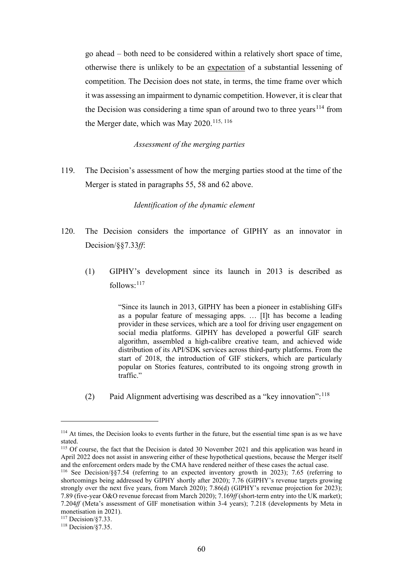go ahead – both need to be considered within a relatively short space of time, otherwise there is unlikely to be an expectation of a substantial lessening of competition. The Decision does not state, in terms, the time frame over which it was assessing an impairment to dynamic competition. However, it is clear that the Decision was considering a time span of around two to three years<sup>114</sup> from the Merger date, which was May 2020.<sup>115, 116</sup>

### *Assessment of the merging parties*

119. The Decision's assessment of how the merging parties stood at the time of the Merger is stated in paragraphs 55, 58 and 62 above.

*Identification of the dynamic element* 

- 120. The Decision considers the importance of GIPHY as an innovator in Decision/§§7.33*ff*:
	- (1) GIPHY's development since its launch in 2013 is described as follows:<sup>117</sup>

"Since its launch in 2013, GIPHY has been a pioneer in establishing GIFs as a popular feature of messaging apps. … [I]t has become a leading provider in these services, which are a tool for driving user engagement on social media platforms. GIPHY has developed a powerful GIF search algorithm, assembled a high-calibre creative team, and achieved wide distribution of its API/SDK services across third-party platforms. From the start of 2018, the introduction of GIF stickers, which are particularly popular on Stories features, contributed to its ongoing strong growth in traffic."

(2) Paid Alignment advertising was described as a "key innovation":  $118$ 

<sup>&</sup>lt;sup>114</sup> At times, the Decision looks to events further in the future, but the essential time span is as we have stated.

<sup>&</sup>lt;sup>115</sup> Of course, the fact that the Decision is dated 30 November 2021 and this application was heard in April 2022 does not assist in answering either of these hypothetical questions, because the Merger itself and the enforcement orders made by the CMA have rendered neither of these cases the actual case.

<sup>116</sup> See Decision/§§7.54 (referring to an expected inventory growth in 2023); 7.65 (referring to shortcomings being addressed by GIPHY shortly after 2020); 7.76 (GIPHY's revenue targets growing strongly over the next five years, from March 2020); 7.86(d) (GIPHY's revenue projection for 2023); 7.89 (five-year O&O revenue forecast from March 2020); 7.169*ff* (short-term entry into the UK market); 7.204*ff* (Meta's assessment of GIF monetisation within 3-4 years); 7.218 (developments by Meta in monetisation in 2021).

<sup>117</sup> Decision/§7.33.

<sup>118</sup> Decision/§7.35.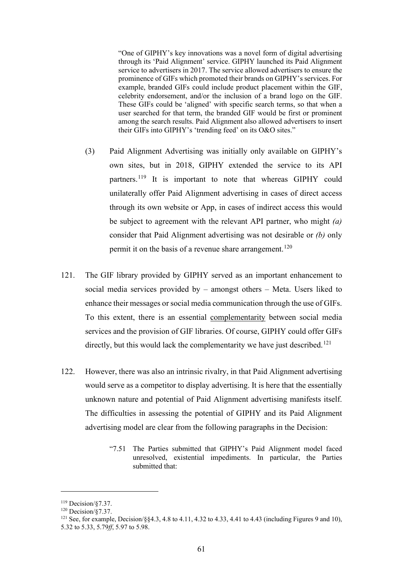"One of GIPHY's key innovations was a novel form of digital advertising through its 'Paid Alignment' service. GIPHY launched its Paid Alignment service to advertisers in 2017. The service allowed advertisers to ensure the prominence of GIFs which promoted their brands on GIPHY's services. For example, branded GIFs could include product placement within the GIF, celebrity endorsement, and/or the inclusion of a brand logo on the GIF. These GIFs could be 'aligned' with specific search terms, so that when a user searched for that term, the branded GIF would be first or prominent among the search results. Paid Alignment also allowed advertisers to insert their GIFs into GIPHY's 'trending feed' on its O&O sites."

- (3) Paid Alignment Advertising was initially only available on GIPHY's own sites, but in 2018, GIPHY extended the service to its API partners.<sup>119</sup> It is important to note that whereas GIPHY could unilaterally offer Paid Alignment advertising in cases of direct access through its own website or App, in cases of indirect access this would be subject to agreement with the relevant API partner, who might *(a)* consider that Paid Alignment advertising was not desirable or *(b)* only permit it on the basis of a revenue share arrangement.<sup>120</sup>
- 121. The GIF library provided by GIPHY served as an important enhancement to social media services provided by – amongst others – Meta. Users liked to enhance their messages or social media communication through the use of GIFs. To this extent, there is an essential complementarity between social media services and the provision of GIF libraries. Of course, GIPHY could offer GIFs directly, but this would lack the complementarity we have just described.<sup>121</sup>
- 122. However, there was also an intrinsic rivalry, in that Paid Alignment advertising would serve as a competitor to display advertising. It is here that the essentially unknown nature and potential of Paid Alignment advertising manifests itself. The difficulties in assessing the potential of GIPHY and its Paid Alignment advertising model are clear from the following paragraphs in the Decision:
	- "7.51 The Parties submitted that GIPHY's Paid Alignment model faced unresolved, existential impediments. In particular, the Parties submitted that:

<sup>119</sup> Decision/§7.37.

 $120$  Decision/ $\S$ 7.37.

<sup>121</sup> See, for example, Decision/§§4.3, 4.8 to 4.11, 4.32 to 4.33, 4.41 to 4.43 (including Figures 9 and 10), 5.32 to 5.33, 5.79*ff*, 5.97 to 5.98.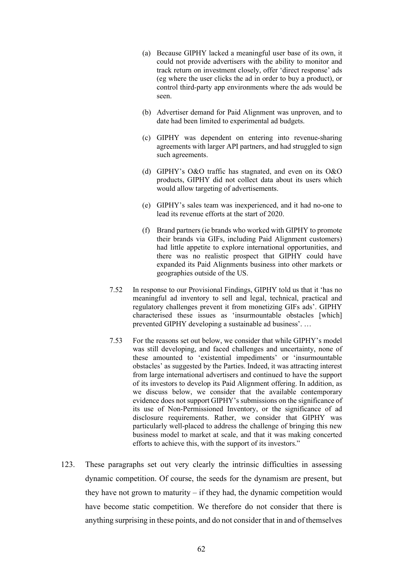- (a) Because GIPHY lacked a meaningful user base of its own, it could not provide advertisers with the ability to monitor and track return on investment closely, offer 'direct response' ads (eg where the user clicks the ad in order to buy a product), or control third-party app environments where the ads would be seen.
- (b) Advertiser demand for Paid Alignment was unproven, and to date had been limited to experimental ad budgets.
- (c) GIPHY was dependent on entering into revenue-sharing agreements with larger API partners, and had struggled to sign such agreements.
- (d) GIPHY's O&O traffic has stagnated, and even on its O&O products, GIPHY did not collect data about its users which would allow targeting of advertisements.
- (e) GIPHY's sales team was inexperienced, and it had no-one to lead its revenue efforts at the start of 2020.
- (f) Brand partners (ie brands who worked with GIPHY to promote their brands via GIFs, including Paid Alignment customers) had little appetite to explore international opportunities, and there was no realistic prospect that GIPHY could have expanded its Paid Alignments business into other markets or geographies outside of the US.
- 7.52 In response to our Provisional Findings, GIPHY told us that it 'has no meaningful ad inventory to sell and legal, technical, practical and regulatory challenges prevent it from monetizing GIFs ads'. GIPHY characterised these issues as 'insurmountable obstacles [which] prevented GIPHY developing a sustainable ad business'. …
- 7.53 For the reasons set out below, we consider that while GIPHY's model was still developing, and faced challenges and uncertainty, none of these amounted to 'existential impediments' or 'insurmountable obstacles' as suggested by the Parties. Indeed, it was attracting interest from large international advertisers and continued to have the support of its investors to develop its Paid Alignment offering. In addition, as we discuss below, we consider that the available contemporary evidence does not support GIPHY's submissions on the significance of its use of Non-Permissioned Inventory, or the significance of ad disclosure requirements. Rather, we consider that GIPHY was particularly well-placed to address the challenge of bringing this new business model to market at scale, and that it was making concerted efforts to achieve this, with the support of its investors."
- 123. These paragraphs set out very clearly the intrinsic difficulties in assessing dynamic competition. Of course, the seeds for the dynamism are present, but they have not grown to maturity – if they had, the dynamic competition would have become static competition. We therefore do not consider that there is anything surprising in these points, and do not consider that in and of themselves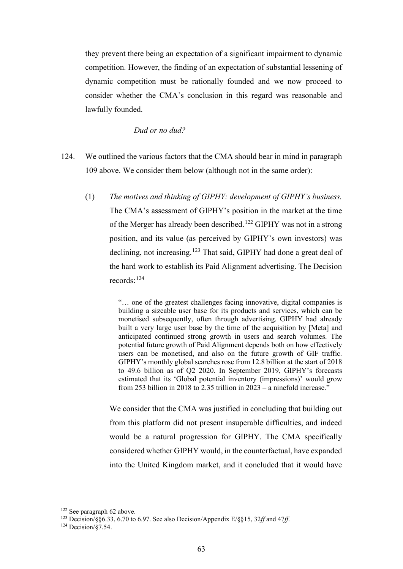they prevent there being an expectation of a significant impairment to dynamic competition. However, the finding of an expectation of substantial lessening of dynamic competition must be rationally founded and we now proceed to consider whether the CMA's conclusion in this regard was reasonable and lawfully founded.

#### *Dud or no dud?*

- 124. We outlined the various factors that the CMA should bear in mind in paragraph 109 above. We consider them below (although not in the same order):
	- (1) *The motives and thinking of GIPHY: development of GIPHY's business.* The CMA's assessment of GIPHY's position in the market at the time of the Merger has already been described.<sup>122</sup> GIPHY was not in a strong position, and its value (as perceived by GIPHY's own investors) was declining, not increasing.<sup>123</sup> That said, GIPHY had done a great deal of the hard work to establish its Paid Alignment advertising. The Decision records:<sup>124</sup>

"… one of the greatest challenges facing innovative, digital companies is building a sizeable user base for its products and services, which can be monetised subsequently, often through advertising. GIPHY had already built a very large user base by the time of the acquisition by [Meta] and anticipated continued strong growth in users and search volumes. The potential future growth of Paid Alignment depends both on how effectively users can be monetised, and also on the future growth of GIF traffic. GIPHY's monthly global searches rose from 12.8 billion at the start of 2018 to 49.6 billion as of Q2 2020. In September 2019, GIPHY's forecasts estimated that its 'Global potential inventory (impressions)' would grow from 253 billion in 2018 to 2.35 trillion in 2023 – a ninefold increase."

We consider that the CMA was justified in concluding that building out from this platform did not present insuperable difficulties, and indeed would be a natural progression for GIPHY. The CMA specifically considered whether GIPHY would, in the counterfactual, have expanded into the United Kingdom market, and it concluded that it would have

<sup>&</sup>lt;sup>122</sup> See paragraph 62 above.

<sup>123</sup> Decision/§§6.33, 6.70 to 6.97. See also Decision/Appendix E/§§15, 32*ff* and 47*ff*.

 $124$  Decision/ $\sqrt{87.54}$ .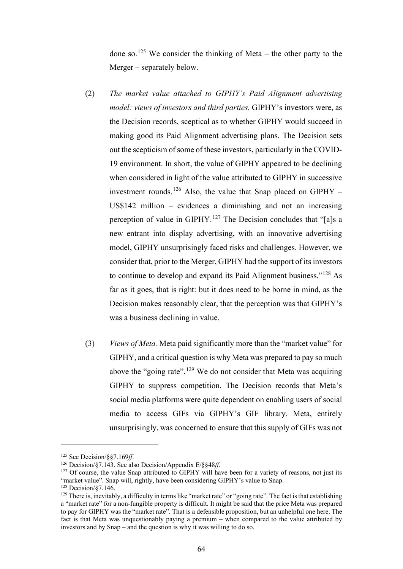done so.<sup>125</sup> We consider the thinking of Meta – the other party to the Merger – separately below.

- (2) *The market value attached to GIPHY's Paid Alignment advertising model: views of investors and third parties.* GIPHY's investors were, as the Decision records, sceptical as to whether GIPHY would succeed in making good its Paid Alignment advertising plans. The Decision sets out the scepticism of some of these investors, particularly in the COVID-19 environment. In short, the value of GIPHY appeared to be declining when considered in light of the value attributed to GIPHY in successive investment rounds.<sup>126</sup> Also, the value that Snap placed on GIPHY – US\$142 million – evidences a diminishing and not an increasing perception of value in GIPHY.<sup>127</sup> The Decision concludes that "[a]s a new entrant into display advertising, with an innovative advertising model, GIPHY unsurprisingly faced risks and challenges. However, we consider that, prior to the Merger, GIPHY had the support of its investors to continue to develop and expand its Paid Alignment business."<sup>128</sup> As far as it goes, that is right: but it does need to be borne in mind, as the Decision makes reasonably clear, that the perception was that GIPHY's was a business declining in value.
- (3) *Views of Meta.* Meta paid significantly more than the "market value" for GIPHY, and a critical question is why Meta was prepared to pay so much above the "going rate".<sup>129</sup> We do not consider that Meta was acquiring GIPHY to suppress competition. The Decision records that Meta's social media platforms were quite dependent on enabling users of social media to access GIFs via GIPHY's GIF library. Meta, entirely unsurprisingly, was concerned to ensure that this supply of GIFs was not

<sup>128</sup> Decision/87.146.

<sup>&</sup>lt;sup>125</sup> See Decision/§§7.169*ff*.<br><sup>126</sup> Decision/§7.143. See also Decision/Appendix E/§§48*ff*.<br><sup>127</sup> Of course, the value Snap attributed to GIPHY will have been for a variety of reasons, not just its "market value". Snap will, rightly, have been considering GIPHY's value to Snap.

<sup>&</sup>lt;sup>129</sup> There is, inevitably, a difficulty in terms like "market rate" or "going rate". The fact is that establishing a "market rate" for a non-fungible property is difficult. It might be said that the price Meta was prepared to pay for GIPHY was the "market rate". That is a defensible proposition, but an unhelpful one here. The fact is that Meta was unquestionably paying a premium – when compared to the value attributed by investors and by Snap – and the question is why it was willing to do so.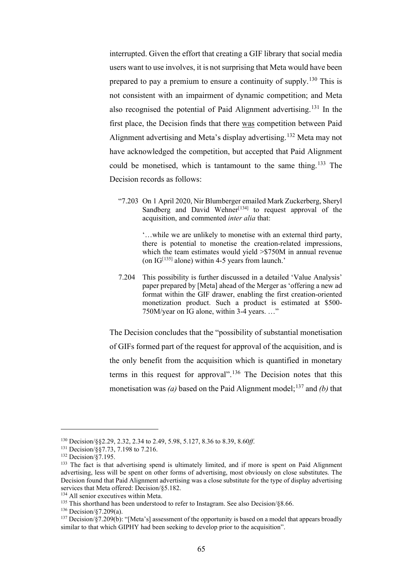interrupted. Given the effort that creating a GIF library that social media users want to use involves, it is not surprising that Meta would have been prepared to pay a premium to ensure a continuity of supply.<sup>130</sup> This is not consistent with an impairment of dynamic competition; and Meta also recognised the potential of Paid Alignment advertising.<sup>131</sup> In the first place, the Decision finds that there was competition between Paid Alignment advertising and Meta's display advertising.<sup>132</sup> Meta may not have acknowledged the competition, but accepted that Paid Alignment could be monetised, which is tantamount to the same thing.<sup>133</sup> The Decision records as follows:

"7.203 On 1 April 2020, Nir Blumberger emailed Mark Zuckerberg, Sheryl Sandberg and David Wehner $[134]$  to request approval of the acquisition, and commented *inter alia* that:

> '…while we are unlikely to monetise with an external third party, there is potential to monetise the creation-related impressions, which the team estimates would yield >\$750M in annual revenue (on  $IG<sup>[135]</sup>$  alone) within 4-5 years from launch.'

7.204 This possibility is further discussed in a detailed 'Value Analysis' paper prepared by [Meta] ahead of the Merger as 'offering a new ad format within the GIF drawer, enabling the first creation-oriented monetization product. Such a product is estimated at \$500- 750M/year on IG alone, within 3-4 years. …"

The Decision concludes that the "possibility of substantial monetisation of GIFs formed part of the request for approval of the acquisition, and is the only benefit from the acquisition which is quantified in monetary terms in this request for approval".<sup>136</sup> The Decision notes that this monetisation was (a) based on the Paid Alignment model;<sup>137</sup> and (b) that

<sup>130</sup> Decision/§§2.29, 2.32, 2.34 to 2.49, 5.98, 5.127, 8.36 to 8.39, 8.60*ff*.

<sup>&</sup>lt;sup>131</sup> Decision/§§7.73, 7.198 to 7.216.<br><sup>132</sup> Decision/§7.195.

<sup>&</sup>lt;sup>133</sup> The fact is that advertising spend is ultimately limited, and if more is spent on Paid Alignment advertising, less will be spent on other forms of advertising, most obviously on close substitutes. The Decision found that Paid Alignment advertising was a close substitute for the type of display advertising services that Meta offered: Decision/§5.182.<br><sup>134</sup> All senior executives within Meta.

<sup>&</sup>lt;sup>135</sup> This shorthand has been understood to refer to Instagram. See also Decision/§8.66. <sup>136</sup> Decision/§7.209(a).

<sup>&</sup>lt;sup>137</sup> Decision/§7.209(b): "[Meta's] assessment of the opportunity is based on a model that appears broadly similar to that which GIPHY had been seeking to develop prior to the acquisition".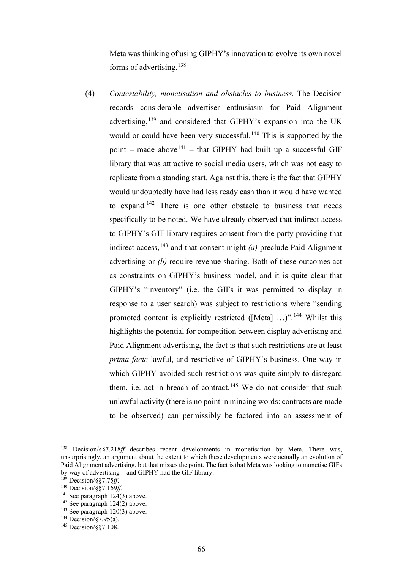Meta was thinking of using GIPHY's innovation to evolve its own novel forms of advertising.<sup>138</sup>

(4) *Contestability, monetisation and obstacles to business.* The Decision records considerable advertiser enthusiasm for Paid Alignment advertising,<sup>139</sup> and considered that GIPHY's expansion into the UK would or could have been very successful.<sup>140</sup> This is supported by the point – made above<sup>141</sup> – that GIPHY had built up a successful GIF library that was attractive to social media users, which was not easy to replicate from a standing start. Against this, there is the fact that GIPHY would undoubtedly have had less ready cash than it would have wanted to expand.<sup>142</sup> There is one other obstacle to business that needs specifically to be noted. We have already observed that indirect access to GIPHY's GIF library requires consent from the party providing that indirect access,<sup>143</sup> and that consent might  $(a)$  preclude Paid Alignment advertising or *(b)* require revenue sharing. Both of these outcomes act as constraints on GIPHY's business model, and it is quite clear that GIPHY's "inventory" (i.e. the GIFs it was permitted to display in response to a user search) was subject to restrictions where "sending promoted content is explicitly restricted ([Meta] ...)".<sup>144</sup> Whilst this highlights the potential for competition between display advertising and Paid Alignment advertising, the fact is that such restrictions are at least *prima facie* lawful, and restrictive of GIPHY's business. One way in which GIPHY avoided such restrictions was quite simply to disregard them, i.e. act in breach of contract.<sup>145</sup> We do not consider that such unlawful activity (there is no point in mincing words: contracts are made to be observed) can permissibly be factored into an assessment of

<sup>138</sup> Decision/§§7.218*ff* describes recent developments in monetisation by Meta. There was, unsurprisingly, an argument about the extent to which these developments were actually an evolution of Paid Alignment advertising, but that misses the point. The fact is that Meta was looking to monetise GIFs by way of advertising – and GIPHY had the GIF library.<br><sup>139</sup> Decision/§§7.75*ff*.<br><sup>140</sup> Decision/§§7.169*ff*.<br><sup>141</sup> See paragraph 124(3) above.

 $142$  See paragraph  $124(2)$  above.

 $143$  See paragraph  $120(3)$  above.

 $144$  Decision/§7.95(a).

<sup>145</sup> Decision/§§7.108.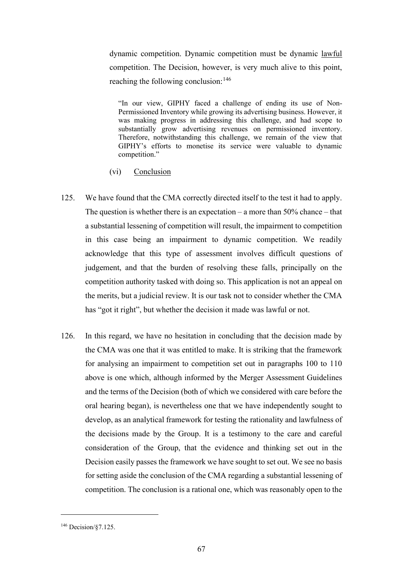dynamic competition. Dynamic competition must be dynamic lawful competition. The Decision, however, is very much alive to this point, reaching the following conclusion:<sup>146</sup>

"In our view, GIPHY faced a challenge of ending its use of Non-Permissioned Inventory while growing its advertising business. However, it was making progress in addressing this challenge, and had scope to substantially grow advertising revenues on permissioned inventory. Therefore, notwithstanding this challenge, we remain of the view that GIPHY's efforts to monetise its service were valuable to dynamic competition."

- (vi) Conclusion
- 125. We have found that the CMA correctly directed itself to the test it had to apply. The question is whether there is an expectation – a more than  $50\%$  chance – that a substantial lessening of competition will result, the impairment to competition in this case being an impairment to dynamic competition. We readily acknowledge that this type of assessment involves difficult questions of judgement, and that the burden of resolving these falls, principally on the competition authority tasked with doing so. This application is not an appeal on the merits, but a judicial review. It is our task not to consider whether the CMA has "got it right", but whether the decision it made was lawful or not.
- 126. In this regard, we have no hesitation in concluding that the decision made by the CMA was one that it was entitled to make. It is striking that the framework for analysing an impairment to competition set out in paragraphs 100 to 110 above is one which, although informed by the Merger Assessment Guidelines and the terms of the Decision (both of which we considered with care before the oral hearing began), is nevertheless one that we have independently sought to develop, as an analytical framework for testing the rationality and lawfulness of the decisions made by the Group. It is a testimony to the care and careful consideration of the Group, that the evidence and thinking set out in the Decision easily passes the framework we have sought to set out. We see no basis for setting aside the conclusion of the CMA regarding a substantial lessening of competition. The conclusion is a rational one, which was reasonably open to the

<sup>146</sup> Decision/§7.125.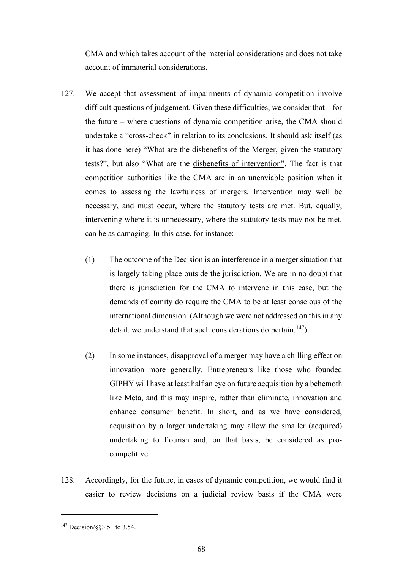CMA and which takes account of the material considerations and does not take account of immaterial considerations.

- 127. We accept that assessment of impairments of dynamic competition involve difficult questions of judgement. Given these difficulties, we consider that – for the future – where questions of dynamic competition arise, the CMA should undertake a "cross-check" in relation to its conclusions. It should ask itself (as it has done here) "What are the disbenefits of the Merger, given the statutory tests?", but also "What are the disbenefits of intervention". The fact is that competition authorities like the CMA are in an unenviable position when it comes to assessing the lawfulness of mergers. Intervention may well be necessary, and must occur, where the statutory tests are met. But, equally, intervening where it is unnecessary, where the statutory tests may not be met, can be as damaging. In this case, for instance:
	- (1) The outcome of the Decision is an interference in a merger situation that is largely taking place outside the jurisdiction. We are in no doubt that there is jurisdiction for the CMA to intervene in this case, but the demands of comity do require the CMA to be at least conscious of the international dimension. (Although we were not addressed on this in any detail, we understand that such considerations do pertain.<sup>147</sup>)
	- (2) In some instances, disapproval of a merger may have a chilling effect on innovation more generally. Entrepreneurs like those who founded GIPHY will have at least half an eye on future acquisition by a behemoth like Meta, and this may inspire, rather than eliminate, innovation and enhance consumer benefit. In short, and as we have considered, acquisition by a larger undertaking may allow the smaller (acquired) undertaking to flourish and, on that basis, be considered as procompetitive.
- 128. Accordingly, for the future, in cases of dynamic competition, we would find it easier to review decisions on a judicial review basis if the CMA were

<sup>147</sup> Decision/§§3.51 to 3.54.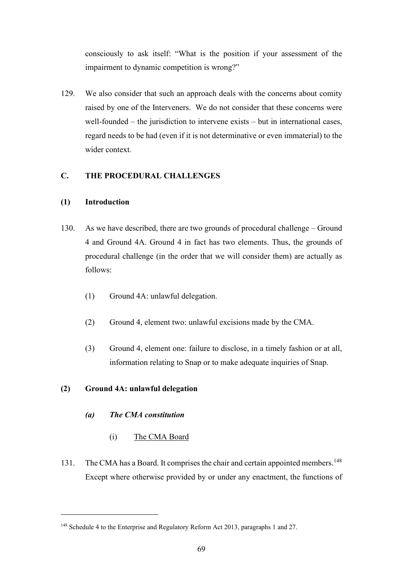consciously to ask itself: "What is the position if your assessment of the impairment to dynamic competition is wrong?"

129. We also consider that such an approach deals with the concerns about comity raised by one of the Interveners. We do not consider that these concerns were well-founded – the jurisdiction to intervene exists – but in international cases, regard needs to be had (even if it is not determinative or even immaterial) to the wider context.

# **C. THE PROCEDURAL CHALLENGES**

# **(1) Introduction**

- 130. As we have described, there are two grounds of procedural challenge Ground 4 and Ground 4A. Ground 4 in fact has two elements. Thus, the grounds of procedural challenge (in the order that we will consider them) are actually as follows:
	- (1) Ground 4A: unlawful delegation.
	- (2) Ground 4, element two: unlawful excisions made by the CMA.
	- (3) Ground 4, element one: failure to disclose, in a timely fashion or at all, information relating to Snap or to make adequate inquiries of Snap.

# **(2) Ground 4A: unlawful delegation**

- *(a) The CMA constitution*
	- (i) The CMA Board
- 131. The CMA has a Board. It comprises the chair and certain appointed members.<sup>148</sup> Except where otherwise provided by or under any enactment, the functions of

<sup>148</sup> Schedule 4 to the Enterprise and Regulatory Reform Act 2013, paragraphs 1 and 27.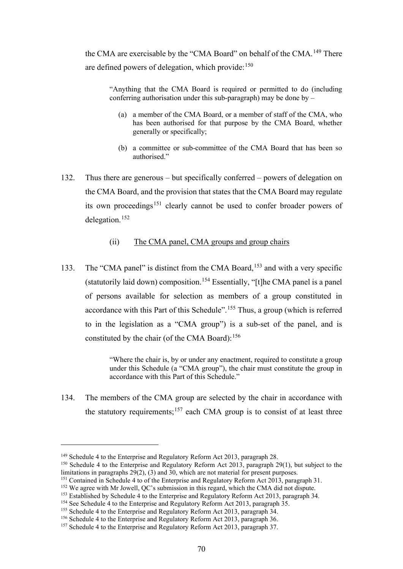the CMA are exercisable by the "CMA Board" on behalf of the CMA.<sup>149</sup> There are defined powers of delegation, which provide: $150$ 

"Anything that the CMA Board is required or permitted to do (including conferring authorisation under this sub-paragraph) may be done by  $-$ 

- (a) a member of the CMA Board, or a member of staff of the CMA, who has been authorised for that purpose by the CMA Board, whether generally or specifically;
- (b) a committee or sub-committee of the CMA Board that has been so authorised."
- 132. Thus there are generous but specifically conferred powers of delegation on the CMA Board, and the provision that states that the CMA Board may regulate its own proceedings<sup>151</sup> clearly cannot be used to confer broader powers of delegation.<sup>152</sup>
	- (ii) The CMA panel, CMA groups and group chairs
- 133. The "CMA panel" is distinct from the CMA Board,<sup>153</sup> and with a very specific (statutorily laid down) composition.<sup>154</sup> Essentially, "[t]he CMA panel is a panel of persons available for selection as members of a group constituted in accordance with this Part of this Schedule".<sup>155</sup> Thus, a group (which is referred to in the legislation as a "CMA group") is a sub-set of the panel, and is constituted by the chair (of the CMA Board): $156$

"Where the chair is, by or under any enactment, required to constitute a group under this Schedule (a "CMA group"), the chair must constitute the group in accordance with this Part of this Schedule."

134. The members of the CMA group are selected by the chair in accordance with the statutory requirements;<sup>157</sup> each CMA group is to consist of at least three

<sup>&</sup>lt;sup>149</sup> Schedule 4 to the Enterprise and Regulatory Reform Act 2013, paragraph 28.<br><sup>150</sup> Schedule 4 to the Enterprise and Regulatory Reform Act 2013, paragraph 29(1), but subject to the limitations in paragraphs  $29(2)$ , (3) and 30, which are not material for present purposes.<br><sup>151</sup> Contained in Schedule 4 to of the Enterprise and Regulatory Reform Act 2013, paragraph 31.

<sup>&</sup>lt;sup>152</sup> We agree with Mr Jowell, QC's submission in this regard, which the CMA did not dispute.<br><sup>153</sup> Established by Schedule 4 to the Enterprise and Regulatory Reform Act 2013, paragraph 34.

<sup>&</sup>lt;sup>154</sup> See Schedule 4 to the Enterprise and Regulatory Reform Act 2013, paragraph 35.<br><sup>155</sup> Schedule 4 to the Enterprise and Regulatory Reform Act 2013, paragraph 34.<br><sup>156</sup> Schedule 4 to the Enterprise and Regulatory Reform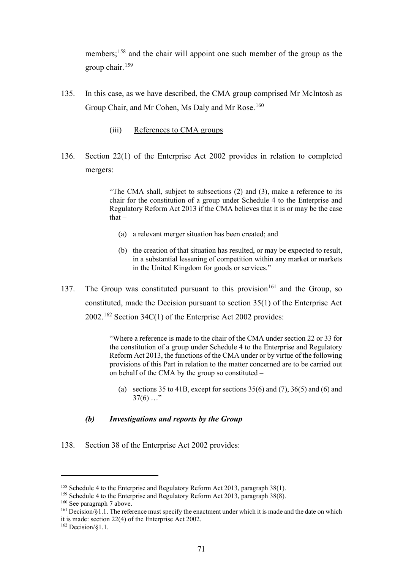members;<sup>158</sup> and the chair will appoint one such member of the group as the group chair.<sup>159</sup>

- 135. In this case, as we have described, the CMA group comprised Mr McIntosh as Group Chair, and Mr Cohen, Ms Daly and Mr Rose.<sup>160</sup>
	- (iii) References to CMA groups
- 136. Section 22(1) of the Enterprise Act 2002 provides in relation to completed mergers:

"The CMA shall, subject to subsections (2) and (3), make a reference to its chair for the constitution of a group under Schedule 4 to the Enterprise and Regulatory Reform Act 2013 if the CMA believes that it is or may be the case that $-$ 

- (a) a relevant merger situation has been created; and
- (b) the creation of that situation has resulted, or may be expected to result, in a substantial lessening of competition within any market or markets in the United Kingdom for goods or services."
- 137. The Group was constituted pursuant to this provision<sup>161</sup> and the Group, so constituted, made the Decision pursuant to section 35(1) of the Enterprise Act 2002.<sup>162</sup> Section 34C(1) of the Enterprise Act 2002 provides:

"Where a reference is made to the chair of the CMA under section 22 or 33 for the constitution of a group under Schedule 4 to the Enterprise and Regulatory Reform Act 2013, the functions of the CMA under or by virtue of the following provisions of this Part in relation to the matter concerned are to be carried out on behalf of the CMA by the group so constituted –

(a) sections 35 to 41B, except for sections  $35(6)$  and  $(7)$ ,  $36(5)$  and  $(6)$  and  $37(6)$  ..."

# *(b) Investigations and reports by the Group*

138. Section 38 of the Enterprise Act 2002 provides:

<sup>&</sup>lt;sup>158</sup> Schedule 4 to the Enterprise and Regulatory Reform Act 2013, paragraph 38(1). <sup>159</sup> Schedule 4 to the Enterprise and Regulatory Reform Act 2013, paragraph 38(8). <sup>160</sup> See paragraph 7 above.

 $161$  Decision/§1.1. The reference must specify the enactment under which it is made and the date on which it is made: section 22(4) of the Enterprise Act 2002.

 $162$  Decision/ $81.1$ .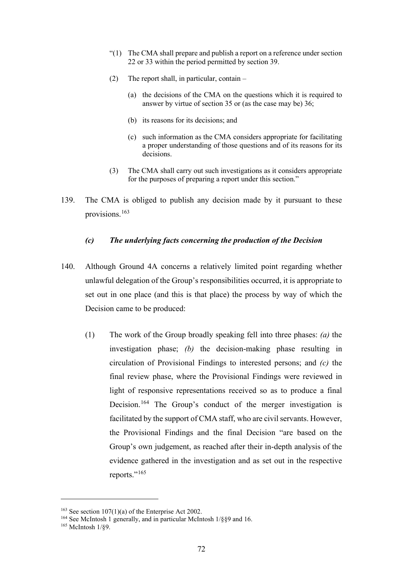- $(1)$  The CMA shall prepare and publish a report on a reference under section 22 or 33 within the period permitted by section 39.
- (2) The report shall, in particular, contain
	- (a) the decisions of the CMA on the questions which it is required to answer by virtue of section 35 or (as the case may be) 36;
	- (b) its reasons for its decisions; and
	- (c) such information as the CMA considers appropriate for facilitating a proper understanding of those questions and of its reasons for its decisions.
- (3) The CMA shall carry out such investigations as it considers appropriate for the purposes of preparing a report under this section."
- 139. The CMA is obliged to publish any decision made by it pursuant to these provisions.<sup>163</sup>

#### *(c) The underlying facts concerning the production of the Decision*

- 140. Although Ground 4A concerns a relatively limited point regarding whether unlawful delegation of the Group's responsibilities occurred, it is appropriate to set out in one place (and this is that place) the process by way of which the Decision came to be produced:
	- (1) The work of the Group broadly speaking fell into three phases: *(a)* the investigation phase; *(b)* the decision-making phase resulting in circulation of Provisional Findings to interested persons; and *(c)* the final review phase, where the Provisional Findings were reviewed in light of responsive representations received so as to produce a final Decision.<sup>164</sup> The Group's conduct of the merger investigation is facilitated by the support of CMA staff, who are civil servants. However, the Provisional Findings and the final Decision "are based on the Group's own judgement, as reached after their in-depth analysis of the evidence gathered in the investigation and as set out in the respective reports."<sup>165</sup>

<sup>&</sup>lt;sup>163</sup> See section 107(1)(a) of the Enterprise Act 2002.

<sup>&</sup>lt;sup>164</sup> See McIntosh 1 generally, and in particular McIntosh  $1/\S$ §9 and 16. <sup>165</sup> McIntosh 1/89.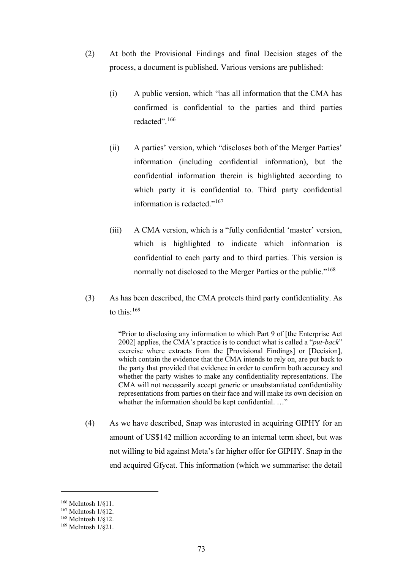- (2) At both the Provisional Findings and final Decision stages of the process, a document is published. Various versions are published:
	- (i) A public version, which "has all information that the CMA has confirmed is confidential to the parties and third parties redacted".<sup>166</sup>
	- (ii) A parties' version, which "discloses both of the Merger Parties' information (including confidential information), but the confidential information therein is highlighted according to which party it is confidential to. Third party confidential information is redacted."<sup>167</sup>
	- (iii) A CMA version, which is a "fully confidential 'master' version, which is highlighted to indicate which information is confidential to each party and to third parties. This version is normally not disclosed to the Merger Parties or the public."<sup>168</sup>
- (3) As has been described, the CMA protects third party confidentiality. As to this:<sup>169</sup>

"Prior to disclosing any information to which Part 9 of [the Enterprise Act 2002] applies, the CMA's practice is to conduct what is called a "*put-back*" exercise where extracts from the [Provisional Findings] or [Decision], which contain the evidence that the CMA intends to rely on, are put back to the party that provided that evidence in order to confirm both accuracy and whether the party wishes to make any confidentiality representations. The CMA will not necessarily accept generic or unsubstantiated confidentiality representations from parties on their face and will make its own decision on whether the information should be kept confidential. ..."

(4) As we have described, Snap was interested in acquiring GIPHY for an amount of US\$142 million according to an internal term sheet, but was not willing to bid against Meta's far higher offer for GIPHY. Snap in the end acquired Gfycat. This information (which we summarise: the detail

<sup>166</sup> McIntosh 1/§11.

<sup>167</sup> McIntosh 1/§12.

<sup>168</sup> McIntosh 1/§12.

<sup>169</sup> McIntosh 1/§21.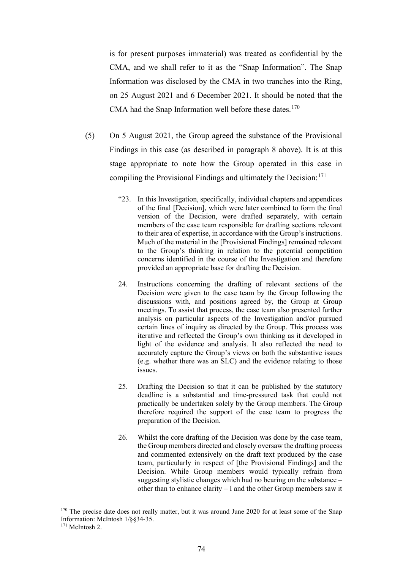is for present purposes immaterial) was treated as confidential by the CMA, and we shall refer to it as the "Snap Information". The Snap Information was disclosed by the CMA in two tranches into the Ring, on 25 August 2021 and 6 December 2021. It should be noted that the CMA had the Snap Information well before these dates.<sup>170</sup>

- (5) On 5 August 2021, the Group agreed the substance of the Provisional Findings in this case (as described in paragraph 8 above). It is at this stage appropriate to note how the Group operated in this case in compiling the Provisional Findings and ultimately the Decision:  $171$ 
	- "23. In this Investigation, specifically, individual chapters and appendices of the final [Decision], which were later combined to form the final version of the Decision, were drafted separately, with certain members of the case team responsible for drafting sections relevant to their area of expertise, in accordance with the Group's instructions. Much of the material in the [Provisional Findings] remained relevant to the Group's thinking in relation to the potential competition concerns identified in the course of the Investigation and therefore provided an appropriate base for drafting the Decision.
	- 24. Instructions concerning the drafting of relevant sections of the Decision were given to the case team by the Group following the discussions with, and positions agreed by, the Group at Group meetings. To assist that process, the case team also presented further analysis on particular aspects of the Investigation and/or pursued certain lines of inquiry as directed by the Group. This process was iterative and reflected the Group's own thinking as it developed in light of the evidence and analysis. It also reflected the need to accurately capture the Group's views on both the substantive issues (e.g. whether there was an SLC) and the evidence relating to those issues.
	- 25. Drafting the Decision so that it can be published by the statutory deadline is a substantial and time-pressured task that could not practically be undertaken solely by the Group members. The Group therefore required the support of the case team to progress the preparation of the Decision.
	- 26. Whilst the core drafting of the Decision was done by the case team, the Group members directed and closely oversaw the drafting process and commented extensively on the draft text produced by the case team, particularly in respect of [the Provisional Findings] and the Decision. While Group members would typically refrain from suggesting stylistic changes which had no bearing on the substance – other than to enhance clarity – I and the other Group members saw it

<sup>&</sup>lt;sup>170</sup> The precise date does not really matter, but it was around June 2020 for at least some of the Snap Information: McIntosh 1/§§34-35.

<sup>171</sup> McIntosh 2.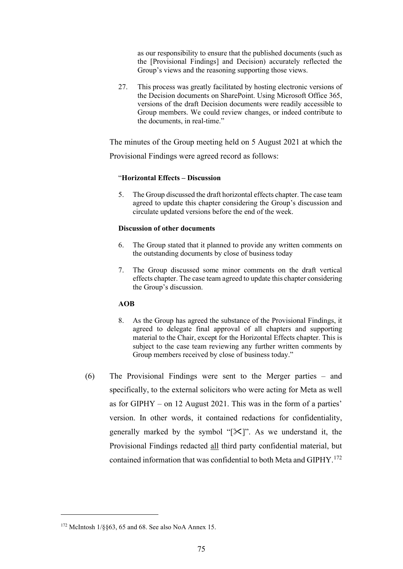as our responsibility to ensure that the published documents (such as the [Provisional Findings] and Decision) accurately reflected the Group's views and the reasoning supporting those views.

27. This process was greatly facilitated by hosting electronic versions of the Decision documents on SharePoint. Using Microsoft Office 365, versions of the draft Decision documents were readily accessible to Group members. We could review changes, or indeed contribute to the documents, in real-time."

The minutes of the Group meeting held on 5 August 2021 at which the

Provisional Findings were agreed record as follows:

### "**Horizontal Effects – Discussion**

5. The Group discussed the draft horizontal effects chapter. The case team agreed to update this chapter considering the Group's discussion and circulate updated versions before the end of the week.

### **Discussion of other documents**

- 6. The Group stated that it planned to provide any written comments on the outstanding documents by close of business today
- 7. The Group discussed some minor comments on the draft vertical effects chapter. The case team agreed to update this chapter considering the Group's discussion.

# **AOB**

- 8. As the Group has agreed the substance of the Provisional Findings, it agreed to delegate final approval of all chapters and supporting material to the Chair, except for the Horizontal Effects chapter. This is subject to the case team reviewing any further written comments by Group members received by close of business today."
- (6) The Provisional Findings were sent to the Merger parties and specifically, to the external solicitors who were acting for Meta as well as for GIPHY – on 12 August 2021. This was in the form of a parties' version. In other words, it contained redactions for confidentiality, generally marked by the symbol " $[\mathcal{K}]$ ". As we understand it, the Provisional Findings redacted all third party confidential material, but contained information that was confidential to both Meta and GIPHY. 172

<sup>172</sup> McIntosh 1/§§63, 65 and 68. See also NoA Annex 15.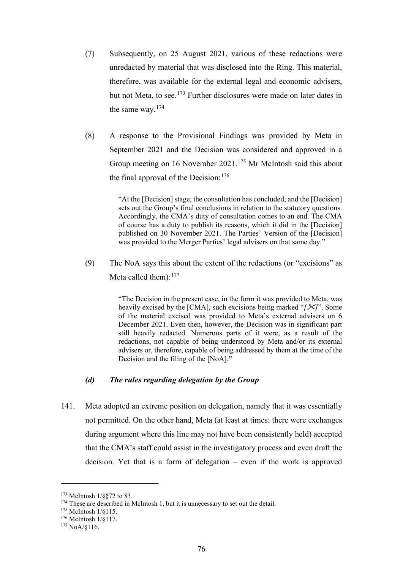- (7) Subsequently, on 25 August 2021, various of these redactions were unredacted by material that was disclosed into the Ring. This material, therefore, was available for the external legal and economic advisers, but not Meta, to see.<sup>173</sup> Further disclosures were made on later dates in the same way.<sup>174</sup>
- (8) A response to the Provisional Findings was provided by Meta in September 2021 and the Decision was considered and approved in a Group meeting on 16 November 2021.<sup>175</sup> Mr McIntosh said this about the final approval of the Decision:  $176$

"At the [Decision] stage, the consultation has concluded, and the [Decision] sets out the Group's final conclusions in relation to the statutory questions. Accordingly, the CMA's duty of consultation comes to an end. The CMA of course has a duty to publish its reasons, which it did in the [Decision] published on 30 November 2021. The Parties' Version of the [Decision] was provided to the Merger Parties' legal advisers on that same day."

(9) The NoA says this about the extent of the redactions (or "excisions" as Meta called them):  $177$ 

> "The Decision in the present case, in the form it was provided to Meta, was heavily excised by the [CMA], such excisions being marked "*[]*". Some of the material excised was provided to Meta's external advisers on 6 December 2021. Even then, however, the Decision was in significant part still heavily redacted. Numerous parts of it were, as a result of the redactions, not capable of being understood by Meta and/or its external advisers or, therefore, capable of being addressed by them at the time of the Decision and the filing of the [NoA]."

# *(d) The rules regarding delegation by the Group*

141. Meta adopted an extreme position on delegation, namely that it was essentially not permitted. On the other hand, Meta (at least at times: there were exchanges during argument where this line may not have been consistently held) accepted that the CMA's staff could assist in the investigatory process and even draft the decision. Yet that is a form of delegation – even if the work is approved

<sup>173</sup> McIntosh 1/§§72 to 83.

<sup>&</sup>lt;sup>174</sup> These are described in McIntosh 1, but it is unnecessary to set out the detail.

<sup>175</sup> McIntosh 1/§115.

<sup>176</sup> McIntosh 1/§117.

<sup>177</sup> NoA/§116.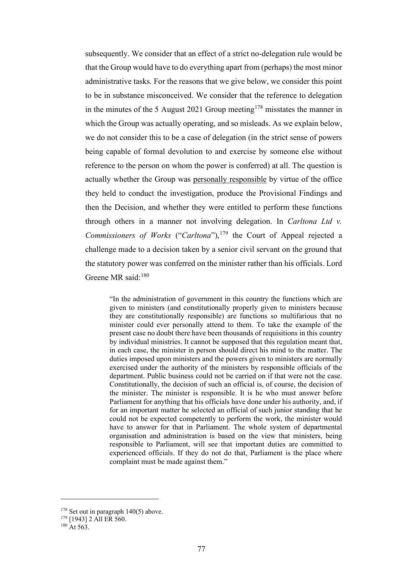subsequently. We consider that an effect of a strict no-delegation rule would be that the Group would have to do everything apart from (perhaps) the most minor administrative tasks. For the reasons that we give below, we consider this point to be in substance misconceived. We consider that the reference to delegation in the minutes of the 5 August 2021 Group meeting<sup>178</sup> misstates the manner in which the Group was actually operating, and so misleads. As we explain below, we do not consider this to be a case of delegation (in the strict sense of powers being capable of formal devolution to and exercise by someone else without reference to the person on whom the power is conferred) at all. The question is actually whether the Group was personally responsible by virtue of the office they held to conduct the investigation, produce the Provisional Findings and then the Decision, and whether they were entitled to perform these functions through others in a manner not involving delegation. In *Carltona Ltd v. Commissioners of Works* ("*Carltona*"), <sup>179</sup> the Court of Appeal rejected a challenge made to a decision taken by a senior civil servant on the ground that the statutory power was conferred on the minister rather than his officials. Lord Greene MR said:<sup>180</sup>

"In the administration of government in this country the functions which are given to ministers (and constitutionally properly given to ministers because they are constitutionally responsible) are functions so multifarious that no minister could ever personally attend to them. To take the example of the present case no doubt there have been thousands of requisitions in this country by individual ministries. It cannot be supposed that this regulation meant that, in each case, the minister in person should direct his mind to the matter. The duties imposed upon ministers and the powers given to ministers are normally exercised under the authority of the ministers by responsible officials of the department. Public business could not be carried on if that were not the case. Constitutionally, the decision of such an official is, of course, the decision of the minister. The minister is responsible. It is he who must answer before Parliament for anything that his officials have done under his authority, and, if for an important matter he selected an official of such junior standing that he could not be expected competently to perform the work, the minister would have to answer for that in Parliament. The whole system of departmental organisation and administration is based on the view that ministers, being responsible to Parliament, will see that important duties are committed to experienced officials. If they do not do that, Parliament is the place where complaint must be made against them."

 $178$  Set out in paragraph  $140(5)$  above.

 $179$  [1943] 2 All ER 560.

 $180$  At 563.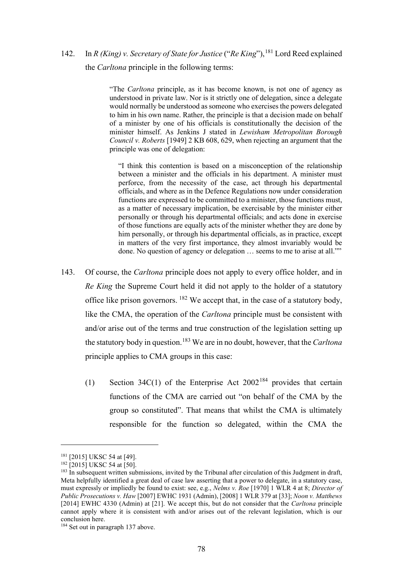142. In *R (King) v. Secretary of State for Justice* ("*Re King*"), <sup>181</sup> Lord Reed explained the *Carltona* principle in the following terms:

> "The *Carltona* principle, as it has become known, is not one of agency as understood in private law. Nor is it strictly one of delegation, since a delegate would normally be understood as someone who exercises the powers delegated to him in his own name. Rather, the principle is that a decision made on behalf of a minister by one of his officials is constitutionally the decision of the minister himself. As Jenkins J stated in *Lewisham Metropolitan Borough Council v. Roberts* [1949] 2 KB 608, 629, when rejecting an argument that the principle was one of delegation:

"I think this contention is based on a misconception of the relationship between a minister and the officials in his department. A minister must perforce, from the necessity of the case, act through his departmental officials, and where as in the Defence Regulations now under consideration functions are expressed to be committed to a minister, those functions must, as a matter of necessary implication, be exercisable by the minister either personally or through his departmental officials; and acts done in exercise of those functions are equally acts of the minister whether they are done by him personally, or through his departmental officials, as in practice, except in matters of the very first importance, they almost invariably would be done. No question of agency or delegation … seems to me to arise at all.""

- 143. Of course, the *Carltona* principle does not apply to every office holder, and in *Re King* the Supreme Court held it did not apply to the holder of a statutory office like prison governors. <sup>182</sup> We accept that, in the case of a statutory body, like the CMA, the operation of the *Carltona* principle must be consistent with and/or arise out of the terms and true construction of the legislation setting up the statutory body in question.<sup>183</sup> We are in no doubt, however, that the *Carltona*  principle applies to CMA groups in this case:
	- (1) Section 34C(1) of the Enterprise Act  $2002^{184}$  provides that certain functions of the CMA are carried out "on behalf of the CMA by the group so constituted". That means that whilst the CMA is ultimately responsible for the function so delegated, within the CMA the

<sup>181</sup> [2015] UKSC 54 at [49].

 $182$  [2015] UKSC 54 at [50].

 $183$  In subsequent written submissions, invited by the Tribunal after circulation of this Judgment in draft, Meta helpfully identified a great deal of case law asserting that a power to delegate, in a statutory case, must expressly or impliedly be found to exist: see, e.g., *Nelms v. Roe* [1970] 1 WLR 4 at 8; *Director of Public Prosecutions v. Haw* [2007] EWHC 1931 (Admin), [2008] 1 WLR 379 at [33]; *Noon v. Matthews* [2014] EWHC 4330 (Admin) at [21]. We accept this, but do not consider that the *Carltona* principle cannot apply where it is consistent with and/or arises out of the relevant legislation, which is our conclusion here.

<sup>&</sup>lt;sup>184</sup> Set out in paragraph 137 above.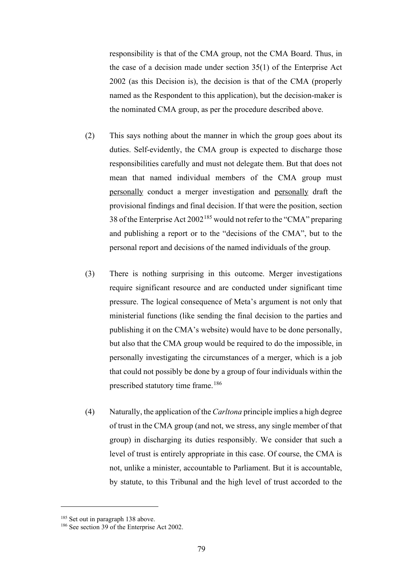responsibility is that of the CMA group, not the CMA Board. Thus, in the case of a decision made under section 35(1) of the Enterprise Act 2002 (as this Decision is), the decision is that of the CMA (properly named as the Respondent to this application), but the decision-maker is the nominated CMA group, as per the procedure described above.

- (2) This says nothing about the manner in which the group goes about its duties. Self-evidently, the CMA group is expected to discharge those responsibilities carefully and must not delegate them. But that does not mean that named individual members of the CMA group must personally conduct a merger investigation and personally draft the provisional findings and final decision. If that were the position, section 38 of the Enterprise Act 2002<sup>185</sup> would not refer to the "CMA" preparing and publishing a report or to the "decisions of the CMA", but to the personal report and decisions of the named individuals of the group.
- (3) There is nothing surprising in this outcome. Merger investigations require significant resource and are conducted under significant time pressure. The logical consequence of Meta's argument is not only that ministerial functions (like sending the final decision to the parties and publishing it on the CMA's website) would have to be done personally, but also that the CMA group would be required to do the impossible, in personally investigating the circumstances of a merger, which is a job that could not possibly be done by a group of four individuals within the prescribed statutory time frame.<sup>186</sup>
- (4) Naturally, the application of the *Carltona* principle implies a high degree of trust in the CMA group (and not, we stress, any single member of that group) in discharging its duties responsibly. We consider that such a level of trust is entirely appropriate in this case. Of course, the CMA is not, unlike a minister, accountable to Parliament. But it is accountable, by statute, to this Tribunal and the high level of trust accorded to the

<sup>&</sup>lt;sup>185</sup> Set out in paragraph 138 above.

<sup>186</sup> See section 39 of the Enterprise Act 2002.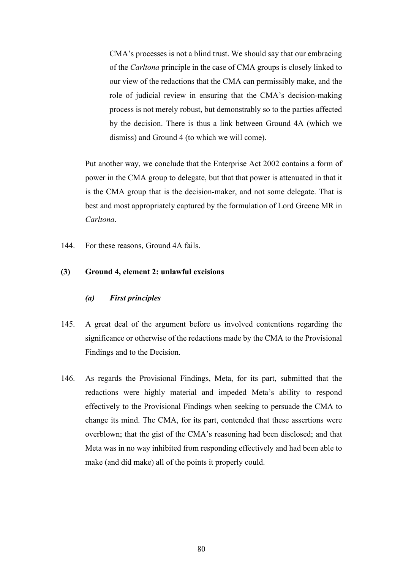CMA's processes is not a blind trust. We should say that our embracing of the *Carltona* principle in the case of CMA groups is closely linked to our view of the redactions that the CMA can permissibly make, and the role of judicial review in ensuring that the CMA's decision-making process is not merely robust, but demonstrably so to the parties affected by the decision. There is thus a link between Ground 4A (which we dismiss) and Ground 4 (to which we will come).

Put another way, we conclude that the Enterprise Act 2002 contains a form of power in the CMA group to delegate, but that that power is attenuated in that it is the CMA group that is the decision-maker, and not some delegate. That is best and most appropriately captured by the formulation of Lord Greene MR in *Carltona*.

144. For these reasons, Ground 4A fails.

# **(3) Ground 4, element 2: unlawful excisions**

### *(a) First principles*

- 145. A great deal of the argument before us involved contentions regarding the significance or otherwise of the redactions made by the CMA to the Provisional Findings and to the Decision.
- 146. As regards the Provisional Findings, Meta, for its part, submitted that the redactions were highly material and impeded Meta's ability to respond effectively to the Provisional Findings when seeking to persuade the CMA to change its mind. The CMA, for its part, contended that these assertions were overblown; that the gist of the CMA's reasoning had been disclosed; and that Meta was in no way inhibited from responding effectively and had been able to make (and did make) all of the points it properly could.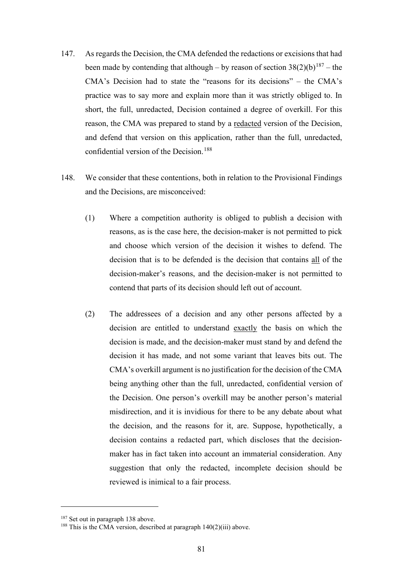- 147. As regards the Decision, the CMA defended the redactions or excisions that had been made by contending that although – by reason of section  $38(2)(b)^{187}$  – the CMA's Decision had to state the "reasons for its decisions" – the CMA's practice was to say more and explain more than it was strictly obliged to. In short, the full, unredacted, Decision contained a degree of overkill. For this reason, the CMA was prepared to stand by a redacted version of the Decision, and defend that version on this application, rather than the full, unredacted, confidential version of the Decision.<sup>188</sup>
- 148. We consider that these contentions, both in relation to the Provisional Findings and the Decisions, are misconceived:
	- (1) Where a competition authority is obliged to publish a decision with reasons, as is the case here, the decision-maker is not permitted to pick and choose which version of the decision it wishes to defend. The decision that is to be defended is the decision that contains all of the decision-maker's reasons, and the decision-maker is not permitted to contend that parts of its decision should left out of account.
	- (2) The addressees of a decision and any other persons affected by a decision are entitled to understand exactly the basis on which the decision is made, and the decision-maker must stand by and defend the decision it has made, and not some variant that leaves bits out. The CMA's overkill argument is no justification for the decision of the CMA being anything other than the full, unredacted, confidential version of the Decision. One person's overkill may be another person's material misdirection, and it is invidious for there to be any debate about what the decision, and the reasons for it, are. Suppose, hypothetically, a decision contains a redacted part, which discloses that the decisionmaker has in fact taken into account an immaterial consideration. Any suggestion that only the redacted, incomplete decision should be reviewed is inimical to a fair process.

<sup>&</sup>lt;sup>187</sup> Set out in paragraph 138 above.

 $188$  This is the CMA version, described at paragraph  $140(2)(iii)$  above.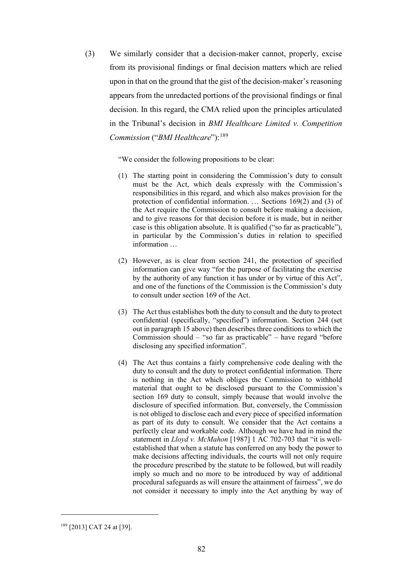(3) We similarly consider that a decision-maker cannot, properly, excise from its provisional findings or final decision matters which are relied upon in that on the ground that the gist of the decision-maker's reasoning appears from the unredacted portions of the provisional findings or final decision. In this regard, the CMA relied upon the principles articulated in the Tribunal's decision in *BMI Healthcare Limited v. Competition Commission* ("*BMI Healthcare*"): 189

"We consider the following propositions to be clear:

- (1) The starting point in considering the Commission's duty to consult must be the Act, which deals expressly with the Commission's responsibilities in this regard, and which also makes provision for the protection of confidential information. … Sections 169(2) and (3) of the Act require the Commission to consult before making a decision, and to give reasons for that decision before it is made, but in neither case is this obligation absolute. It is qualified ("so far as practicable"), in particular by the Commission's duties in relation to specified information …
- (2) However, as is clear from section 241, the protection of specified information can give way "for the purpose of facilitating the exercise by the authority of any function it has under or by virtue of this Act", and one of the functions of the Commission is the Commission's duty to consult under section 169 of the Act.
- (3) The Act thus establishes both the duty to consult and the duty to protect confidential (specifically, "specified") information. Section 244 (set out in paragraph 15 above) then describes three conditions to which the Commission should – "so far as practicable" – have regard "before disclosing any specified information".
- (4) The Act thus contains a fairly comprehensive code dealing with the duty to consult and the duty to protect confidential information. There is nothing in the Act which obliges the Commission to withhold material that ought to be disclosed pursuant to the Commission's section 169 duty to consult, simply because that would involve the disclosure of specified information. But, conversely, the Commission is not obliged to disclose each and every piece of specified information as part of its duty to consult. We consider that the Act contains a perfectly clear and workable code. Although we have had in mind the statement in *Lloyd v. McMahon* [1987] 1 AC 702-703 that "it is wellestablished that when a statute has conferred on any body the power to make decisions affecting individuals, the courts will not only require the procedure prescribed by the statute to be followed, but will readily imply so much and no more to be introduced by way of additional procedural safeguards as will ensure the attainment of fairness", we do not consider it necessary to imply into the Act anything by way of

<sup>189</sup> [2013] CAT 24 at [39].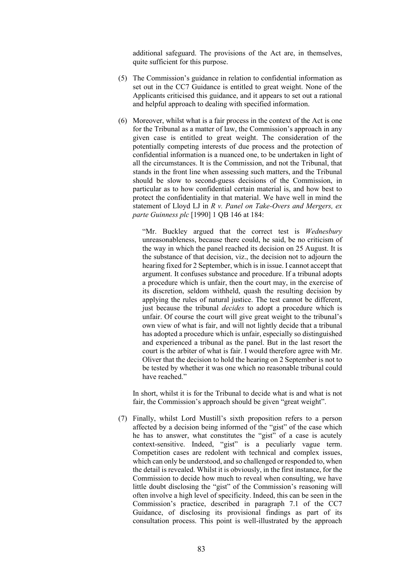additional safeguard. The provisions of the Act are, in themselves, quite sufficient for this purpose.

- (5) The Commission's guidance in relation to confidential information as set out in the CC7 Guidance is entitled to great weight. None of the Applicants criticised this guidance, and it appears to set out a rational and helpful approach to dealing with specified information.
- (6) Moreover, whilst what is a fair process in the context of the Act is one for the Tribunal as a matter of law, the Commission's approach in any given case is entitled to great weight. The consideration of the potentially competing interests of due process and the protection of confidential information is a nuanced one, to be undertaken in light of all the circumstances. It is the Commission, and not the Tribunal, that stands in the front line when assessing such matters, and the Tribunal should be slow to second-guess decisions of the Commission, in particular as to how confidential certain material is, and how best to protect the confidentiality in that material. We have well in mind the statement of Lloyd LJ in *R v. Panel on Take-Overs and Mergers, ex parte Guinness plc* [1990] 1 QB 146 at 184:

"Mr. Buckley argued that the correct test is *Wednesbury* unreasonableness, because there could, he said, be no criticism of the way in which the panel reached its decision on 25 August. It is the substance of that decision, viz., the decision not to adjourn the hearing fixed for 2 September, which is in issue. I cannot accept that argument. It confuses substance and procedure. If a tribunal adopts a procedure which is unfair, then the court may, in the exercise of its discretion, seldom withheld, quash the resulting decision by applying the rules of natural justice. The test cannot be different, just because the tribunal *decides* to adopt a procedure which is unfair. Of course the court will give great weight to the tribunal's own view of what is fair, and will not lightly decide that a tribunal has adopted a procedure which is unfair, especially so distinguished and experienced a tribunal as the panel. But in the last resort the court is the arbiter of what is fair. I would therefore agree with Mr. Oliver that the decision to hold the hearing on 2 September is not to be tested by whether it was one which no reasonable tribunal could have reached."

In short, whilst it is for the Tribunal to decide what is and what is not fair, the Commission's approach should be given "great weight".

(7) Finally, whilst Lord Mustill's sixth proposition refers to a person affected by a decision being informed of the "gist" of the case which he has to answer, what constitutes the "gist" of a case is acutely context-sensitive. Indeed, "gist" is a peculiarly vague term. Competition cases are redolent with technical and complex issues, which can only be understood, and so challenged or responded to, when the detail is revealed. Whilst it is obviously, in the first instance, for the Commission to decide how much to reveal when consulting, we have little doubt disclosing the "gist" of the Commission's reasoning will often involve a high level of specificity. Indeed, this can be seen in the Commission's practice, described in paragraph 7.1 of the CC7 Guidance, of disclosing its provisional findings as part of its consultation process. This point is well-illustrated by the approach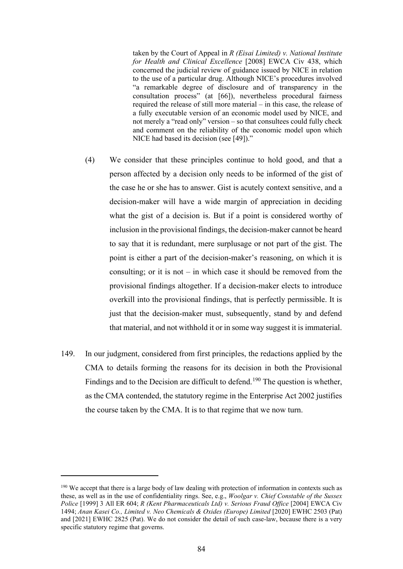taken by the Court of Appeal in *R (Eisai Limited) v. National Institute for Health and Clinical Excellence* [2008] EWCA Civ 438, which concerned the judicial review of guidance issued by NICE in relation to the use of a particular drug. Although NICE's procedures involved "a remarkable degree of disclosure and of transparency in the consultation process" (at [66]), nevertheless procedural fairness required the release of still more material – in this case, the release of a fully executable version of an economic model used by NICE, and not merely a "read only" version – so that consultees could fully check and comment on the reliability of the economic model upon which NICE had based its decision (see [49])."

- (4) We consider that these principles continue to hold good, and that a person affected by a decision only needs to be informed of the gist of the case he or she has to answer. Gist is acutely context sensitive, and a decision-maker will have a wide margin of appreciation in deciding what the gist of a decision is. But if a point is considered worthy of inclusion in the provisional findings, the decision-maker cannot be heard to say that it is redundant, mere surplusage or not part of the gist. The point is either a part of the decision-maker's reasoning, on which it is consulting; or it is not  $-$  in which case it should be removed from the provisional findings altogether. If a decision-maker elects to introduce overkill into the provisional findings, that is perfectly permissible. It is just that the decision-maker must, subsequently, stand by and defend that material, and not withhold it or in some way suggest it is immaterial.
- 149. In our judgment, considered from first principles, the redactions applied by the CMA to details forming the reasons for its decision in both the Provisional Findings and to the Decision are difficult to defend.<sup>190</sup> The question is whether, as the CMA contended, the statutory regime in the Enterprise Act 2002 justifies the course taken by the CMA. It is to that regime that we now turn.

<sup>&</sup>lt;sup>190</sup> We accept that there is a large body of law dealing with protection of information in contexts such as these, as well as in the use of confidentiality rings. See, e.g., *Woolgar v. Chief Constable of the Sussex Police* [1999] 3 All ER 604; *R (Kent Pharmaceuticals Ltd) v. Serious Fraud Office* [2004] EWCA Civ 1494; *Anan Kasei Co., Limited v. Neo Chemicals & Oxides (Europe) Limited* [2020] EWHC 2503 (Pat) and [2021] EWHC 2825 (Pat). We do not consider the detail of such case-law, because there is a very specific statutory regime that governs.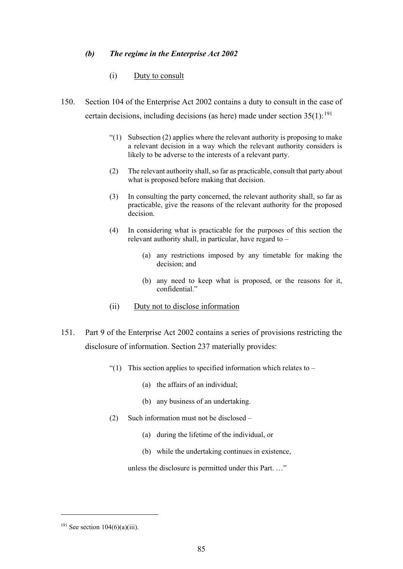### *(b) The regime in the Enterprise Act 2002*

#### (i) Duty to consult

- 150. Section 104 of the Enterprise Act 2002 contains a duty to consult in the case of certain decisions, including decisions (as here) made under section  $35(1)$ :<sup>191</sup>
	- "(1) Subsection (2) applies where the relevant authority is proposing to make a relevant decision in a way which the relevant authority considers is likely to be adverse to the interests of a relevant party.
	- (2) The relevant authority shall, so far as practicable, consult that party about what is proposed before making that decision.
	- (3) In consulting the party concerned, the relevant authority shall, so far as practicable, give the reasons of the relevant authority for the proposed decision.
	- (4) In considering what is practicable for the purposes of this section the relevant authority shall, in particular, have regard to –
		- (a) any restrictions imposed by any timetable for making the decision; and
		- (b) any need to keep what is proposed, or the reasons for it, confidential."
	- (ii) Duty not to disclose information
- 151. Part 9 of the Enterprise Act 2002 contains a series of provisions restricting the disclosure of information. Section 237 materially provides:
	- "(1) This section applies to specified information which relates to  $-$ 
		- (a) the affairs of an individual;
		- (b) any business of an undertaking.
	- (2) Such information must not be disclosed
		- (a) during the lifetime of the individual, or
		- (b) while the undertaking continues in existence,

unless the disclosure is permitted under this Part. …"

 $191$  See section  $104(6)(a)(iii)$ .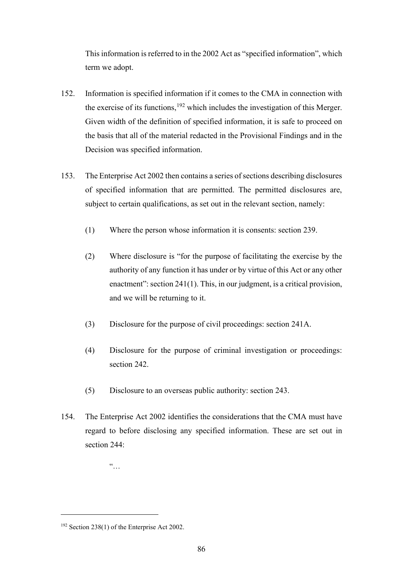This information is referred to in the 2002 Act as "specified information", which term we adopt.

- 152. Information is specified information if it comes to the CMA in connection with the exercise of its functions,  $192$  which includes the investigation of this Merger. Given width of the definition of specified information, it is safe to proceed on the basis that all of the material redacted in the Provisional Findings and in the Decision was specified information.
- 153. The Enterprise Act 2002 then contains a series of sections describing disclosures of specified information that are permitted. The permitted disclosures are, subject to certain qualifications, as set out in the relevant section, namely:
	- (1) Where the person whose information it is consents: section 239.
	- (2) Where disclosure is "for the purpose of facilitating the exercise by the authority of any function it has under or by virtue of this Act or any other enactment": section 241(1). This, in our judgment, is a critical provision, and we will be returning to it.
	- (3) Disclosure for the purpose of civil proceedings: section 241A.
	- (4) Disclosure for the purpose of criminal investigation or proceedings: section 242.
	- (5) Disclosure to an overseas public authority: section 243.
- 154. The Enterprise Act 2002 identifies the considerations that the CMA must have regard to before disclosing any specified information. These are set out in section 244:

 $\ddot{a}$ 

<sup>192</sup> Section 238(1) of the Enterprise Act 2002.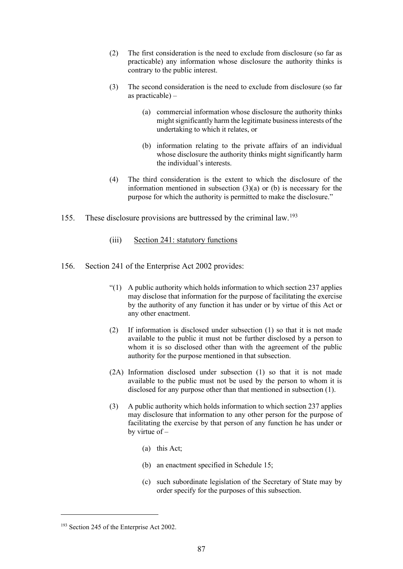- (2) The first consideration is the need to exclude from disclosure (so far as practicable) any information whose disclosure the authority thinks is contrary to the public interest.
- (3) The second consideration is the need to exclude from disclosure (so far as practicable) –
	- (a) commercial information whose disclosure the authority thinks might significantly harm the legitimate business interests of the undertaking to which it relates, or
	- (b) information relating to the private affairs of an individual whose disclosure the authority thinks might significantly harm the individual's interests.
- (4) The third consideration is the extent to which the disclosure of the information mentioned in subsection  $(3)(a)$  or (b) is necessary for the purpose for which the authority is permitted to make the disclosure."
- 155. These disclosure provisions are buttressed by the criminal law.<sup>193</sup>
	- (iii) Section 241: statutory functions
- 156. Section 241 of the Enterprise Act 2002 provides:
	- "(1) A public authority which holds information to which section 237 applies may disclose that information for the purpose of facilitating the exercise by the authority of any function it has under or by virtue of this Act or any other enactment.
	- (2) If information is disclosed under subsection (1) so that it is not made available to the public it must not be further disclosed by a person to whom it is so disclosed other than with the agreement of the public authority for the purpose mentioned in that subsection.
	- (2A) Information disclosed under subsection (1) so that it is not made available to the public must not be used by the person to whom it is disclosed for any purpose other than that mentioned in subsection (1).
	- (3) A public authority which holds information to which section 237 applies may disclosure that information to any other person for the purpose of facilitating the exercise by that person of any function he has under or by virtue of –
		- (a) this Act;
		- (b) an enactment specified in Schedule 15;
		- (c) such subordinate legislation of the Secretary of State may by order specify for the purposes of this subsection.

<sup>&</sup>lt;sup>193</sup> Section 245 of the Enterprise Act 2002.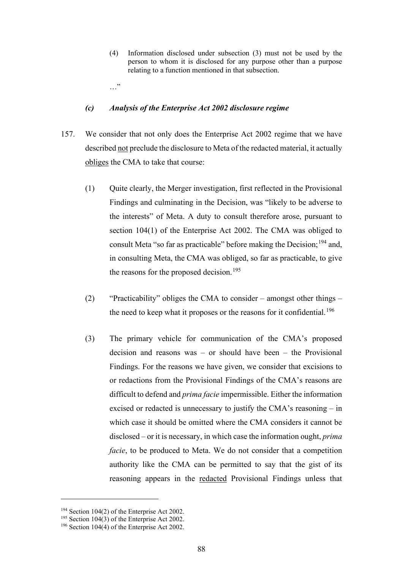(4) Information disclosed under subsection (3) must not be used by the person to whom it is disclosed for any purpose other than a purpose relating to a function mentioned in that subsection.

#### …"

#### *(c) Analysis of the Enterprise Act 2002 disclosure regime*

- 157. We consider that not only does the Enterprise Act 2002 regime that we have described not preclude the disclosure to Meta of the redacted material, it actually obliges the CMA to take that course:
	- (1) Quite clearly, the Merger investigation, first reflected in the Provisional Findings and culminating in the Decision, was "likely to be adverse to the interests" of Meta. A duty to consult therefore arose, pursuant to section 104(1) of the Enterprise Act 2002. The CMA was obliged to consult Meta "so far as practicable" before making the Decision;<sup>194</sup> and, in consulting Meta, the CMA was obliged, so far as practicable, to give the reasons for the proposed decision.<sup>195</sup>
	- (2) "Practicability" obliges the CMA to consider amongst other things the need to keep what it proposes or the reasons for it confidential.<sup>196</sup>
	- (3) The primary vehicle for communication of the CMA's proposed decision and reasons was – or should have been – the Provisional Findings. For the reasons we have given, we consider that excisions to or redactions from the Provisional Findings of the CMA's reasons are difficult to defend and *prima facie* impermissible. Either the information excised or redacted is unnecessary to justify the CMA's reasoning – in which case it should be omitted where the CMA considers it cannot be disclosed – or it is necessary, in which case the information ought, *prima facie*, to be produced to Meta. We do not consider that a competition authority like the CMA can be permitted to say that the gist of its reasoning appears in the redacted Provisional Findings unless that

<sup>&</sup>lt;sup>194</sup> Section 104(2) of the Enterprise Act 2002.<br><sup>195</sup> Section 104(3) of the Enterprise Act 2002.<br><sup>196</sup> Section 104(4) of the Enterprise Act 2002.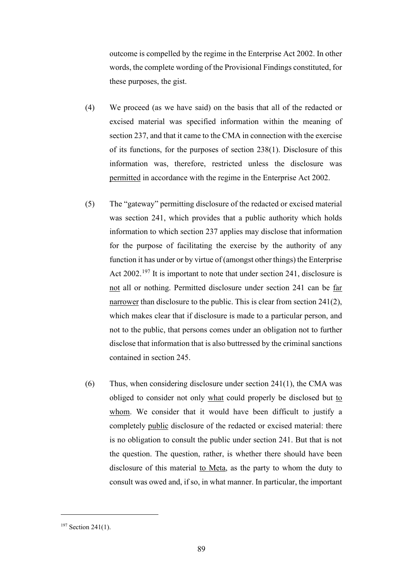outcome is compelled by the regime in the Enterprise Act 2002. In other words, the complete wording of the Provisional Findings constituted, for these purposes, the gist.

- (4) We proceed (as we have said) on the basis that all of the redacted or excised material was specified information within the meaning of section 237, and that it came to the CMA in connection with the exercise of its functions, for the purposes of section 238(1). Disclosure of this information was, therefore, restricted unless the disclosure was permitted in accordance with the regime in the Enterprise Act 2002.
- (5) The "gateway" permitting disclosure of the redacted or excised material was section 241, which provides that a public authority which holds information to which section 237 applies may disclose that information for the purpose of facilitating the exercise by the authority of any function it has under or by virtue of (amongst other things) the Enterprise Act 2002.<sup>197</sup> It is important to note that under section 241, disclosure is not all or nothing. Permitted disclosure under section 241 can be far narrower than disclosure to the public. This is clear from section 241(2), which makes clear that if disclosure is made to a particular person, and not to the public, that persons comes under an obligation not to further disclose that information that is also buttressed by the criminal sanctions contained in section 245.
- (6) Thus, when considering disclosure under section  $241(1)$ , the CMA was obliged to consider not only what could properly be disclosed but to whom. We consider that it would have been difficult to justify a completely public disclosure of the redacted or excised material: there is no obligation to consult the public under section 241. But that is not the question. The question, rather, is whether there should have been disclosure of this material to Meta, as the party to whom the duty to consult was owed and, if so, in what manner. In particular, the important

<sup>&</sup>lt;sup>197</sup> Section 241(1).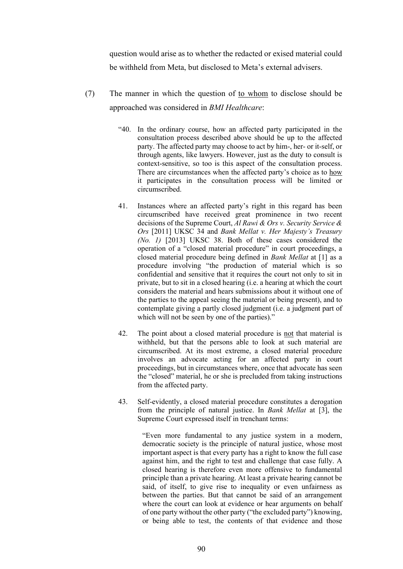question would arise as to whether the redacted or exised material could be withheld from Meta, but disclosed to Meta's external advisers.

- (7) The manner in which the question of to whom to disclose should be approached was considered in *BMI Healthcare*:
	- "40. In the ordinary course, how an affected party participated in the consultation process described above should be up to the affected party. The affected party may choose to act by him-, her- or it-self, or through agents, like lawyers. However, just as the duty to consult is context-sensitive, so too is this aspect of the consultation process. There are circumstances when the affected party's choice as to how it participates in the consultation process will be limited or circumscribed.
	- 41. Instances where an affected party's right in this regard has been circumscribed have received great prominence in two recent decisions of the Supreme Court, *Al Rawi & Ors v. Security Service & Ors* [2011] UKSC 34 and *Bank Mellat v. Her Majesty's Treasury (No. 1)* [2013] UKSC 38. Both of these cases considered the operation of a "closed material procedure" in court proceedings, a closed material procedure being defined in *Bank Mellat* at [1] as a procedure involving "the production of material which is so confidential and sensitive that it requires the court not only to sit in private, but to sit in a closed hearing (i.e. a hearing at which the court considers the material and hears submissions about it without one of the parties to the appeal seeing the material or being present), and to contemplate giving a partly closed judgment (i.e. a judgment part of which will not be seen by one of the parties)."
	- 42. The point about a closed material procedure is not that material is withheld, but that the persons able to look at such material are circumscribed. At its most extreme, a closed material procedure involves an advocate acting for an affected party in court proceedings, but in circumstances where, once that advocate has seen the "closed" material, he or she is precluded from taking instructions from the affected party.
	- 43. Self-evidently, a closed material procedure constitutes a derogation from the principle of natural justice. In *Bank Mellat* at [3], the Supreme Court expressed itself in trenchant terms:

"Even more fundamental to any justice system in a modern, democratic society is the principle of natural justice, whose most important aspect is that every party has a right to know the full case against him, and the right to test and challenge that case fully. A closed hearing is therefore even more offensive to fundamental principle than a private hearing. At least a private hearing cannot be said, of itself, to give rise to inequality or even unfairness as between the parties. But that cannot be said of an arrangement where the court can look at evidence or hear arguments on behalf of one party without the other party ("the excluded party") knowing, or being able to test, the contents of that evidence and those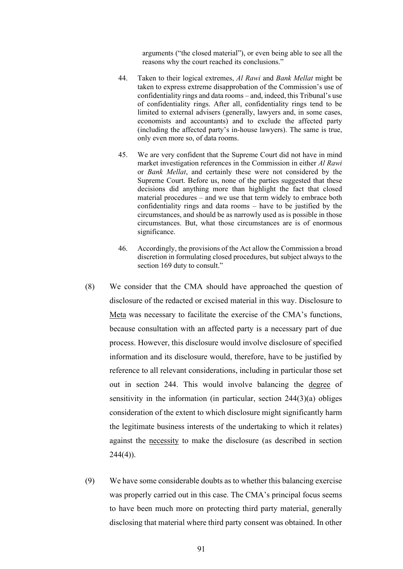arguments ("the closed material"), or even being able to see all the reasons why the court reached its conclusions."

- 44. Taken to their logical extremes, *Al Rawi* and *Bank Mellat* might be taken to express extreme disapprobation of the Commission's use of confidentiality rings and data rooms – and, indeed, this Tribunal's use of confidentiality rings. After all, confidentiality rings tend to be limited to external advisers (generally, lawyers and, in some cases, economists and accountants) and to exclude the affected party (including the affected party's in-house lawyers). The same is true, only even more so, of data rooms.
- 45. We are very confident that the Supreme Court did not have in mind market investigation references in the Commission in either *Al Rawi* or *Bank Mellat*, and certainly these were not considered by the Supreme Court. Before us, none of the parties suggested that these decisions did anything more than highlight the fact that closed material procedures – and we use that term widely to embrace both confidentiality rings and data rooms – have to be justified by the circumstances, and should be as narrowly used as is possible in those circumstances. But, what those circumstances are is of enormous significance.
- 46. Accordingly, the provisions of the Act allow the Commission a broad discretion in formulating closed procedures, but subject always to the section 169 duty to consult."
- (8) We consider that the CMA should have approached the question of disclosure of the redacted or excised material in this way. Disclosure to Meta was necessary to facilitate the exercise of the CMA's functions, because consultation with an affected party is a necessary part of due process. However, this disclosure would involve disclosure of specified information and its disclosure would, therefore, have to be justified by reference to all relevant considerations, including in particular those set out in section 244. This would involve balancing the degree of sensitivity in the information (in particular, section  $244(3)(a)$  obliges consideration of the extent to which disclosure might significantly harm the legitimate business interests of the undertaking to which it relates) against the necessity to make the disclosure (as described in section  $244(4)$ ).
- (9) We have some considerable doubts as to whether this balancing exercise was properly carried out in this case. The CMA's principal focus seems to have been much more on protecting third party material, generally disclosing that material where third party consent was obtained. In other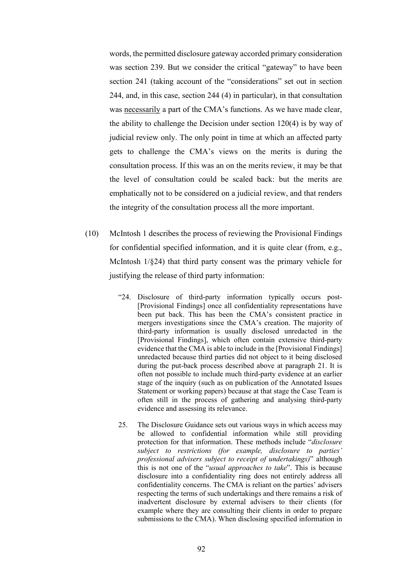words, the permitted disclosure gateway accorded primary consideration was section 239. But we consider the critical "gateway" to have been section 241 (taking account of the "considerations" set out in section 244, and, in this case, section 244 (4) in particular), in that consultation was necessarily a part of the CMA's functions. As we have made clear, the ability to challenge the Decision under section 120(4) is by way of judicial review only. The only point in time at which an affected party gets to challenge the CMA's views on the merits is during the consultation process. If this was an on the merits review, it may be that the level of consultation could be scaled back: but the merits are emphatically not to be considered on a judicial review, and that renders the integrity of the consultation process all the more important.

- (10) McIntosh 1 describes the process of reviewing the Provisional Findings for confidential specified information, and it is quite clear (from, e.g., McIntosh 1/§24) that third party consent was the primary vehicle for justifying the release of third party information:
	- "24. Disclosure of third-party information typically occurs post- [Provisional Findings] once all confidentiality representations have been put back. This has been the CMA's consistent practice in mergers investigations since the CMA's creation. The majority of third-party information is usually disclosed unredacted in the [Provisional Findings], which often contain extensive third-party evidence that the CMA is able to include in the [Provisional Findings] unredacted because third parties did not object to it being disclosed during the put-back process described above at paragraph 21. It is often not possible to include much third-party evidence at an earlier stage of the inquiry (such as on publication of the Annotated Issues Statement or working papers) because at that stage the Case Team is often still in the process of gathering and analysing third-party evidence and assessing its relevance.
	- 25. The Disclosure Guidance sets out various ways in which access may be allowed to confidential information while still providing protection for that information. These methods include "*disclosure subject to restrictions (for example, disclosure to parties' professional advisers subject to receipt of undertakings)*" although this is not one of the "*usual approaches to take*". This is because disclosure into a confidentiality ring does not entirely address all confidentiality concerns. The CMA is reliant on the parties' advisers respecting the terms of such undertakings and there remains a risk of inadvertent disclosure by external advisers to their clients (for example where they are consulting their clients in order to prepare submissions to the CMA). When disclosing specified information in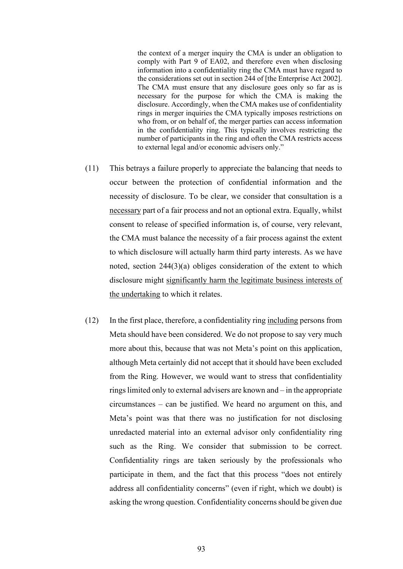the context of a merger inquiry the CMA is under an obligation to comply with Part 9 of EA02, and therefore even when disclosing information into a confidentiality ring the CMA must have regard to the considerations set out in section 244 of [the Enterprise Act 2002]. The CMA must ensure that any disclosure goes only so far as is necessary for the purpose for which the CMA is making the disclosure. Accordingly, when the CMA makes use of confidentiality rings in merger inquiries the CMA typically imposes restrictions on who from, or on behalf of, the merger parties can access information in the confidentiality ring. This typically involves restricting the number of participants in the ring and often the CMA restricts access to external legal and/or economic advisers only."

- (11) This betrays a failure properly to appreciate the balancing that needs to occur between the protection of confidential information and the necessity of disclosure. To be clear, we consider that consultation is a necessary part of a fair process and not an optional extra. Equally, whilst consent to release of specified information is, of course, very relevant, the CMA must balance the necessity of a fair process against the extent to which disclosure will actually harm third party interests. As we have noted, section 244(3)(a) obliges consideration of the extent to which disclosure might significantly harm the legitimate business interests of the undertaking to which it relates.
- (12) In the first place, therefore, a confidentiality ring including persons from Meta should have been considered. We do not propose to say very much more about this, because that was not Meta's point on this application, although Meta certainly did not accept that it should have been excluded from the Ring. However, we would want to stress that confidentiality rings limited only to external advisers are known and – in the appropriate circumstances – can be justified. We heard no argument on this, and Meta's point was that there was no justification for not disclosing unredacted material into an external advisor only confidentiality ring such as the Ring. We consider that submission to be correct. Confidentiality rings are taken seriously by the professionals who participate in them, and the fact that this process "does not entirely address all confidentiality concerns" (even if right, which we doubt) is asking the wrong question. Confidentiality concerns should be given due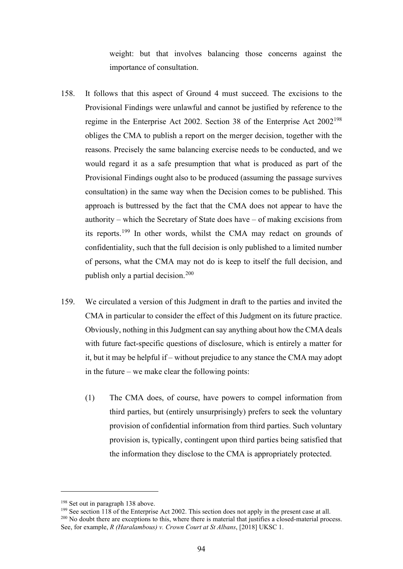weight: but that involves balancing those concerns against the importance of consultation.

- 158. It follows that this aspect of Ground 4 must succeed. The excisions to the Provisional Findings were unlawful and cannot be justified by reference to the regime in the Enterprise Act 2002. Section 38 of the Enterprise Act 2002<sup>198</sup> obliges the CMA to publish a report on the merger decision, together with the reasons. Precisely the same balancing exercise needs to be conducted, and we would regard it as a safe presumption that what is produced as part of the Provisional Findings ought also to be produced (assuming the passage survives consultation) in the same way when the Decision comes to be published. This approach is buttressed by the fact that the CMA does not appear to have the authority – which the Secretary of State does have – of making excisions from its reports.<sup>199</sup> In other words, whilst the CMA may redact on grounds of confidentiality, such that the full decision is only published to a limited number of persons, what the CMA may not do is keep to itself the full decision, and publish only a partial decision.<sup>200</sup>
- 159. We circulated a version of this Judgment in draft to the parties and invited the CMA in particular to consider the effect of this Judgment on its future practice. Obviously, nothing in this Judgment can say anything about how the CMA deals with future fact-specific questions of disclosure, which is entirely a matter for it, but it may be helpful if – without prejudice to any stance the CMA may adopt in the future – we make clear the following points:
	- (1) The CMA does, of course, have powers to compel information from third parties, but (entirely unsurprisingly) prefers to seek the voluntary provision of confidential information from third parties. Such voluntary provision is, typically, contingent upon third parties being satisfied that the information they disclose to the CMA is appropriately protected.

<sup>&</sup>lt;sup>198</sup> Set out in paragraph 138 above.

<sup>&</sup>lt;sup>199</sup> See section 118 of the Enterprise Act 2002. This section does not apply in the present case at all. <sup>200</sup> No doubt there are exceptions to this, where there is material that justifies a closed-material process. See, for example, *R (Haralambous) v. Crown Court at St Albans*, [2018] UKSC 1.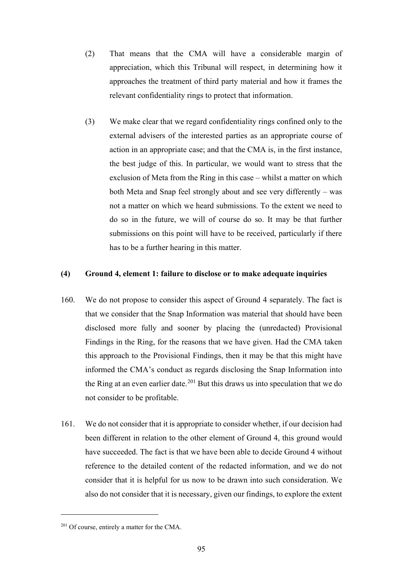- (2) That means that the CMA will have a considerable margin of appreciation, which this Tribunal will respect, in determining how it approaches the treatment of third party material and how it frames the relevant confidentiality rings to protect that information.
- (3) We make clear that we regard confidentiality rings confined only to the external advisers of the interested parties as an appropriate course of action in an appropriate case; and that the CMA is, in the first instance, the best judge of this. In particular, we would want to stress that the exclusion of Meta from the Ring in this case – whilst a matter on which both Meta and Snap feel strongly about and see very differently – was not a matter on which we heard submissions. To the extent we need to do so in the future, we will of course do so. It may be that further submissions on this point will have to be received, particularly if there has to be a further hearing in this matter.

### **(4) Ground 4, element 1: failure to disclose or to make adequate inquiries**

- 160. We do not propose to consider this aspect of Ground 4 separately. The fact is that we consider that the Snap Information was material that should have been disclosed more fully and sooner by placing the (unredacted) Provisional Findings in the Ring, for the reasons that we have given. Had the CMA taken this approach to the Provisional Findings, then it may be that this might have informed the CMA's conduct as regards disclosing the Snap Information into the Ring at an even earlier date.<sup>201</sup> But this draws us into speculation that we do not consider to be profitable.
- 161. We do not consider that it is appropriate to consider whether, if our decision had been different in relation to the other element of Ground 4, this ground would have succeeded. The fact is that we have been able to decide Ground 4 without reference to the detailed content of the redacted information, and we do not consider that it is helpful for us now to be drawn into such consideration. We also do not consider that it is necessary, given our findings, to explore the extent

<sup>&</sup>lt;sup>201</sup> Of course, entirely a matter for the CMA.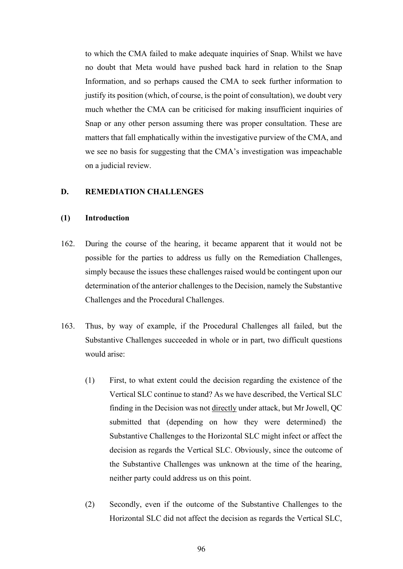to which the CMA failed to make adequate inquiries of Snap. Whilst we have no doubt that Meta would have pushed back hard in relation to the Snap Information, and so perhaps caused the CMA to seek further information to justify its position (which, of course, is the point of consultation), we doubt very much whether the CMA can be criticised for making insufficient inquiries of Snap or any other person assuming there was proper consultation. These are matters that fall emphatically within the investigative purview of the CMA, and we see no basis for suggesting that the CMA's investigation was impeachable on a judicial review.

#### **D. REMEDIATION CHALLENGES**

# **(1) Introduction**

- 162. During the course of the hearing, it became apparent that it would not be possible for the parties to address us fully on the Remediation Challenges, simply because the issues these challenges raised would be contingent upon our determination of the anterior challenges to the Decision, namely the Substantive Challenges and the Procedural Challenges.
- 163. Thus, by way of example, if the Procedural Challenges all failed, but the Substantive Challenges succeeded in whole or in part, two difficult questions would arise:
	- (1) First, to what extent could the decision regarding the existence of the Vertical SLC continue to stand? As we have described, the Vertical SLC finding in the Decision was not directly under attack, but Mr Jowell, QC submitted that (depending on how they were determined) the Substantive Challenges to the Horizontal SLC might infect or affect the decision as regards the Vertical SLC. Obviously, since the outcome of the Substantive Challenges was unknown at the time of the hearing, neither party could address us on this point.
	- (2) Secondly, even if the outcome of the Substantive Challenges to the Horizontal SLC did not affect the decision as regards the Vertical SLC,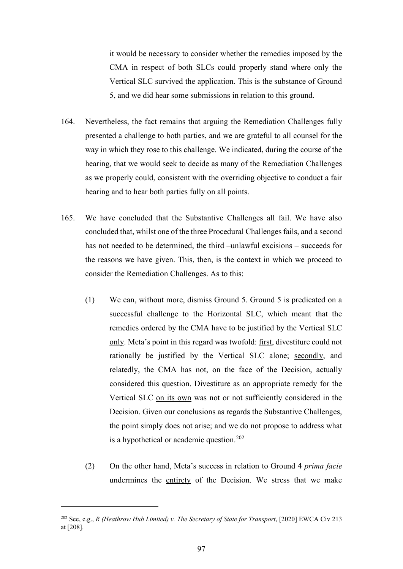it would be necessary to consider whether the remedies imposed by the CMA in respect of both SLCs could properly stand where only the Vertical SLC survived the application. This is the substance of Ground 5, and we did hear some submissions in relation to this ground.

- 164. Nevertheless, the fact remains that arguing the Remediation Challenges fully presented a challenge to both parties, and we are grateful to all counsel for the way in which they rose to this challenge. We indicated, during the course of the hearing, that we would seek to decide as many of the Remediation Challenges as we properly could, consistent with the overriding objective to conduct a fair hearing and to hear both parties fully on all points.
- 165. We have concluded that the Substantive Challenges all fail. We have also concluded that, whilst one of the three Procedural Challenges fails, and a second has not needed to be determined, the third –unlawful excisions – succeeds for the reasons we have given. This, then, is the context in which we proceed to consider the Remediation Challenges. As to this:
	- (1) We can, without more, dismiss Ground 5. Ground 5 is predicated on a successful challenge to the Horizontal SLC, which meant that the remedies ordered by the CMA have to be justified by the Vertical SLC only. Meta's point in this regard was twofold: first, divestiture could not rationally be justified by the Vertical SLC alone; secondly, and relatedly, the CMA has not, on the face of the Decision, actually considered this question. Divestiture as an appropriate remedy for the Vertical SLC on its own was not or not sufficiently considered in the Decision. Given our conclusions as regards the Substantive Challenges, the point simply does not arise; and we do not propose to address what is a hypothetical or academic question.<sup>202</sup>
	- (2) On the other hand, Meta's success in relation to Ground 4 *prima facie* undermines the entirety of the Decision. We stress that we make

<sup>202</sup> See, e.g., *R (Heathrow Hub Limited) v. The Secretary of State for Transport*, [2020] EWCA Civ 213 at [208].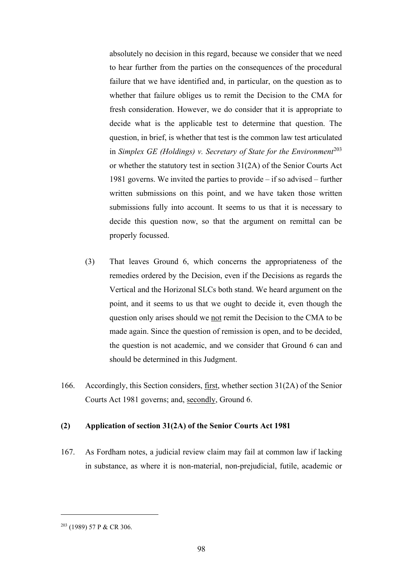absolutely no decision in this regard, because we consider that we need to hear further from the parties on the consequences of the procedural failure that we have identified and, in particular, on the question as to whether that failure obliges us to remit the Decision to the CMA for fresh consideration. However, we do consider that it is appropriate to decide what is the applicable test to determine that question. The question, in brief, is whether that test is the common law test articulated in *Simplex GE (Holdings) v. Secretary of State for the Environment*<sup>203</sup> or whether the statutory test in section 31(2A) of the Senior Courts Act 1981 governs. We invited the parties to provide – if so advised – further written submissions on this point, and we have taken those written submissions fully into account. It seems to us that it is necessary to decide this question now, so that the argument on remittal can be properly focussed.

- (3) That leaves Ground 6, which concerns the appropriateness of the remedies ordered by the Decision, even if the Decisions as regards the Vertical and the Horizonal SLCs both stand. We heard argument on the point, and it seems to us that we ought to decide it, even though the question only arises should we not remit the Decision to the CMA to be made again. Since the question of remission is open, and to be decided, the question is not academic, and we consider that Ground 6 can and should be determined in this Judgment.
- 166. Accordingly, this Section considers, first, whether section 31(2A) of the Senior Courts Act 1981 governs; and, secondly, Ground 6.

#### **(2) Application of section 31(2A) of the Senior Courts Act 1981**

167. As Fordham notes, a judicial review claim may fail at common law if lacking in substance, as where it is non-material, non-prejudicial, futile, academic or

<sup>203</sup> (1989) 57 P & CR 306.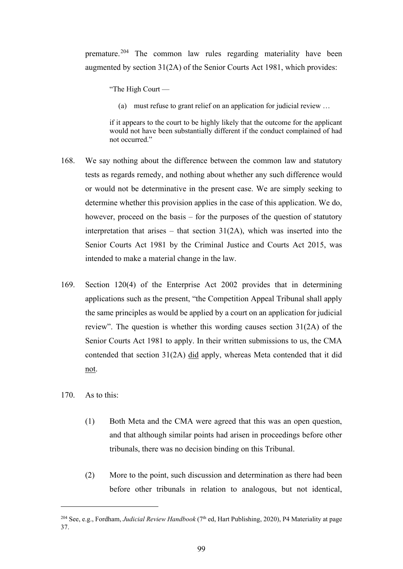premature.<sup>204</sup> The common law rules regarding materiality have been augmented by section 31(2A) of the Senior Courts Act 1981, which provides:

"The High Court —

(a) must refuse to grant relief on an application for judicial review …

if it appears to the court to be highly likely that the outcome for the applicant would not have been substantially different if the conduct complained of had not occurred."

- 168. We say nothing about the difference between the common law and statutory tests as regards remedy, and nothing about whether any such difference would or would not be determinative in the present case. We are simply seeking to determine whether this provision applies in the case of this application. We do, however, proceed on the basis – for the purposes of the question of statutory interpretation that arises – that section  $31(2A)$ , which was inserted into the Senior Courts Act 1981 by the Criminal Justice and Courts Act 2015, was intended to make a material change in the law.
- 169. Section 120(4) of the Enterprise Act 2002 provides that in determining applications such as the present, "the Competition Appeal Tribunal shall apply the same principles as would be applied by a court on an application for judicial review". The question is whether this wording causes section 31(2A) of the Senior Courts Act 1981 to apply. In their written submissions to us, the CMA contended that section 31(2A) did apply, whereas Meta contended that it did not.
- 170. As to this:
	- (1) Both Meta and the CMA were agreed that this was an open question, and that although similar points had arisen in proceedings before other tribunals, there was no decision binding on this Tribunal.
	- (2) More to the point, such discussion and determination as there had been before other tribunals in relation to analogous, but not identical,

<sup>&</sup>lt;sup>204</sup> See, e.g., Fordham, *Judicial Review Handbook* (7<sup>th</sup> ed, Hart Publishing, 2020), P4 Materiality at page 37.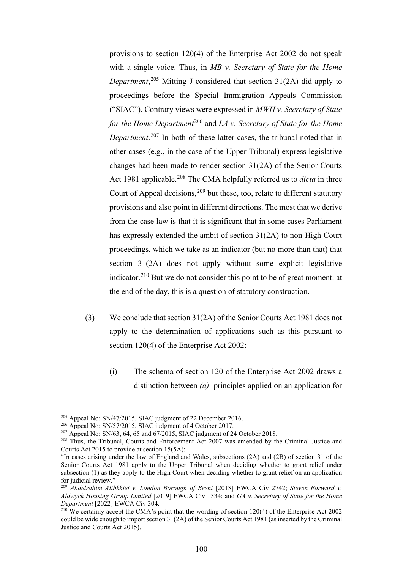provisions to section 120(4) of the Enterprise Act 2002 do not speak with a single voice. Thus, in *MB v. Secretary of State for the Home Department*, <sup>205</sup> Mitting J considered that section 31(2A) did apply to proceedings before the Special Immigration Appeals Commission ("SIAC"). Contrary views were expressed in *MWH v. Secretary of State for the Home Department*<sup>206</sup> and *LA v. Secretary of State for the Home Department*. <sup>207</sup> In both of these latter cases, the tribunal noted that in other cases (e.g., in the case of the Upper Tribunal) express legislative changes had been made to render section 31(2A) of the Senior Courts Act 1981 applicable.208 The CMA helpfully referred us to *dicta* in three Court of Appeal decisions,<sup>209</sup> but these, too, relate to different statutory provisions and also point in different directions. The most that we derive from the case law is that it is significant that in some cases Parliament has expressly extended the ambit of section 31(2A) to non-High Court proceedings, which we take as an indicator (but no more than that) that section  $31(2A)$  does not apply without some explicit legislative indicator.<sup>210</sup> But we do not consider this point to be of great moment: at the end of the day, this is a question of statutory construction.

- (3) We conclude that section 31(2A) of the Senior Courts Act 1981 does not apply to the determination of applications such as this pursuant to section 120(4) of the Enterprise Act 2002:
	- (i) The schema of section 120 of the Enterprise Act 2002 draws a distinction between *(a)* principles applied on an application for

<sup>&</sup>lt;sup>205</sup> Appeal No: SN/47/2015, SIAC judgment of 22 December 2016.

<sup>&</sup>lt;sup>206</sup> Appeal No: SN/57/2015, SIAC judgment of 4 October 2017.

<sup>&</sup>lt;sup>207</sup> Appeal No: SN/63, 64, 65 and  $\frac{67}{2015}$ , SIAC judgment of 24 October 2018.

<sup>&</sup>lt;sup>208</sup> Thus, the Tribunal, Courts and Enforcement Act 2007 was amended by the Criminal Justice and Courts Act 2015 to provide at section 15(5A):

<sup>&</sup>quot;In cases arising under the law of England and Wales, subsections (2A) and (2B) of section 31 of the Senior Courts Act 1981 apply to the Upper Tribunal when deciding whether to grant relief under subsection (1) as they apply to the High Court when deciding whether to grant relief on an application for judicial review."

<sup>209</sup> *Abdelrahim Alibkhiet v. London Borough of Brent* [2018] EWCA Civ 2742; *Steven Forward v. Aldwyck Housing Group Limited* [2019] EWCA Civ 1334; and *GA v. Secretary of State for the Home Department* [2022] EWCA Civ 304.

<sup>&</sup>lt;sup>210</sup> We certainly accept the CMA's point that the wording of section 120(4) of the Enterprise Act 2002 could be wide enough to import section 31(2A) of the Senior Courts Act 1981 (as inserted by the Criminal Justice and Courts Act 2015).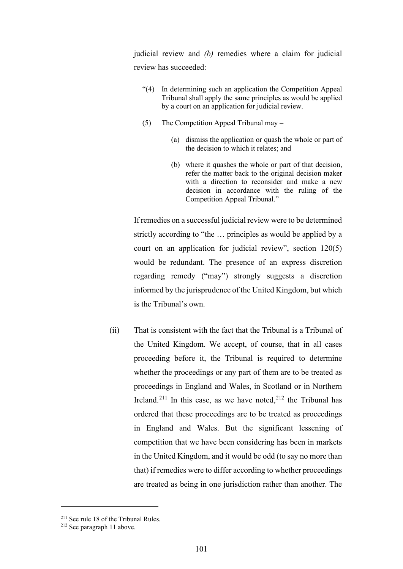judicial review and *(b)* remedies where a claim for judicial review has succeeded:

- "(4) In determining such an application the Competition Appeal Tribunal shall apply the same principles as would be applied by a court on an application for judicial review.
- (5) The Competition Appeal Tribunal may
	- (a) dismiss the application or quash the whole or part of the decision to which it relates; and
	- (b) where it quashes the whole or part of that decision, refer the matter back to the original decision maker with a direction to reconsider and make a new decision in accordance with the ruling of the Competition Appeal Tribunal."

If remedies on a successful judicial review were to be determined strictly according to "the … principles as would be applied by a court on an application for judicial review", section 120(5) would be redundant. The presence of an express discretion regarding remedy ("may") strongly suggests a discretion informed by the jurisprudence of the United Kingdom, but which is the Tribunal's own.

(ii) That is consistent with the fact that the Tribunal is a Tribunal of the United Kingdom. We accept, of course, that in all cases proceeding before it, the Tribunal is required to determine whether the proceedings or any part of them are to be treated as proceedings in England and Wales, in Scotland or in Northern Ireland.<sup>211</sup> In this case, as we have noted,<sup>212</sup> the Tribunal has ordered that these proceedings are to be treated as proceedings in England and Wales. But the significant lessening of competition that we have been considering has been in markets in the United Kingdom, and it would be odd (to say no more than that) if remedies were to differ according to whether proceedings are treated as being in one jurisdiction rather than another. The

<sup>211</sup> See rule 18 of the Tribunal Rules.

<sup>212</sup> See paragraph 11 above.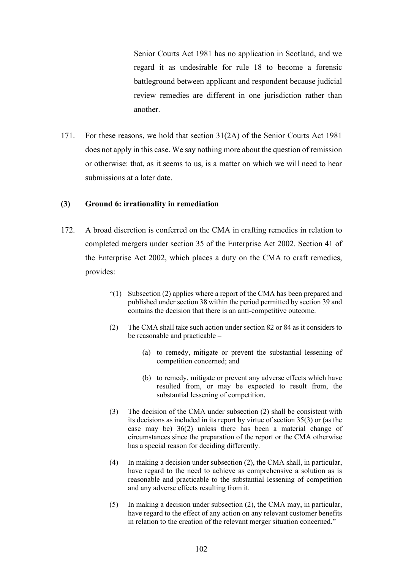Senior Courts Act 1981 has no application in Scotland, and we regard it as undesirable for rule 18 to become a forensic battleground between applicant and respondent because judicial review remedies are different in one jurisdiction rather than another.

171. For these reasons, we hold that section 31(2A) of the Senior Courts Act 1981 does not apply in this case. We say nothing more about the question of remission or otherwise: that, as it seems to us, is a matter on which we will need to hear submissions at a later date.

#### **(3) Ground 6: irrationality in remediation**

- 172. A broad discretion is conferred on the CMA in crafting remedies in relation to completed mergers under section 35 of the Enterprise Act 2002. Section 41 of the Enterprise Act 2002, which places a duty on the CMA to craft remedies, provides:
	- "(1) Subsection (2) applies where a report of the CMA has been prepared and published under section 38 within the period permitted by section 39 and contains the decision that there is an anti-competitive outcome.
	- (2) The CMA shall take such action under section 82 or 84 as it considers to be reasonable and practicable –
		- (a) to remedy, mitigate or prevent the substantial lessening of competition concerned; and
		- (b) to remedy, mitigate or prevent any adverse effects which have resulted from, or may be expected to result from, the substantial lessening of competition.
	- (3) The decision of the CMA under subsection (2) shall be consistent with its decisions as included in its report by virtue of section 35(3) or (as the case may be) 36(2) unless there has been a material change of circumstances since the preparation of the report or the CMA otherwise has a special reason for deciding differently.
	- (4) In making a decision under subsection (2), the CMA shall, in particular, have regard to the need to achieve as comprehensive a solution as is reasonable and practicable to the substantial lessening of competition and any adverse effects resulting from it.
	- (5) In making a decision under subsection (2), the CMA may, in particular, have regard to the effect of any action on any relevant customer benefits in relation to the creation of the relevant merger situation concerned."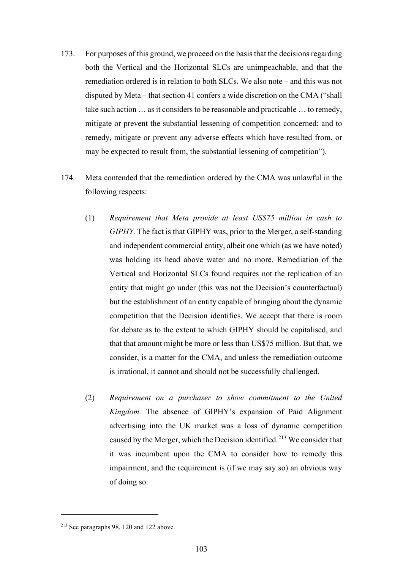- 173. For purposes of this ground, we proceed on the basis that the decisions regarding both the Vertical and the Horizontal SLCs are unimpeachable, and that the remediation ordered is in relation to both SLCs. We also note – and this was not disputed by Meta – that section 41 confers a wide discretion on the CMA ("shall take such action … as it considers to be reasonable and practicable … to remedy, mitigate or prevent the substantial lessening of competition concerned; and to remedy, mitigate or prevent any adverse effects which have resulted from, or may be expected to result from, the substantial lessening of competition").
- 174. Meta contended that the remediation ordered by the CMA was unlawful in the following respects:
	- (1) *Requirement that Meta provide at least US\$75 million in cash to GIPHY.* The fact is that GIPHY was, prior to the Merger, a self-standing and independent commercial entity, albeit one which (as we have noted) was holding its head above water and no more. Remediation of the Vertical and Horizontal SLCs found requires not the replication of an entity that might go under (this was not the Decision's counterfactual) but the establishment of an entity capable of bringing about the dynamic competition that the Decision identifies. We accept that there is room for debate as to the extent to which GIPHY should be capitalised, and that that amount might be more or less than US\$75 million. But that, we consider, is a matter for the CMA, and unless the remediation outcome is irrational, it cannot and should not be successfully challenged.
	- (2) *Requirement on a purchaser to show commitment to the United Kingdom.* The absence of GIPHY's expansion of Paid Alignment advertising into the UK market was a loss of dynamic competition caused by the Merger, which the Decision identified.<sup>213</sup> We consider that it was incumbent upon the CMA to consider how to remedy this impairment, and the requirement is (if we may say so) an obvious way of doing so.

<sup>213</sup> See paragraphs 98, 120 and 122 above.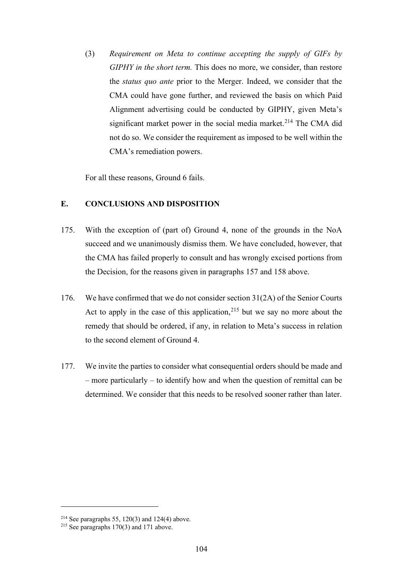(3) *Requirement on Meta to continue accepting the supply of GIFs by GIPHY in the short term.* This does no more, we consider, than restore the *status quo ante* prior to the Merger. Indeed, we consider that the CMA could have gone further, and reviewed the basis on which Paid Alignment advertising could be conducted by GIPHY, given Meta's significant market power in the social media market.<sup>214</sup> The CMA did not do so. We consider the requirement as imposed to be well within the CMA's remediation powers.

For all these reasons, Ground 6 fails.

# **E. CONCLUSIONS AND DISPOSITION**

- 175. With the exception of (part of) Ground 4, none of the grounds in the NoA succeed and we unanimously dismiss them. We have concluded, however, that the CMA has failed properly to consult and has wrongly excised portions from the Decision, for the reasons given in paragraphs 157 and 158 above.
- 176. We have confirmed that we do not consider section 31(2A) of the Senior Courts Act to apply in the case of this application,  $215$  but we say no more about the remedy that should be ordered, if any, in relation to Meta's success in relation to the second element of Ground 4.
- 177. We invite the parties to consider what consequential orders should be made and – more particularly – to identify how and when the question of remittal can be determined. We consider that this needs to be resolved sooner rather than later.

<sup>&</sup>lt;sup>214</sup> See paragraphs 55, 120(3) and 124(4) above.<br><sup>215</sup> See paragraphs 170(3) and 171 above.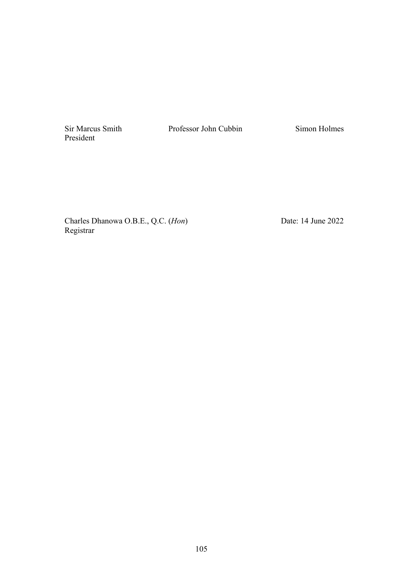Sir Marcus Smith President

Professor John Cubbin Simon Holmes

Charles Dhanowa O.B.E., Q.C. (*Hon*) Registrar

Date: 14 June 2022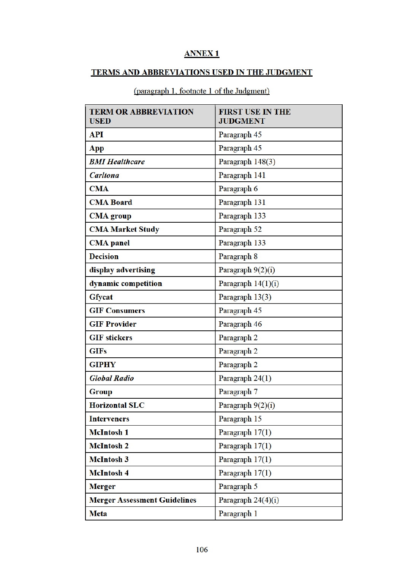# **ANNEX1**

# TERMS AND ABBREVIATIONS USED IN THE JUDGMENT

| <b>TERM OR ABBREVIATION</b><br><b>USED</b> | <b>FIRST USE IN THE</b><br><b>JUDGMENT</b> |
|--------------------------------------------|--------------------------------------------|
| <b>API</b>                                 | Paragraph 45                               |
| App                                        | Paragraph 45                               |
| <b>BMI Healthcare</b>                      | Paragraph 148(3)                           |
| <b>Carltona</b>                            | Paragraph 141                              |
| <b>CMA</b>                                 | Paragraph 6                                |
| <b>CMA Board</b>                           | Paragraph 131                              |
| <b>CMA</b> group                           | Paragraph 133                              |
| <b>CMA Market Study</b>                    | Paragraph 52                               |
| <b>CMA</b> panel                           | Paragraph 133                              |
| <b>Decision</b>                            | Paragraph 8                                |
| display advertising                        | Paragraph 9(2)(i)                          |
| dynamic competition                        | Paragraph 14(1)(i)                         |
| <b>Gfycat</b>                              | Paragraph 13(3)                            |
| <b>GIF Consumers</b>                       | Paragraph 45                               |
| <b>GIF Provider</b>                        | Paragraph 46                               |
| <b>GIF</b> stickers                        | Paragraph 2                                |
| <b>GIFs</b>                                | Paragraph 2                                |
| <b>GIPHY</b>                               | Paragraph 2                                |
| <b>Global Radio</b>                        | Paragraph 24(1)                            |
| Group                                      | Paragraph 7                                |
| <b>Horizontal SLC</b>                      | Paragraph $9(2)(i)$                        |
| <b>Interveners</b>                         | Paragraph 15                               |
| <b>McIntosh 1</b>                          | Paragraph 17(1)                            |
| <b>McIntosh 2</b>                          | Paragraph 17(1)                            |
| <b>McIntosh 3</b>                          | Paragraph 17(1)                            |
| <b>McIntosh 4</b>                          | Paragraph 17(1)                            |
| <b>Merger</b>                              | Paragraph 5                                |
| <b>Merger Assessment Guidelines</b>        | Paragraph 24(4)(i)                         |
| <b>Meta</b>                                | Paragraph 1                                |

(paragraph 1, footnote 1 of the Judgment)